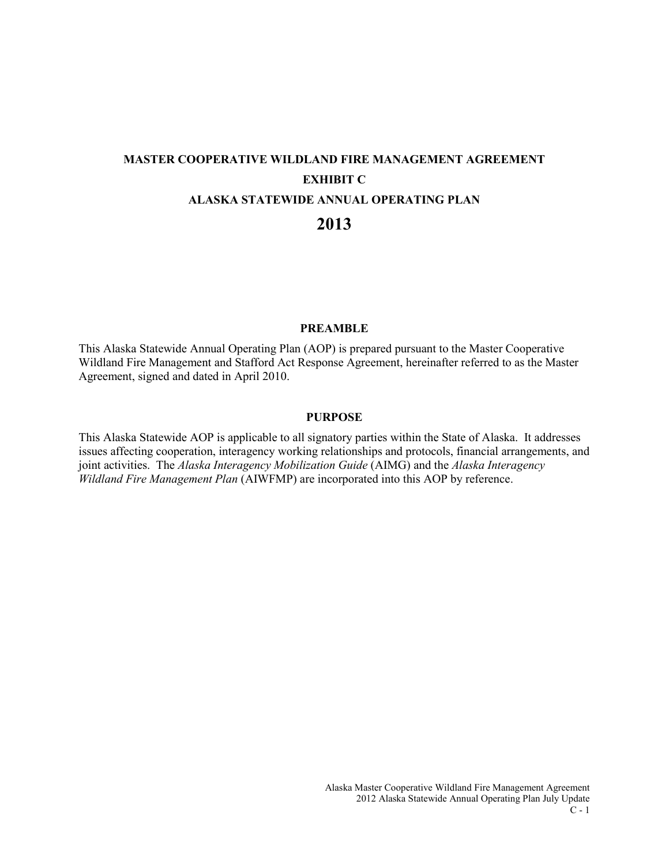# **MASTER COOPERATIVE WILDLAND FIRE MANAGEMENT AGREEMENT EXHIBIT C ALASKA STATEWIDE ANNUAL OPERATING PLAN 2013**

### **PREAMBLE**

This Alaska Statewide Annual Operating Plan (AOP) is prepared pursuant to the Master Cooperative Wildland Fire Management and Stafford Act Response Agreement, hereinafter referred to as the Master Agreement, signed and dated in April 2010.

### **PURPOSE**

This Alaska Statewide AOP is applicable to all signatory parties within the State of Alaska. It addresses issues affecting cooperation, interagency working relationships and protocols, financial arrangements, and joint activities. The *Alaska Interagency Mobilization Guide* (AIMG) and the *Alaska Interagency Wildland Fire Management Plan* (AIWFMP) are incorporated into this AOP by reference.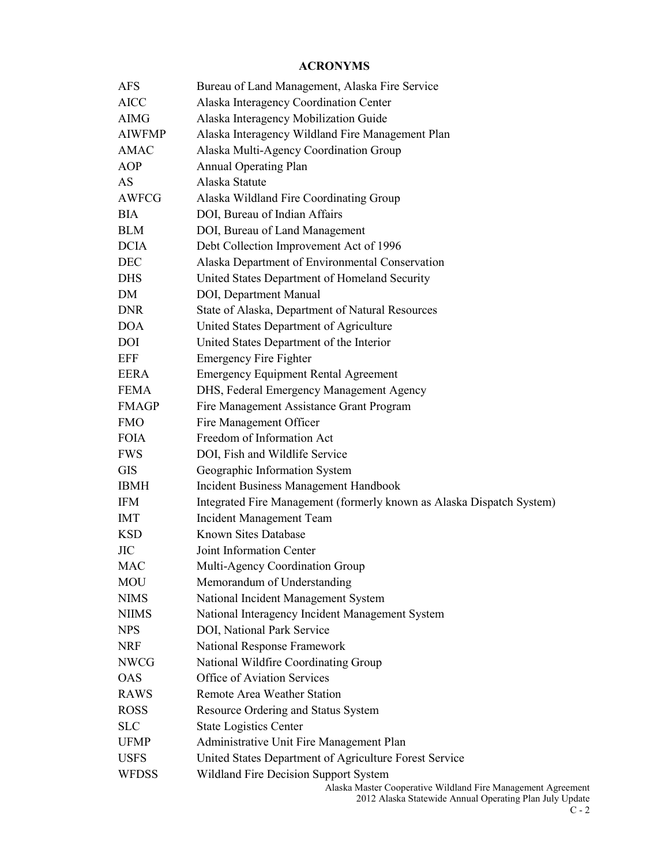### **ACRONYMS**

| AFS           | Bureau of Land Management, Alaska Fire Service                                                                          |
|---------------|-------------------------------------------------------------------------------------------------------------------------|
| <b>AICC</b>   | Alaska Interagency Coordination Center                                                                                  |
| <b>AIMG</b>   | Alaska Interagency Mobilization Guide                                                                                   |
| <b>AIWFMP</b> | Alaska Interagency Wildland Fire Management Plan                                                                        |
| <b>AMAC</b>   | Alaska Multi-Agency Coordination Group                                                                                  |
| <b>AOP</b>    | <b>Annual Operating Plan</b>                                                                                            |
| AS            | Alaska Statute                                                                                                          |
| <b>AWFCG</b>  | Alaska Wildland Fire Coordinating Group                                                                                 |
| <b>BIA</b>    | DOI, Bureau of Indian Affairs                                                                                           |
| <b>BLM</b>    | DOI, Bureau of Land Management                                                                                          |
| <b>DCIA</b>   | Debt Collection Improvement Act of 1996                                                                                 |
| DEC           | Alaska Department of Environmental Conservation                                                                         |
| <b>DHS</b>    | United States Department of Homeland Security                                                                           |
| DM            | DOI, Department Manual                                                                                                  |
| <b>DNR</b>    | State of Alaska, Department of Natural Resources                                                                        |
| <b>DOA</b>    | United States Department of Agriculture                                                                                 |
| DOI           | United States Department of the Interior                                                                                |
| <b>EFF</b>    | <b>Emergency Fire Fighter</b>                                                                                           |
| <b>EERA</b>   | <b>Emergency Equipment Rental Agreement</b>                                                                             |
| <b>FEMA</b>   | DHS, Federal Emergency Management Agency                                                                                |
| <b>FMAGP</b>  | Fire Management Assistance Grant Program                                                                                |
| <b>FMO</b>    | Fire Management Officer                                                                                                 |
| <b>FOIA</b>   | Freedom of Information Act                                                                                              |
| <b>FWS</b>    | DOI, Fish and Wildlife Service                                                                                          |
| <b>GIS</b>    | Geographic Information System                                                                                           |
| <b>IBMH</b>   | Incident Business Management Handbook                                                                                   |
| <b>IFM</b>    | Integrated Fire Management (formerly known as Alaska Dispatch System)                                                   |
| <b>IMT</b>    | Incident Management Team                                                                                                |
| <b>KSD</b>    | Known Sites Database                                                                                                    |
| <b>JIC</b>    | Joint Information Center                                                                                                |
| <b>MAC</b>    | Multi-Agency Coordination Group                                                                                         |
| MOU           | Memorandum of Understanding                                                                                             |
| <b>NIMS</b>   | National Incident Management System                                                                                     |
| <b>NIIMS</b>  | National Interagency Incident Management System                                                                         |
| <b>NPS</b>    | DOI, National Park Service                                                                                              |
| <b>NRF</b>    | National Response Framework                                                                                             |
| <b>NWCG</b>   | National Wildfire Coordinating Group                                                                                    |
| <b>OAS</b>    | Office of Aviation Services                                                                                             |
| <b>RAWS</b>   | Remote Area Weather Station                                                                                             |
| <b>ROSS</b>   | Resource Ordering and Status System                                                                                     |
| <b>SLC</b>    | <b>State Logistics Center</b>                                                                                           |
| <b>UFMP</b>   | Administrative Unit Fire Management Plan                                                                                |
| <b>USFS</b>   | United States Department of Agriculture Forest Service                                                                  |
| <b>WFDSS</b>  | Wildland Fire Decision Support System                                                                                   |
|               | Alaska Master Cooperative Wildland Fire Management Agreement<br>2012 Alaska Statewide Annual Operating Plan July Update |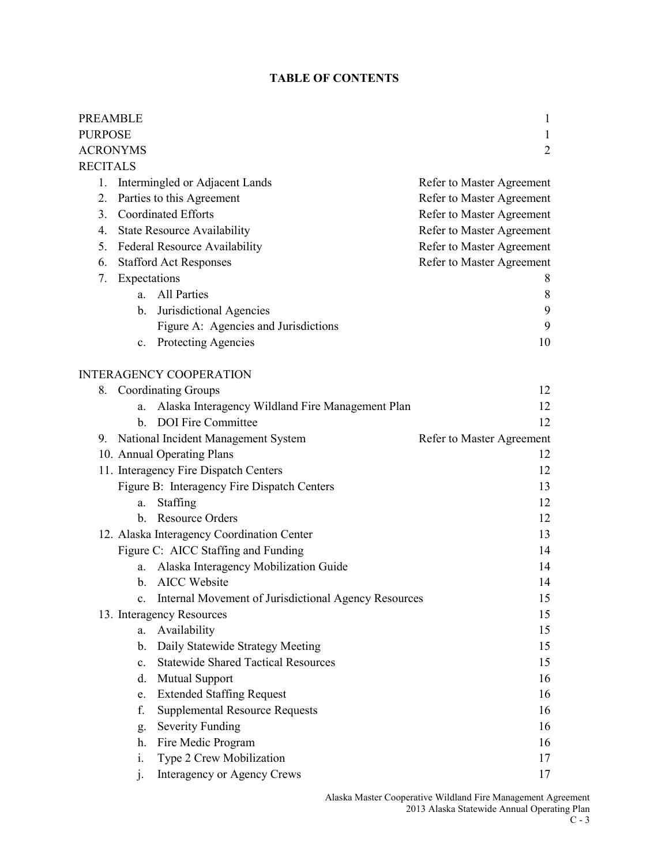### **TABLE OF CONTENTS**

| <b>PREAMBLE</b>     |                |                                                      | 1                         |
|---------------------|----------------|------------------------------------------------------|---------------------------|
| <b>PURPOSE</b><br>1 |                |                                                      |                           |
| <b>ACRONYMS</b>     |                |                                                      | $\overline{2}$            |
| <b>RECITALS</b>     |                |                                                      |                           |
| 1.                  |                | Intermingled or Adjacent Lands                       | Refer to Master Agreement |
| 2.                  |                | Parties to this Agreement                            | Refer to Master Agreement |
| 3.                  |                | <b>Coordinated Efforts</b>                           | Refer to Master Agreement |
| 4.                  |                | <b>State Resource Availability</b>                   | Refer to Master Agreement |
| 5.                  |                | <b>Federal Resource Availability</b>                 | Refer to Master Agreement |
| 6.                  |                | <b>Stafford Act Responses</b>                        | Refer to Master Agreement |
| 7.                  | Expectations   |                                                      | 8                         |
|                     | a.             | <b>All Parties</b>                                   | 8                         |
|                     | b.             | Jurisdictional Agencies                              | 9                         |
|                     |                | Figure A: Agencies and Jurisdictions                 | 9                         |
|                     | $c_{\cdot}$    | <b>Protecting Agencies</b>                           | 10                        |
|                     |                | <b>INTERAGENCY COOPERATION</b>                       |                           |
|                     |                | 8. Coordinating Groups                               | 12                        |
|                     | a.             | Alaska Interagency Wildland Fire Management Plan     | 12                        |
|                     | $h_{-}$        | <b>DOI</b> Fire Committee                            | 12                        |
|                     |                | 9. National Incident Management System               | Refer to Master Agreement |
|                     |                | 10. Annual Operating Plans                           | 12                        |
|                     |                | 11. Interagency Fire Dispatch Centers                | 12                        |
|                     |                | Figure B: Interagency Fire Dispatch Centers          | 13                        |
|                     | a.             | Staffing                                             | 12                        |
|                     |                | b. Resource Orders                                   | 12                        |
|                     |                | 12. Alaska Interagency Coordination Center           | 13                        |
|                     |                | Figure C: AICC Staffing and Funding                  | 14                        |
|                     | a.             | Alaska Interagency Mobilization Guide                | 14                        |
|                     | b.             | <b>AICC</b> Website                                  | 14                        |
|                     |                | Internal Movement of Jurisdictional Agency Resources | 15                        |
|                     |                | 13. Interagency Resources                            | 15                        |
|                     | a.             | Availability                                         | 15                        |
|                     | b.             | Daily Statewide Strategy Meeting                     | 15                        |
|                     | $\mathbf{c}$ . | <b>Statewide Shared Tactical Resources</b>           | 15                        |
|                     | d.             | <b>Mutual Support</b>                                | 16                        |
|                     | e.             | <b>Extended Staffing Request</b>                     | 16                        |
|                     | f.             | <b>Supplemental Resource Requests</b>                | 16                        |
|                     | g.             | <b>Severity Funding</b>                              | 16                        |
|                     | h.             | Fire Medic Program                                   | 16                        |
|                     | i.             | Type 2 Crew Mobilization                             | 17                        |
|                     | $\mathbf{1}$   | Interagency or Agency Crews                          | 17                        |
|                     |                |                                                      |                           |

Alaska Master Cooperative Wildland Fire Management Agreement 2013 Alaska Statewide Annual Operating Plan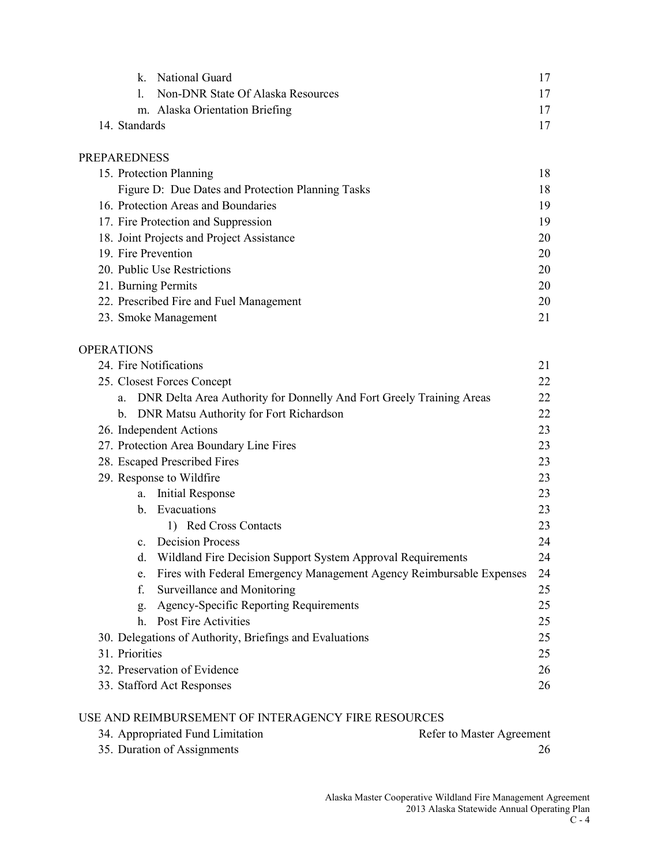|               | k. National Guard                 | 17 |
|---------------|-----------------------------------|----|
| $\mathbf{L}$  | Non-DNR State Of Alaska Resources | 17 |
|               | m. Alaska Orientation Briefing    | 17 |
| 14. Standards |                                   |    |
|               |                                   |    |

### PREPAREDNESS

| 15. Protection Planning                           | 18 |
|---------------------------------------------------|----|
| Figure D: Due Dates and Protection Planning Tasks | 18 |
| 16. Protection Areas and Boundaries               | 19 |
| 17. Fire Protection and Suppression               | 19 |
| 18. Joint Projects and Project Assistance         | 20 |
| 19. Fire Prevention                               | 20 |
| 20. Public Use Restrictions                       | 20 |
| 21. Burning Permits                               | 20 |
| 22. Prescribed Fire and Fuel Management           | 20 |
| 23. Smoke Management                              | 21 |

### OPERATIONS

| 24. Fire Notifications<br>21                                               |    |  |
|----------------------------------------------------------------------------|----|--|
| 25. Closest Forces Concept                                                 | 22 |  |
| DNR Delta Area Authority for Donnelly And Fort Greely Training Areas<br>a. | 22 |  |
| DNR Matsu Authority for Fort Richardson<br>$\mathbf{b}$ .                  | 22 |  |
| 26. Independent Actions                                                    | 23 |  |
| 27. Protection Area Boundary Line Fires                                    | 23 |  |
| 28. Escaped Prescribed Fires                                               | 23 |  |
| 29. Response to Wildfire                                                   | 23 |  |
| <b>Initial Response</b><br>a.                                              | 23 |  |
| b. Evacuations                                                             | 23 |  |
| 1) Red Cross Contacts                                                      | 23 |  |
| <b>Decision Process</b><br>$\mathbf{c}$ .                                  | 24 |  |
| Wildland Fire Decision Support System Approval Requirements<br>d.          | 24 |  |
| Fires with Federal Emergency Management Agency Reimbursable Expenses<br>e. | 24 |  |
| f.<br>Surveillance and Monitoring                                          | 25 |  |
| Agency-Specific Reporting Requirements<br>g.                               | 25 |  |
| Post Fire Activities<br>h.                                                 | 25 |  |
| 30. Delegations of Authority, Briefings and Evaluations<br>25              |    |  |
| 31. Priorities<br>25                                                       |    |  |
| 32. Preservation of Evidence<br>26                                         |    |  |
| 33. Stafford Act Responses<br>26                                           |    |  |

### USE AND REIMBURSEMENT OF INTERAGENCY FIRE RESOURCES

| 34. Appropriated Fund Limitation | Refer to Master Agreement |
|----------------------------------|---------------------------|
| 35. Duration of Assignments      |                           |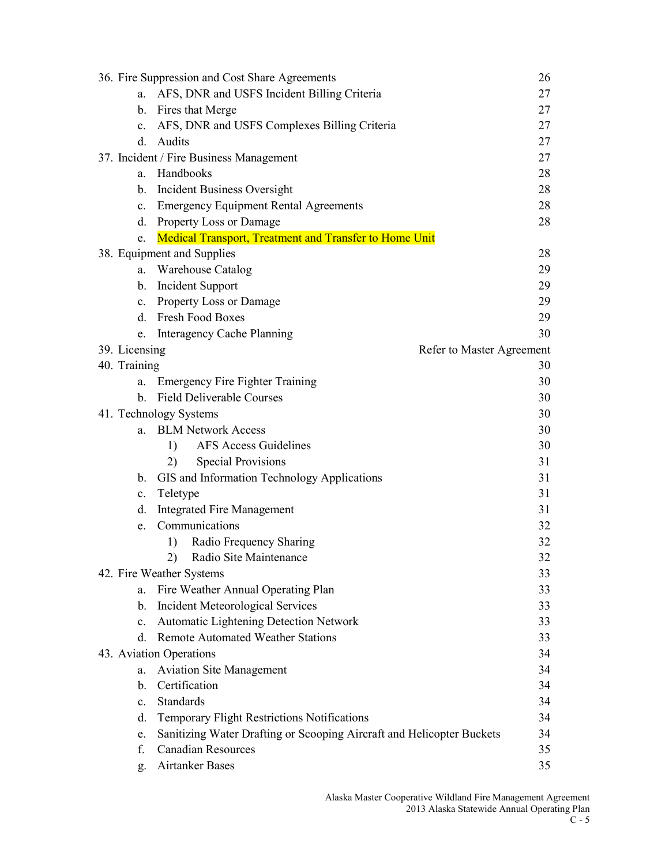|                | 36. Fire Suppression and Cost Share Agreements                        | 26                        |
|----------------|-----------------------------------------------------------------------|---------------------------|
| a.             | AFS, DNR and USFS Incident Billing Criteria                           | 27                        |
|                | b. Fires that Merge                                                   | 27                        |
| $c_{\cdot}$    | AFS, DNR and USFS Complexes Billing Criteria                          | 27                        |
| $d_{-}$        | Audits                                                                | 27                        |
|                | 37. Incident / Fire Business Management                               | 27                        |
| a.             | Handbooks                                                             | 28                        |
|                | b. Incident Business Oversight                                        | 28                        |
|                | c. Emergency Equipment Rental Agreements                              | 28                        |
| d.             | <b>Property Loss or Damage</b>                                        | 28                        |
| e.             | <b>Medical Transport, Treatment and Transfer to Home Unit</b>         |                           |
|                | 38. Equipment and Supplies                                            | 28                        |
| a.             | Warehouse Catalog                                                     | 29                        |
|                | b. Incident Support                                                   | 29                        |
| $c_{\cdot}$    | Property Loss or Damage                                               | 29                        |
|                | d. Fresh Food Boxes                                                   | 29                        |
| e.             | Interagency Cache Planning                                            | 30                        |
| 39. Licensing  |                                                                       | Refer to Master Agreement |
| 40. Training   |                                                                       | 30                        |
| a.             | <b>Emergency Fire Fighter Training</b>                                | 30                        |
| b.             | <b>Field Deliverable Courses</b>                                      | 30                        |
|                | 41. Technology Systems                                                | 30                        |
|                | a. BLM Network Access                                                 | 30                        |
|                | <b>AFS Access Guidelines</b><br>1)                                    | 30                        |
|                | <b>Special Provisions</b><br>2)                                       | 31                        |
| b.             | GIS and Information Technology Applications                           | 31                        |
| c.             | Teletype                                                              | 31                        |
| d.             | <b>Integrated Fire Management</b>                                     | 31                        |
| e.             | Communications                                                        | 32                        |
|                | Radio Frequency Sharing<br>1)                                         | 32                        |
|                | 2) Radio Site Maintenance                                             | 32                        |
|                | 42. Fire Weather Systems                                              | 33                        |
| a.             | Fire Weather Annual Operating Plan                                    | 33                        |
| b.             | <b>Incident Meteorological Services</b>                               | 33                        |
| $c_{\cdot}$    | Automatic Lightening Detection Network                                | 33                        |
| d.             | <b>Remote Automated Weather Stations</b>                              | 33                        |
|                | 43. Aviation Operations                                               | 34                        |
| a.             | <b>Aviation Site Management</b>                                       | 34                        |
| b.             | Certification                                                         | 34                        |
| $\mathbf{c}$ . | Standards                                                             | 34                        |
| d.             | Temporary Flight Restrictions Notifications                           | 34                        |
| e.             | Sanitizing Water Drafting or Scooping Aircraft and Helicopter Buckets | 34                        |
| f.             | <b>Canadian Resources</b>                                             | 35                        |
| g.             | <b>Airtanker Bases</b>                                                | 35                        |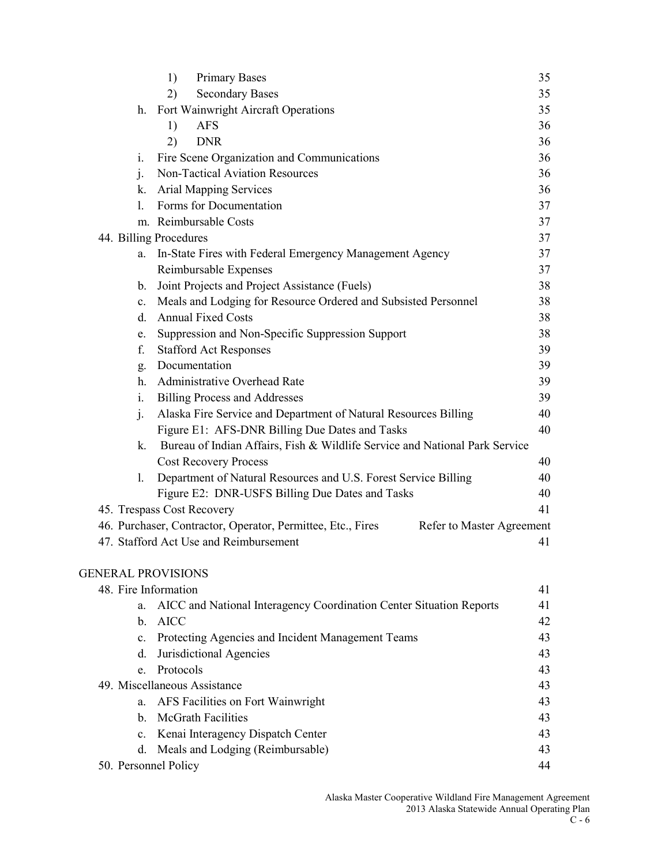|                           | 1)<br><b>Primary Bases</b>                                                               | 35 |
|---------------------------|------------------------------------------------------------------------------------------|----|
|                           | <b>Secondary Bases</b><br>2)                                                             | 35 |
| h.                        | Fort Wainwright Aircraft Operations                                                      | 35 |
|                           | 1)<br><b>AFS</b>                                                                         | 36 |
|                           | 2)<br><b>DNR</b>                                                                         | 36 |
| i.                        | Fire Scene Organization and Communications                                               | 36 |
| $\mathbf{j}$ .            | Non-Tactical Aviation Resources                                                          | 36 |
| k.                        | <b>Arial Mapping Services</b>                                                            | 36 |
| 1.                        | Forms for Documentation                                                                  | 37 |
|                           | m. Reimbursable Costs                                                                    | 37 |
|                           | 44. Billing Procedures                                                                   | 37 |
| a.                        | In-State Fires with Federal Emergency Management Agency                                  | 37 |
|                           | Reimbursable Expenses                                                                    | 37 |
| b.                        | Joint Projects and Project Assistance (Fuels)                                            | 38 |
| c.                        | Meals and Lodging for Resource Ordered and Subsisted Personnel                           | 38 |
| d.                        | <b>Annual Fixed Costs</b>                                                                | 38 |
| e.                        | Suppression and Non-Specific Suppression Support                                         | 38 |
| f.                        | <b>Stafford Act Responses</b>                                                            | 39 |
| g.                        | Documentation                                                                            | 39 |
|                           | h. Administrative Overhead Rate                                                          | 39 |
| 1.                        | <b>Billing Process and Addresses</b>                                                     | 39 |
| $\mathbf{1}$ .            | Alaska Fire Service and Department of Natural Resources Billing                          | 40 |
|                           | Figure E1: AFS-DNR Billing Due Dates and Tasks                                           | 40 |
|                           | k. Bureau of Indian Affairs, Fish & Wildlife Service and National Park Service           |    |
|                           | <b>Cost Recovery Process</b>                                                             | 40 |
| 1.                        | Department of Natural Resources and U.S. Forest Service Billing                          | 40 |
|                           | Figure E2: DNR-USFS Billing Due Dates and Tasks                                          | 40 |
|                           | 45. Trespass Cost Recovery                                                               | 41 |
|                           | 46. Purchaser, Contractor, Operator, Permittee, Etc., Fires<br>Refer to Master Agreement |    |
|                           | 47. Stafford Act Use and Reimbursement                                                   | 41 |
| <b>GENERAL PROVISIONS</b> |                                                                                          |    |
| 48. Fire Information      |                                                                                          | 41 |
| a.                        | AICC and National Interagency Coordination Center Situation Reports                      | 41 |
| b.                        | <b>AICC</b>                                                                              | 42 |
| $\mathbf{c}$ .            | Protecting Agencies and Incident Management Teams                                        | 43 |
| d.                        | Jurisdictional Agencies                                                                  | 43 |
| e.                        | Protocols                                                                                | 43 |
|                           | 49. Miscellaneous Assistance                                                             | 43 |
| a.                        | AFS Facilities on Fort Wainwright                                                        | 43 |
| b.                        | <b>McGrath Facilities</b>                                                                | 43 |
| c.                        | Kenai Interagency Dispatch Center                                                        | 43 |

d. Meals and Lodging (Reimbursable) 43 50. Personnel Policy 44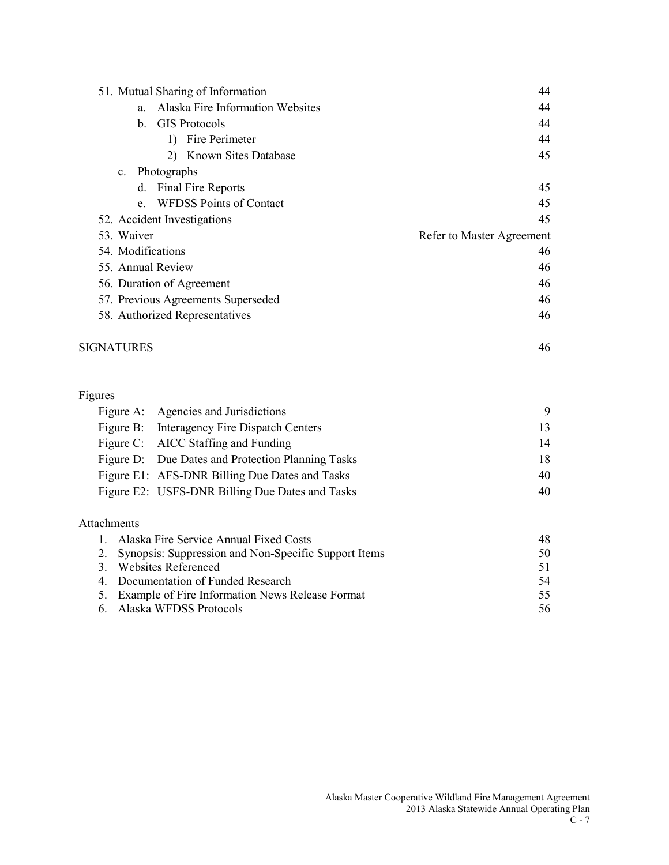| 51. Mutual Sharing of Information             | 44                        |
|-----------------------------------------------|---------------------------|
| <b>Alaska Fire Information Websites</b><br>a. | 44                        |
| <b>GIS</b> Protocols<br>$\mathbf{b}$ .        | 44                        |
| Fire Perimeter<br>$\mathbf{D}$                | 44                        |
| 2) Known Sites Database                       | 45                        |
| c. Photographs                                |                           |
| d. Final Fire Reports                         | 45                        |
| e. WFDSS Points of Contact                    | 45                        |
| 52. Accident Investigations                   | 45                        |
| 53. Waiver                                    | Refer to Master Agreement |
| 54. Modifications                             | 46                        |
| 55. Annual Review                             | 46                        |
| 56. Duration of Agreement                     | 46                        |
| 57. Previous Agreements Superseded            | 46                        |
| 58. Authorized Representatives                | 46                        |
| <b>SIGNATURES</b>                             | 46                        |

### Figures

| Figure A: Agencies and Jurisdictions              | 9  |
|---------------------------------------------------|----|
| Figure B: Interagency Fire Dispatch Centers       | 13 |
| Figure C: AICC Staffing and Funding               | 14 |
| Figure D: Due Dates and Protection Planning Tasks | 18 |
| Figure E1: AFS-DNR Billing Due Dates and Tasks    | 40 |
| Figure E2: USFS-DNR Billing Due Dates and Tasks   | 40 |

### Attachments

| 1. Alaska Fire Service Annual Fixed Costs               | 48 |
|---------------------------------------------------------|----|
| 2. Synopsis: Suppression and Non-Specific Support Items | 50 |
| 3. Websites Referenced                                  | 51 |
| 4. Documentation of Funded Research                     | 54 |
| 5. Example of Fire Information News Release Format      | 55 |
| 6. Alaska WFDSS Protocols                               | 56 |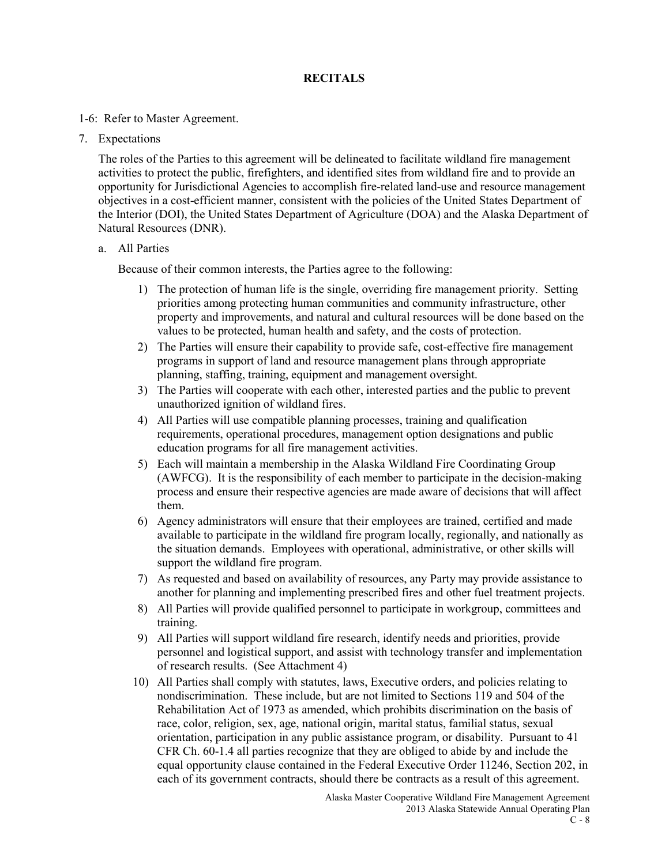### **RECITALS**

### 1-6: Refer to Master Agreement.

7. Expectations

The roles of the Parties to this agreement will be delineated to facilitate wildland fire management activities to protect the public, firefighters, and identified sites from wildland fire and to provide an opportunity for Jurisdictional Agencies to accomplish fire-related land-use and resource management objectives in a cost-efficient manner, consistent with the policies of the United States Department of the Interior (DOI), the United States Department of Agriculture (DOA) and the Alaska Department of Natural Resources (DNR).

### a. All Parties

Because of their common interests, the Parties agree to the following:

- 1) The protection of human life is the single, overriding fire management priority. Setting priorities among protecting human communities and community infrastructure, other property and improvements, and natural and cultural resources will be done based on the values to be protected, human health and safety, and the costs of protection.
- 2) The Parties will ensure their capability to provide safe, cost-effective fire management programs in support of land and resource management plans through appropriate planning, staffing, training, equipment and management oversight.
- 3) The Parties will cooperate with each other, interested parties and the public to prevent unauthorized ignition of wildland fires.
- 4) All Parties will use compatible planning processes, training and qualification requirements, operational procedures, management option designations and public education programs for all fire management activities.
- 5) Each will maintain a membership in the Alaska Wildland Fire Coordinating Group (AWFCG). It is the responsibility of each member to participate in the decision-making process and ensure their respective agencies are made aware of decisions that will affect them.
- 6) Agency administrators will ensure that their employees are trained, certified and made available to participate in the wildland fire program locally, regionally, and nationally as the situation demands. Employees with operational, administrative, or other skills will support the wildland fire program.
- 7) As requested and based on availability of resources, any Party may provide assistance to another for planning and implementing prescribed fires and other fuel treatment projects.
- 8) All Parties will provide qualified personnel to participate in workgroup, committees and training.
- 9) All Parties will support wildland fire research, identify needs and priorities, provide personnel and logistical support, and assist with technology transfer and implementation of research results. (See Attachment 4)
- 10) All Parties shall comply with statutes, laws, Executive orders, and policies relating to nondiscrimination. These include, but are not limited to Sections 119 and 504 of the Rehabilitation Act of 1973 as amended, which prohibits discrimination on the basis of race, color, religion, sex, age, national origin, marital status, familial status, sexual orientation, participation in any public assistance program, or disability. Pursuant to 41 CFR Ch. 60-1.4 all parties recognize that they are obliged to abide by and include the equal opportunity clause contained in the Federal Executive Order 11246, Section 202, in each of its government contracts, should there be contracts as a result of this agreement.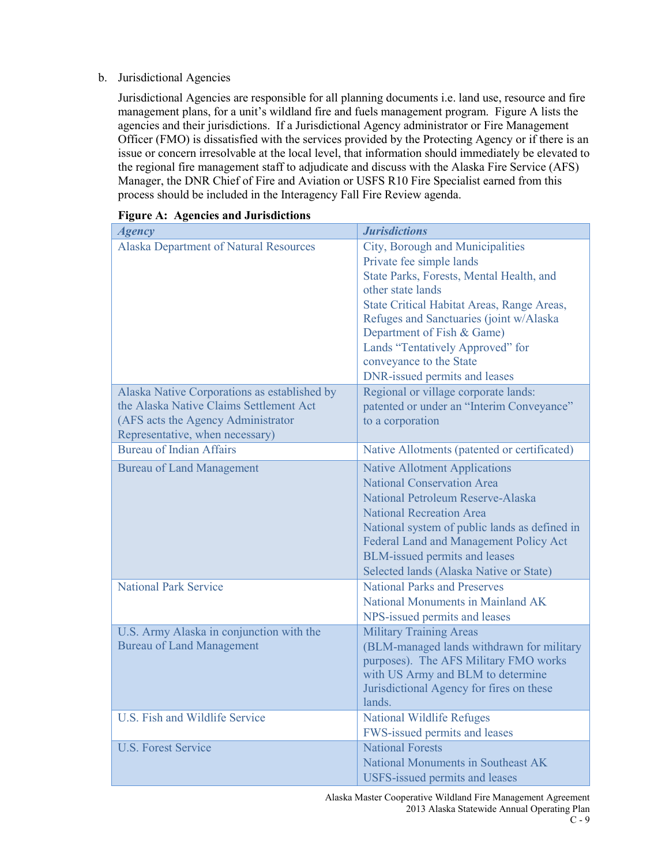### b. Jurisdictional Agencies

Jurisdictional Agencies are responsible for all planning documents i.e. land use, resource and fire management plans, for a unit's wildland fire and fuels management program. Figure A lists the agencies and their jurisdictions. If a Jurisdictional Agency administrator or Fire Management Officer (FMO) is dissatisfied with the services provided by the Protecting Agency or if there is an issue or concern irresolvable at the local level, that information should immediately be elevated to the regional fire management staff to adjudicate and discuss with the Alaska Fire Service (AFS) Manager, the DNR Chief of Fire and Aviation or USFS R10 Fire Specialist earned from this process should be included in the Interagency Fall Fire Review agenda.

| <u> </u><br><b>Agency</b>                                                                                                                                        | <b>Jurisdictions</b>                                                                                                                                                                                                                                                                                                                                 |
|------------------------------------------------------------------------------------------------------------------------------------------------------------------|------------------------------------------------------------------------------------------------------------------------------------------------------------------------------------------------------------------------------------------------------------------------------------------------------------------------------------------------------|
| <b>Alaska Department of Natural Resources</b>                                                                                                                    | City, Borough and Municipalities<br>Private fee simple lands<br>State Parks, Forests, Mental Health, and<br>other state lands<br>State Critical Habitat Areas, Range Areas,<br>Refuges and Sanctuaries (joint w/Alaska<br>Department of Fish & Game)<br>Lands "Tentatively Approved" for<br>conveyance to the State<br>DNR-issued permits and leases |
| Alaska Native Corporations as established by<br>the Alaska Native Claims Settlement Act<br>(AFS acts the Agency Administrator<br>Representative, when necessary) | Regional or village corporate lands:<br>patented or under an "Interim Conveyance"<br>to a corporation                                                                                                                                                                                                                                                |
| <b>Bureau of Indian Affairs</b>                                                                                                                                  | Native Allotments (patented or certificated)                                                                                                                                                                                                                                                                                                         |
| <b>Bureau of Land Management</b>                                                                                                                                 | <b>Native Allotment Applications</b><br><b>National Conservation Area</b><br>National Petroleum Reserve-Alaska<br><b>National Recreation Area</b><br>National system of public lands as defined in<br>Federal Land and Management Policy Act<br><b>BLM-issued permits and leases</b><br>Selected lands (Alaska Native or State)                      |
| <b>National Park Service</b>                                                                                                                                     | <b>National Parks and Preserves</b><br>National Monuments in Mainland AK<br>NPS-issued permits and leases                                                                                                                                                                                                                                            |
| U.S. Army Alaska in conjunction with the<br><b>Bureau of Land Management</b>                                                                                     | <b>Military Training Areas</b><br>(BLM-managed lands withdrawn for military<br>purposes). The AFS Military FMO works<br>with US Army and BLM to determine<br>Jurisdictional Agency for fires on these<br>lands.                                                                                                                                      |
| U.S. Fish and Wildlife Service                                                                                                                                   | <b>National Wildlife Refuges</b><br>FWS-issued permits and leases                                                                                                                                                                                                                                                                                    |
| <b>U.S. Forest Service</b>                                                                                                                                       | <b>National Forests</b><br>National Monuments in Southeast AK<br><b>USFS-issued permits and leases</b>                                                                                                                                                                                                                                               |

| <b>Figure A: Agencies and Jurisdictions</b> |  |  |
|---------------------------------------------|--|--|
|                                             |  |  |

Alaska Master Cooperative Wildland Fire Management Agreement 2013 Alaska Statewide Annual Operating Plan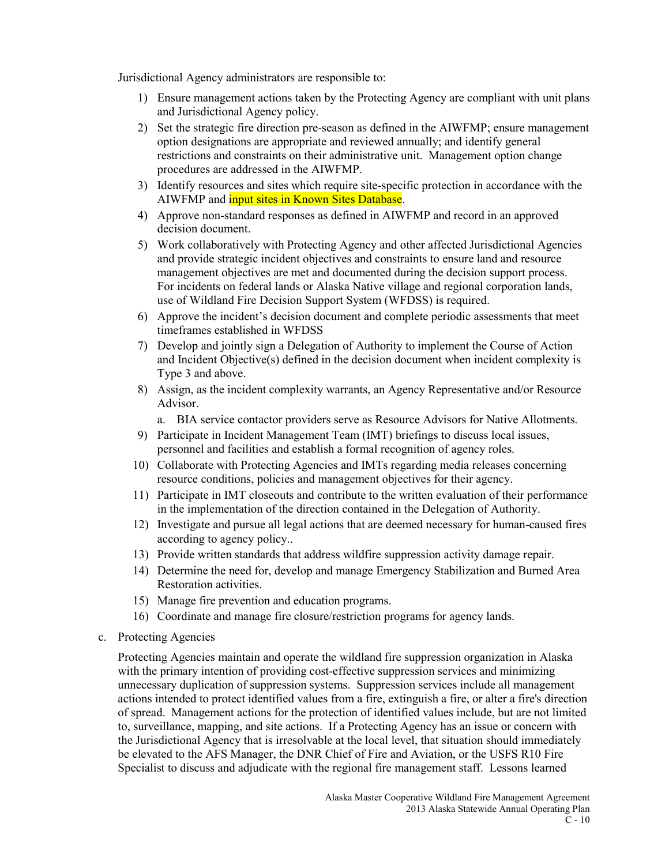Jurisdictional Agency administrators are responsible to:

- 1) Ensure management actions taken by the Protecting Agency are compliant with unit plans and Jurisdictional Agency policy.
- 2) Set the strategic fire direction pre-season as defined in the AIWFMP; ensure management option designations are appropriate and reviewed annually; and identify general restrictions and constraints on their administrative unit. Management option change procedures are addressed in the AIWFMP.
- 3) Identify resources and sites which require site-specific protection in accordance with the AIWFMP and *input sites in Known Sites Database*.
- 4) Approve non-standard responses as defined in AIWFMP and record in an approved decision document.
- 5) Work collaboratively with Protecting Agency and other affected Jurisdictional Agencies and provide strategic incident objectives and constraints to ensure land and resource management objectives are met and documented during the decision support process. For incidents on federal lands or Alaska Native village and regional corporation lands, use of Wildland Fire Decision Support System (WFDSS) is required.
- 6) Approve the incident's decision document and complete periodic assessments that meet timeframes established in WFDSS
- 7) Develop and jointly sign a Delegation of Authority to implement the Course of Action and Incident Objective(s) defined in the decision document when incident complexity is Type 3 and above.
- 8) Assign, as the incident complexity warrants, an Agency Representative and/or Resource Advisor.
	- a. BIA service contactor providers serve as Resource Advisors for Native Allotments.
- 9) Participate in Incident Management Team (IMT) briefings to discuss local issues, personnel and facilities and establish a formal recognition of agency roles.
- 10) Collaborate with Protecting Agencies and IMTs regarding media releases concerning resource conditions, policies and management objectives for their agency.
- 11) Participate in IMT closeouts and contribute to the written evaluation of their performance in the implementation of the direction contained in the Delegation of Authority.
- 12) Investigate and pursue all legal actions that are deemed necessary for human-caused fires according to agency policy..
- 13) Provide written standards that address wildfire suppression activity damage repair.
- 14) Determine the need for, develop and manage Emergency Stabilization and Burned Area Restoration activities.
- 15) Manage fire prevention and education programs.
- 16) Coordinate and manage fire closure/restriction programs for agency lands.
- c. Protecting Agencies

Protecting Agencies maintain and operate the wildland fire suppression organization in Alaska with the primary intention of providing cost-effective suppression services and minimizing unnecessary duplication of suppression systems. Suppression services include all management actions intended to protect identified values from a fire, extinguish a fire, or alter a fire's direction of spread. Management actions for the protection of identified values include, but are not limited to, surveillance, mapping, and site actions. If a Protecting Agency has an issue or concern with the Jurisdictional Agency that is irresolvable at the local level, that situation should immediately be elevated to the AFS Manager, the DNR Chief of Fire and Aviation, or the USFS R10 Fire Specialist to discuss and adjudicate with the regional fire management staff. Lessons learned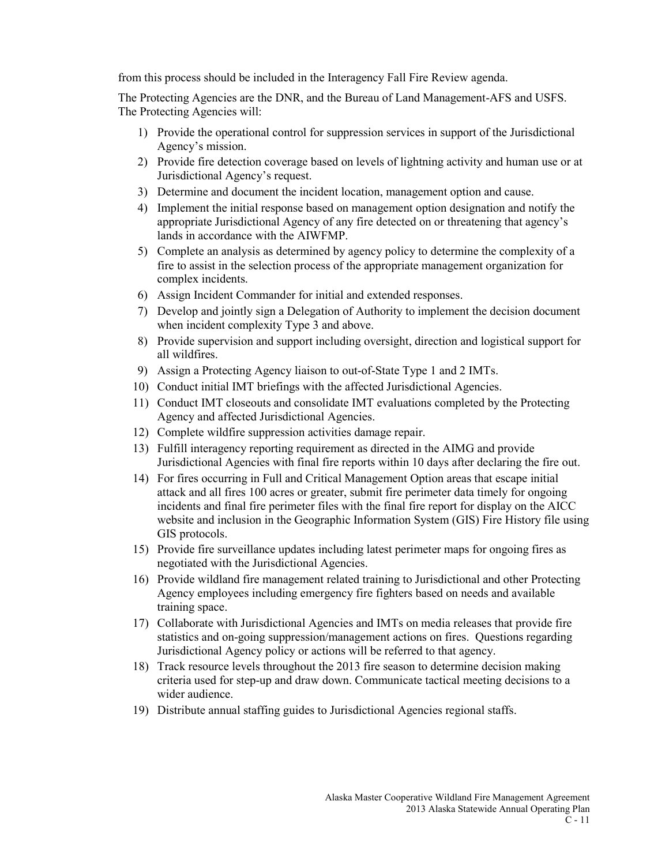from this process should be included in the Interagency Fall Fire Review agenda.

The Protecting Agencies are the DNR, and the Bureau of Land Management-AFS and USFS. The Protecting Agencies will:

- 1) Provide the operational control for suppression services in support of the Jurisdictional Agency's mission.
- 2) Provide fire detection coverage based on levels of lightning activity and human use or at Jurisdictional Agency's request.
- 3) Determine and document the incident location, management option and cause.
- 4) Implement the initial response based on management option designation and notify the appropriate Jurisdictional Agency of any fire detected on or threatening that agency's lands in accordance with the AIWFMP.
- 5) Complete an analysis as determined by agency policy to determine the complexity of a fire to assist in the selection process of the appropriate management organization for complex incidents.
- 6) Assign Incident Commander for initial and extended responses.
- 7) Develop and jointly sign a Delegation of Authority to implement the decision document when incident complexity Type 3 and above.
- 8) Provide supervision and support including oversight, direction and logistical support for all wildfires.
- 9) Assign a Protecting Agency liaison to out-of-State Type 1 and 2 IMTs.
- 10) Conduct initial IMT briefings with the affected Jurisdictional Agencies.
- 11) Conduct IMT closeouts and consolidate IMT evaluations completed by the Protecting Agency and affected Jurisdictional Agencies.
- 12) Complete wildfire suppression activities damage repair.
- 13) Fulfill interagency reporting requirement as directed in the AIMG and provide Jurisdictional Agencies with final fire reports within 10 days after declaring the fire out.
- 14) For fires occurring in Full and Critical Management Option areas that escape initial attack and all fires 100 acres or greater, submit fire perimeter data timely for ongoing incidents and final fire perimeter files with the final fire report for display on the AICC website and inclusion in the Geographic Information System (GIS) Fire History file using GIS protocols.
- 15) Provide fire surveillance updates including latest perimeter maps for ongoing fires as negotiated with the Jurisdictional Agencies.
- 16) Provide wildland fire management related training to Jurisdictional and other Protecting Agency employees including emergency fire fighters based on needs and available training space.
- 17) Collaborate with Jurisdictional Agencies and IMTs on media releases that provide fire statistics and on-going suppression/management actions on fires. Questions regarding Jurisdictional Agency policy or actions will be referred to that agency.
- 18) Track resource levels throughout the 2013 fire season to determine decision making criteria used for step-up and draw down. Communicate tactical meeting decisions to a wider audience.
- 19) Distribute annual staffing guides to Jurisdictional Agencies regional staffs.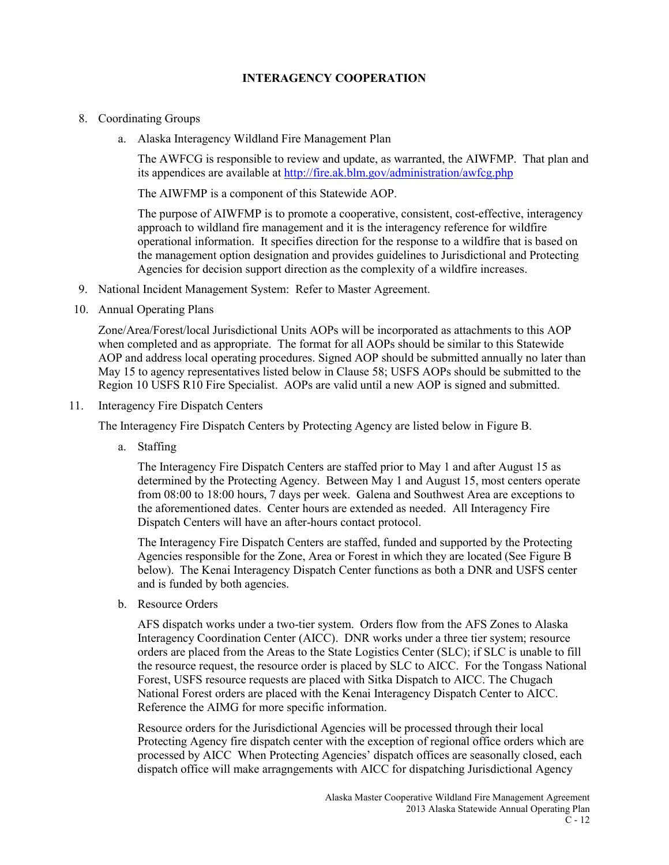### **INTERAGENCY COOPERATION**

### 8. Coordinating Groups

a. Alaska Interagency Wildland Fire Management Plan

The AWFCG is responsible to review and update, as warranted, the AIWFMP. That plan and its appendices are available at<http://fire.ak.blm.gov/administration/awfcg.php>

The AIWFMP is a component of this Statewide AOP.

The purpose of AIWFMP is to promote a cooperative, consistent, cost-effective, interagency approach to wildland fire management and it is the interagency reference for wildfire operational information. It specifies direction for the response to a wildfire that is based on the management option designation and provides guidelines to Jurisdictional and Protecting Agencies for decision support direction as the complexity of a wildfire increases.

- 9. National Incident Management System: Refer to Master Agreement.
- 10. Annual Operating Plans

Zone/Area/Forest/local Jurisdictional Units AOPs will be incorporated as attachments to this AOP when completed and as appropriate. The format for all AOPs should be similar to this Statewide AOP and address local operating procedures. Signed AOP should be submitted annually no later than May 15 to agency representatives listed below in Clause 58; USFS AOPs should be submitted to the Region 10 USFS R10 Fire Specialist. AOPs are valid until a new AOP is signed and submitted.

11. Interagency Fire Dispatch Centers

The Interagency Fire Dispatch Centers by Protecting Agency are listed below in Figure B.

a. Staffing

The Interagency Fire Dispatch Centers are staffed prior to May 1 and after August 15 as determined by the Protecting Agency. Between May 1 and August 15, most centers operate from 08:00 to 18:00 hours, 7 days per week. Galena and Southwest Area are exceptions to the aforementioned dates. Center hours are extended as needed. All Interagency Fire Dispatch Centers will have an after-hours contact protocol.

The Interagency Fire Dispatch Centers are staffed, funded and supported by the Protecting Agencies responsible for the Zone, Area or Forest in which they are located (See Figure B below). The Kenai Interagency Dispatch Center functions as both a DNR and USFS center and is funded by both agencies.

b. Resource Orders

AFS dispatch works under a two-tier system. Orders flow from the AFS Zones to Alaska Interagency Coordination Center (AICC). DNR works under a three tier system; resource orders are placed from the Areas to the State Logistics Center (SLC); if SLC is unable to fill the resource request, the resource order is placed by SLC to AICC. For the Tongass National Forest, USFS resource requests are placed with Sitka Dispatch to AICC. The Chugach National Forest orders are placed with the Kenai Interagency Dispatch Center to AICC. Reference the AIMG for more specific information.

Resource orders for the Jurisdictional Agencies will be processed through their local Protecting Agency fire dispatch center with the exception of regional office orders which are processed by AICC When Protecting Agencies' dispatch offices are seasonally closed, each dispatch office will make arragngements with AICC for dispatching Jurisdictional Agency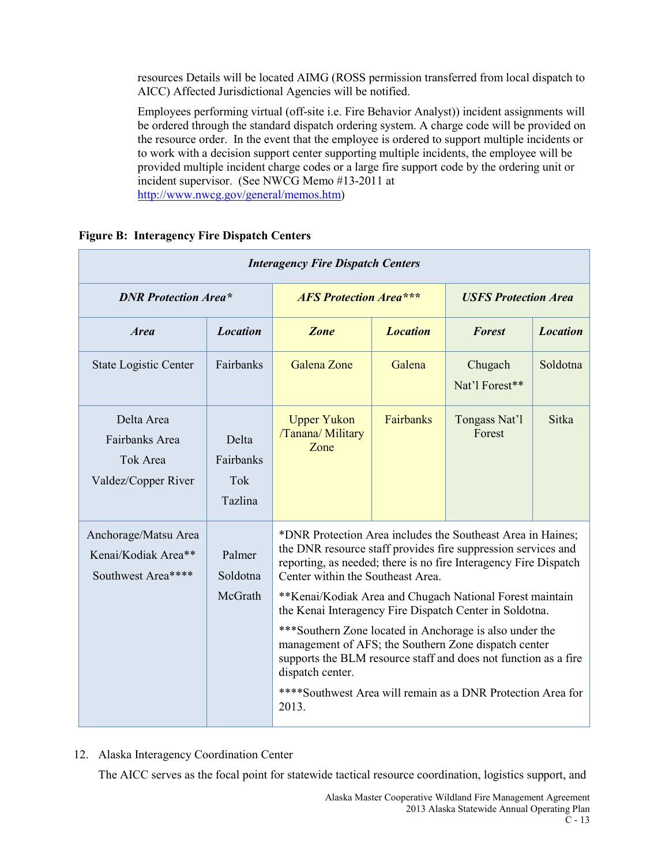resources Details will be located AIMG (ROSS permission transferred from local dispatch to AICC) Affected Jurisdictional Agencies will be notified.

Employees performing virtual (off-site i.e. Fire Behavior Analyst)) incident assignments will be ordered through the standard dispatch ordering system. A charge code will be provided on the resource order. In the event that the employee is ordered to support multiple incidents or to work with a decision support center supporting multiple incidents, the employee will be provided multiple incident charge codes or a large fire support code by the ordering unit or incident supervisor. (See NWCG Memo #13-2011 at [http://www.nwcg.gov/general/memos.htm\)](http://www.nwcg.gov/general/memos.htm)

| <b>Interagency Fire Dispatch Centers</b>                          |                                      |                                                                                                                                                                                                                                                                                                                                                                                                                                                                                                                                                                                                                                                |                 |                             |                 |
|-------------------------------------------------------------------|--------------------------------------|------------------------------------------------------------------------------------------------------------------------------------------------------------------------------------------------------------------------------------------------------------------------------------------------------------------------------------------------------------------------------------------------------------------------------------------------------------------------------------------------------------------------------------------------------------------------------------------------------------------------------------------------|-----------------|-----------------------------|-----------------|
| <b>DNR Protection Area*</b>                                       |                                      | <b>AFS Protection Area***</b>                                                                                                                                                                                                                                                                                                                                                                                                                                                                                                                                                                                                                  |                 | <b>USFS Protection Area</b> |                 |
| <i><b>Area</b></i>                                                | <b>Location</b>                      | <b>Zone</b>                                                                                                                                                                                                                                                                                                                                                                                                                                                                                                                                                                                                                                    | <b>Location</b> | <b>Forest</b>               | <b>Location</b> |
| <b>State Logistic Center</b>                                      | Fairbanks                            | Galena Zone                                                                                                                                                                                                                                                                                                                                                                                                                                                                                                                                                                                                                                    | Galena          | Chugach<br>Nat'l Forest**   | Soldotna        |
| Delta Area<br>Fairbanks Area<br>Tok Area<br>Valdez/Copper River   | Delta<br>Fairbanks<br>Tok<br>Tazlina | <b>Upper Yukon</b><br>/Tanana/ Military<br>Zone                                                                                                                                                                                                                                                                                                                                                                                                                                                                                                                                                                                                | Fairbanks       | Tongass Nat'l<br>Forest     | <b>Sitka</b>    |
| Anchorage/Matsu Area<br>Kenai/Kodiak Area**<br>Southwest Area**** | Palmer<br>Soldotna<br>McGrath        | *DNR Protection Area includes the Southeast Area in Haines;<br>the DNR resource staff provides fire suppression services and<br>reporting, as needed; there is no fire Interagency Fire Dispatch<br>Center within the Southeast Area.<br>**Kenai/Kodiak Area and Chugach National Forest maintain<br>the Kenai Interagency Fire Dispatch Center in Soldotna.<br>***Southern Zone located in Anchorage is also under the<br>management of AFS; the Southern Zone dispatch center<br>supports the BLM resource staff and does not function as a fire<br>dispatch center.<br>****Southwest Area will remain as a DNR Protection Area for<br>2013. |                 |                             |                 |

### **Figure B: Interagency Fire Dispatch Centers**

12. Alaska Interagency Coordination Center

The AICC serves as the focal point for statewide tactical resource coordination, logistics support, and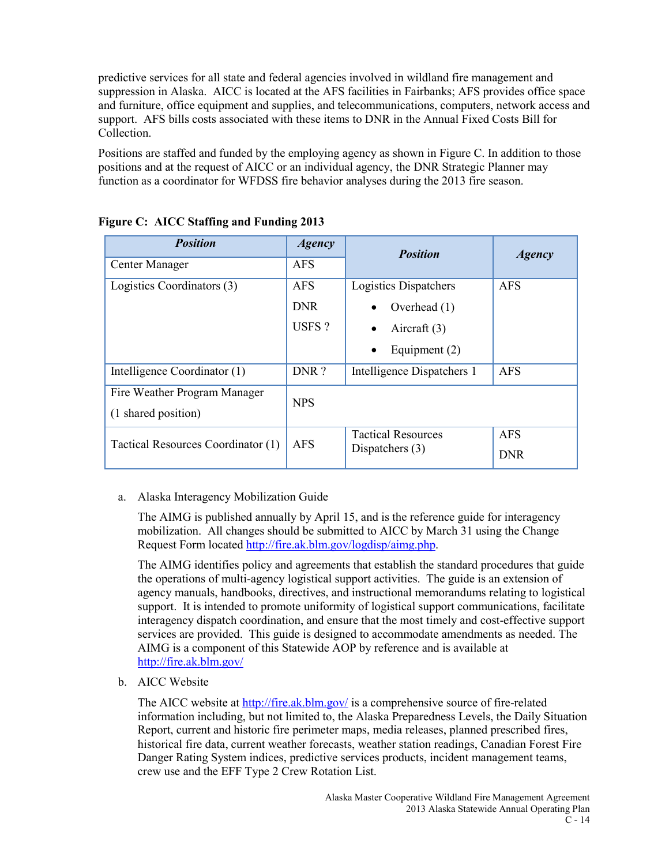predictive services for all state and federal agencies involved in wildland fire management and suppression in Alaska. AICC is located at the AFS facilities in Fairbanks; AFS provides office space and furniture, office equipment and supplies, and telecommunications, computers, network access and support. AFS bills costs associated with these items to DNR in the Annual Fixed Costs Bill for Collection.

Positions are staffed and funded by the employing agency as shown in Figure C. In addition to those positions and at the request of AICC or an individual agency, the DNR Strategic Planner may function as a coordinator for WFDSS fire behavior analyses during the 2013 fire season.

| <b>Position</b>                    | <b>Agency</b> | <b>Position</b>            | <b>Agency</b> |
|------------------------------------|---------------|----------------------------|---------------|
| Center Manager                     | <b>AFS</b>    |                            |               |
| Logistics Coordinators (3)         | <b>AFS</b>    | Logistics Dispatchers      | <b>AFS</b>    |
|                                    | <b>DNR</b>    | Overhead (1)               |               |
|                                    | USFS?         | Aircraft $(3)$             |               |
|                                    |               | Equipment (2)              |               |
| Intelligence Coordinator (1)       | DNR?          | Intelligence Dispatchers 1 | <b>AFS</b>    |
| Fire Weather Program Manager       | <b>NPS</b>    |                            |               |
| (1 shared position)                |               |                            |               |
| Tactical Resources Coordinator (1) | AFS           | <b>Tactical Resources</b>  | <b>AFS</b>    |
|                                    |               | Dispatchers $(3)$          | <b>DNR</b>    |

### **Figure C: AICC Staffing and Funding 2013**

### a. Alaska Interagency Mobilization Guide

The AIMG is published annually by April 15, and is the reference guide for interagency mobilization. All changes should be submitted to AICC by March 31 using the Change Request Form located [http://fire.ak.blm.gov/logdisp/aimg.php.](http://fire.ak.blm.gov/logdisp/aimg.php)

The AIMG identifies policy and agreements that establish the standard procedures that guide the operations of multi-agency logistical support activities. The guide is an extension of agency manuals, handbooks, directives, and instructional memorandums relating to logistical support. It is intended to promote uniformity of logistical support communications, facilitate interagency dispatch coordination, and ensure that the most timely and cost-effective support services are provided. This guide is designed to accommodate amendments as needed. The AIMG is a component of this Statewide AOP by reference and is available at <http://fire.ak.blm.gov/>

b. AICC Website

The AICC website at<http://fire.ak.blm.gov/> is a comprehensive source of fire-related information including, but not limited to, the Alaska Preparedness Levels, the Daily Situation Report, current and historic fire perimeter maps, media releases, planned prescribed fires, historical fire data, current weather forecasts, weather station readings, Canadian Forest Fire Danger Rating System indices, predictive services products, incident management teams, crew use and the EFF Type 2 Crew Rotation List.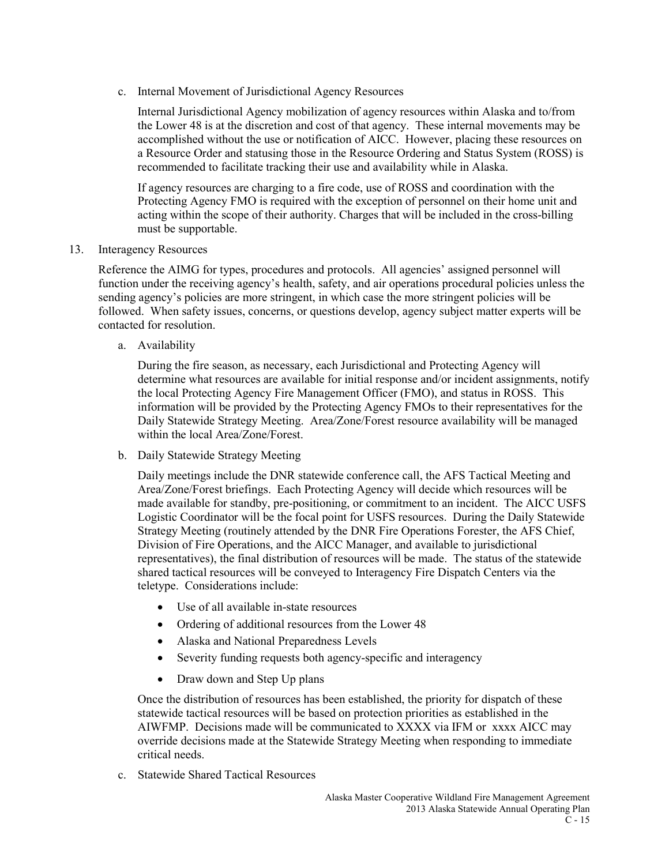c. Internal Movement of Jurisdictional Agency Resources

Internal Jurisdictional Agency mobilization of agency resources within Alaska and to/from the Lower 48 is at the discretion and cost of that agency. These internal movements may be accomplished without the use or notification of AICC. However, placing these resources on a Resource Order and statusing those in the Resource Ordering and Status System (ROSS) is recommended to facilitate tracking their use and availability while in Alaska.

If agency resources are charging to a fire code, use of ROSS and coordination with the Protecting Agency FMO is required with the exception of personnel on their home unit and acting within the scope of their authority. Charges that will be included in the cross-billing must be supportable.

13. Interagency Resources

Reference the AIMG for types, procedures and protocols. All agencies' assigned personnel will function under the receiving agency's health, safety, and air operations procedural policies unless the sending agency's policies are more stringent, in which case the more stringent policies will be followed. When safety issues, concerns, or questions develop, agency subject matter experts will be contacted for resolution.

a. Availability

During the fire season, as necessary, each Jurisdictional and Protecting Agency will determine what resources are available for initial response and/or incident assignments, notify the local Protecting Agency Fire Management Officer (FMO), and status in ROSS. This information will be provided by the Protecting Agency FMOs to their representatives for the Daily Statewide Strategy Meeting. Area/Zone/Forest resource availability will be managed within the local Area/Zone/Forest.

b. Daily Statewide Strategy Meeting

Daily meetings include the DNR statewide conference call, the AFS Tactical Meeting and Area/Zone/Forest briefings. Each Protecting Agency will decide which resources will be made available for standby, pre-positioning, or commitment to an incident. The AICC USFS Logistic Coordinator will be the focal point for USFS resources. During the Daily Statewide Strategy Meeting (routinely attended by the DNR Fire Operations Forester, the AFS Chief, Division of Fire Operations, and the AICC Manager, and available to jurisdictional representatives), the final distribution of resources will be made. The status of the statewide shared tactical resources will be conveyed to Interagency Fire Dispatch Centers via the teletype. Considerations include:

- Use of all available in-state resources
- Ordering of additional resources from the Lower 48
- Alaska and National Preparedness Levels
- Severity funding requests both agency-specific and interagency
- Draw down and Step Up plans

Once the distribution of resources has been established, the priority for dispatch of these statewide tactical resources will be based on protection priorities as established in the AIWFMP. Decisions made will be communicated to XXXX via IFM or xxxx AICC may override decisions made at the Statewide Strategy Meeting when responding to immediate critical needs.

c. Statewide Shared Tactical Resources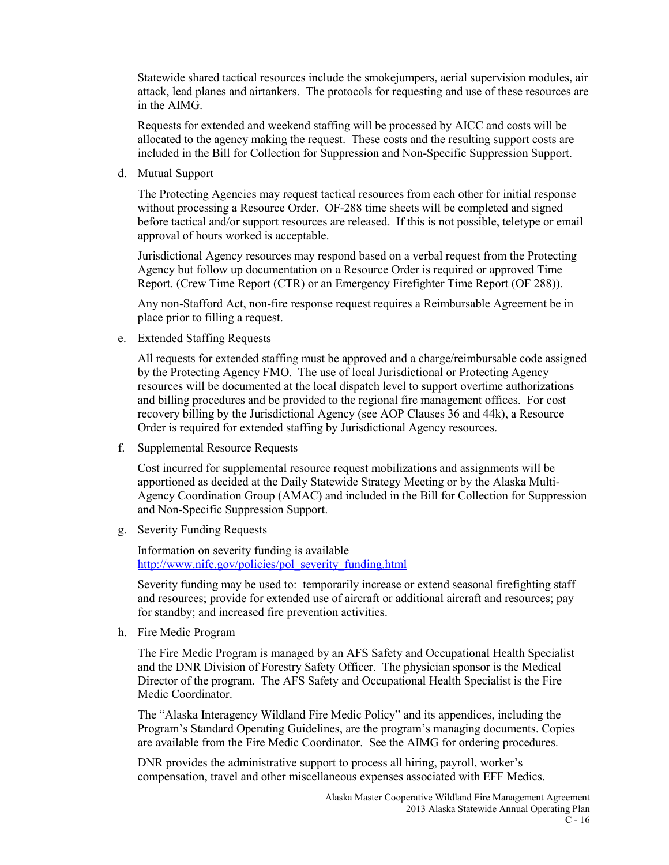Statewide shared tactical resources include the smokejumpers, aerial supervision modules, air attack, lead planes and airtankers. The protocols for requesting and use of these resources are in the AIMG.

Requests for extended and weekend staffing will be processed by AICC and costs will be allocated to the agency making the request. These costs and the resulting support costs are included in the Bill for Collection for Suppression and Non-Specific Suppression Support.

d. Mutual Support

The Protecting Agencies may request tactical resources from each other for initial response without processing a Resource Order. OF-288 time sheets will be completed and signed before tactical and/or support resources are released. If this is not possible, teletype or email approval of hours worked is acceptable.

Jurisdictional Agency resources may respond based on a verbal request from the Protecting Agency but follow up documentation on a Resource Order is required or approved Time Report. (Crew Time Report (CTR) or an Emergency Firefighter Time Report (OF 288)).

Any non-Stafford Act, non-fire response request requires a Reimbursable Agreement be in place prior to filling a request.

e. Extended Staffing Requests

All requests for extended staffing must be approved and a charge/reimbursable code assigned by the Protecting Agency FMO. The use of local Jurisdictional or Protecting Agency resources will be documented at the local dispatch level to support overtime authorizations and billing procedures and be provided to the regional fire management offices. For cost recovery billing by the Jurisdictional Agency (see AOP Clauses 36 and 44k), a Resource Order is required for extended staffing by Jurisdictional Agency resources.

f. Supplemental Resource Requests

Cost incurred for supplemental resource request mobilizations and assignments will be apportioned as decided at the Daily Statewide Strategy Meeting or by the Alaska Multi-Agency Coordination Group (AMAC) and included in the Bill for Collection for Suppression and Non-Specific Suppression Support.

g. Severity Funding Requests

Information on severity funding is available [http://www.nifc.gov/policies/pol\\_severity\\_funding.html](http://www.nifc.gov/policies/pol_severity_funding.html)

Severity funding may be used to: temporarily increase or extend seasonal firefighting staff and resources; provide for extended use of aircraft or additional aircraft and resources; pay for standby; and increased fire prevention activities.

h. Fire Medic Program

The Fire Medic Program is managed by an AFS Safety and Occupational Health Specialist and the DNR Division of Forestry Safety Officer. The physician sponsor is the Medical Director of the program. The AFS Safety and Occupational Health Specialist is the Fire Medic Coordinator.

The "Alaska Interagency Wildland Fire Medic Policy" and its appendices, including the Program's Standard Operating Guidelines, are the program's managing documents. Copies are available from the Fire Medic Coordinator. See the AIMG for ordering procedures.

DNR provides the administrative support to process all hiring, payroll, worker's compensation, travel and other miscellaneous expenses associated with EFF Medics.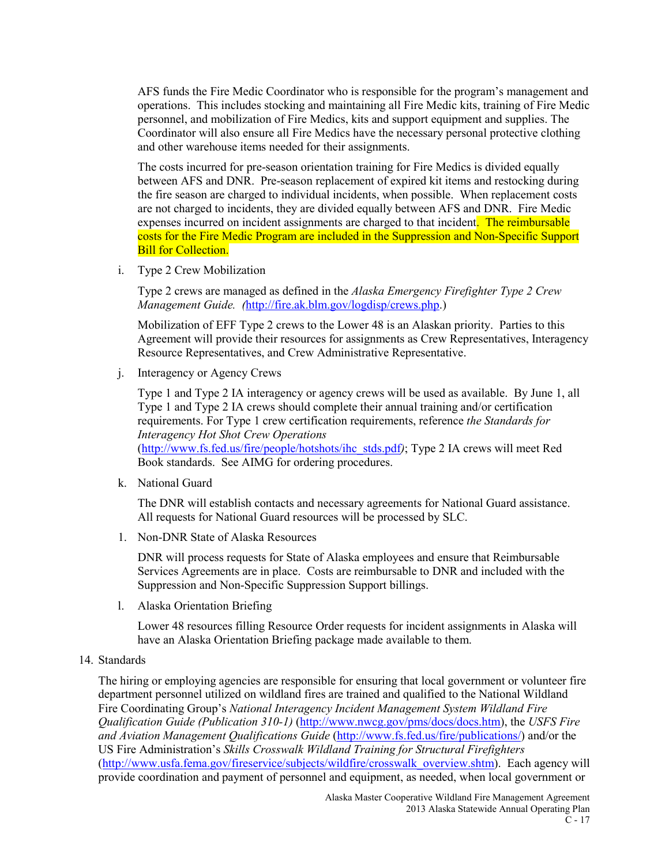AFS funds the Fire Medic Coordinator who is responsible for the program's management and operations. This includes stocking and maintaining all Fire Medic kits, training of Fire Medic personnel, and mobilization of Fire Medics, kits and support equipment and supplies. The Coordinator will also ensure all Fire Medics have the necessary personal protective clothing and other warehouse items needed for their assignments.

The costs incurred for pre-season orientation training for Fire Medics is divided equally between AFS and DNR. Pre-season replacement of expired kit items and restocking during the fire season are charged to individual incidents, when possible. When replacement costs are not charged to incidents, they are divided equally between AFS and DNR. Fire Medic expenses incurred on incident assignments are charged to that incident. The reimbursable costs for the Fire Medic Program are included in the Suppression and Non-Specific Support **Bill for Collection.** 

i. Type 2 Crew Mobilization

Type 2 crews are managed as defined in the *Alaska Emergency Firefighter Type 2 Crew Management Guide. (*[http://fire.ak.blm.gov/logdisp/crews.php.](http://fire.ak.blm.gov/logdisp/crews.php))

Mobilization of EFF Type 2 crews to the Lower 48 is an Alaskan priority. Parties to this Agreement will provide their resources for assignments as Crew Representatives, Interagency Resource Representatives, and Crew Administrative Representative.

j. Interagency or Agency Crews

Type 1 and Type 2 IA interagency or agency crews will be used as available. By June 1, all Type 1 and Type 2 IA crews should complete their annual training and/or certification requirements. For Type 1 crew certification requirements, reference *the Standards for Interagency Hot Shot Crew Operations*  [\(http://www.fs.fed.us/fire/people/hotshots/ihc\\_stds.pdf](http://www.fs.fed.us/fire/people/hotshots/ihc_stds.pdf)*)*; Type 2 IA crews will meet Red

Book standards. See AIMG for ordering procedures.

k. National Guard

The DNR will establish contacts and necessary agreements for National Guard assistance. All requests for National Guard resources will be processed by SLC.

1. Non-DNR State of Alaska Resources

DNR will process requests for State of Alaska employees and ensure that Reimbursable Services Agreements are in place. Costs are reimbursable to DNR and included with the Suppression and Non-Specific Suppression Support billings.

l. Alaska Orientation Briefing

Lower 48 resources filling Resource Order requests for incident assignments in Alaska will have an Alaska Orientation Briefing package made available to them.

### 14. Standards

The hiring or employing agencies are responsible for ensuring that local government or volunteer fire department personnel utilized on wildland fires are trained and qualified to the National Wildland Fire Coordinating Group's *National Interagency Incident Management System Wildland Fire Qualification Guide (Publication 310-1)* [\(http://www.nwcg.gov/pms/docs/docs.htm\)](http://www.nwcg.gov/pms/docs/docs.htm), the *USFS Fire and Aviation Management Qualifications Guide* [\(http://www.fs.fed.us/fire/publications/\)](http://www.fs.fed.us/fire/publications/) and/or the US Fire Administration's *Skills Crosswalk Wildland Training for Structural Firefighters* [\(http://www.usfa.fema.gov/fireservice/subjects/wildfire/crosswalk\\_overview.shtm\)](http://www.usfa.fema.gov/fireservice/subjects/wildfire/crosswalk_overview.shtm). Each agency will provide coordination and payment of personnel and equipment, as needed, when local government or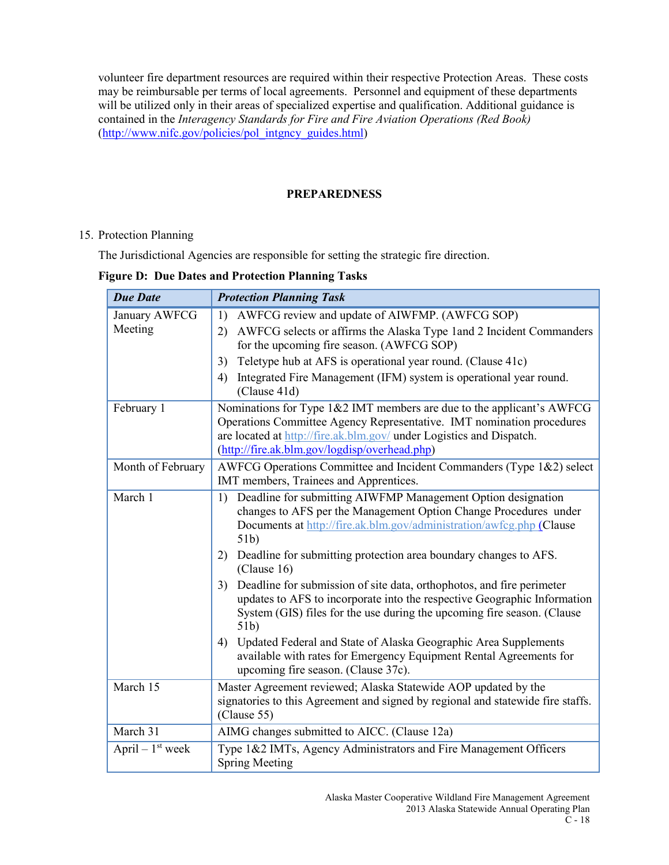volunteer fire department resources are required within their respective Protection Areas. These costs may be reimbursable per terms of local agreements. Personnel and equipment of these departments will be utilized only in their areas of specialized expertise and qualification. Additional guidance is contained in the *Interagency Standards for Fire and Fire Aviation Operations (Red Book)*  [\(http://www.nifc.gov/policies/pol\\_intgncy\\_guides.html\)](http://www.nifc.gov/policies/pol_intgncy_guides.html)

### **PREPAREDNESS**

### 15. Protection Planning

The Jurisdictional Agencies are responsible for setting the strategic fire direction.

### **Figure D: Due Dates and Protection Planning Tasks**

| <b>Due Date</b>               | <b>Protection Planning Task</b>                                                                                                    |
|-------------------------------|------------------------------------------------------------------------------------------------------------------------------------|
| January AWFCG<br>Meeting      | AWFCG review and update of AIWFMP. (AWFCG SOP)<br>1)<br>AWFCG selects or affirms the Alaska Type 1 and 2 Incident Commanders<br>2) |
|                               | for the upcoming fire season. (AWFCG SOP)                                                                                          |
|                               | Teletype hub at AFS is operational year round. (Clause 41c)<br>3)                                                                  |
|                               | Integrated Fire Management (IFM) system is operational year round.<br>4)<br>(Clause 41d)                                           |
| February 1                    | Nominations for Type 1&2 IMT members are due to the applicant's AWFCG                                                              |
|                               | Operations Committee Agency Representative. IMT nomination procedures                                                              |
|                               | are located at http://fire.ak.blm.gov/ under Logistics and Dispatch.<br>(http://fire.ak.blm.gov/logdisp/overhead.php)              |
| Month of February             | AWFCG Operations Committee and Incident Commanders (Type 1&2) select                                                               |
|                               | IMT members, Trainees and Apprentices.                                                                                             |
| March 1                       | Deadline for submitting AIWFMP Management Option designation<br>1)                                                                 |
|                               | changes to AFS per the Management Option Change Procedures under                                                                   |
|                               | Documents at http://fire.ak.blm.gov/administration/awfcg.php (Clause<br>51b)                                                       |
|                               | Deadline for submitting protection area boundary changes to AFS.<br>2)<br>(Clause 16)                                              |
|                               | Deadline for submission of site data, orthophotos, and fire perimeter<br>3)                                                        |
|                               | updates to AFS to incorporate into the respective Geographic Information                                                           |
|                               | System (GIS) files for the use during the upcoming fire season. (Clause<br>51 <sub>b</sub>                                         |
|                               | Updated Federal and State of Alaska Geographic Area Supplements<br>4)                                                              |
|                               | available with rates for Emergency Equipment Rental Agreements for<br>upcoming fire season. (Clause 37c).                          |
| March 15                      | Master Agreement reviewed; Alaska Statewide AOP updated by the                                                                     |
|                               | signatories to this Agreement and signed by regional and statewide fire staffs.<br>(Clause 55)                                     |
| March 31                      | AIMG changes submitted to AICC. (Clause 12a)                                                                                       |
| April $-1$ <sup>st</sup> week | Type 1&2 IMTs, Agency Administrators and Fire Management Officers                                                                  |
|                               | <b>Spring Meeting</b>                                                                                                              |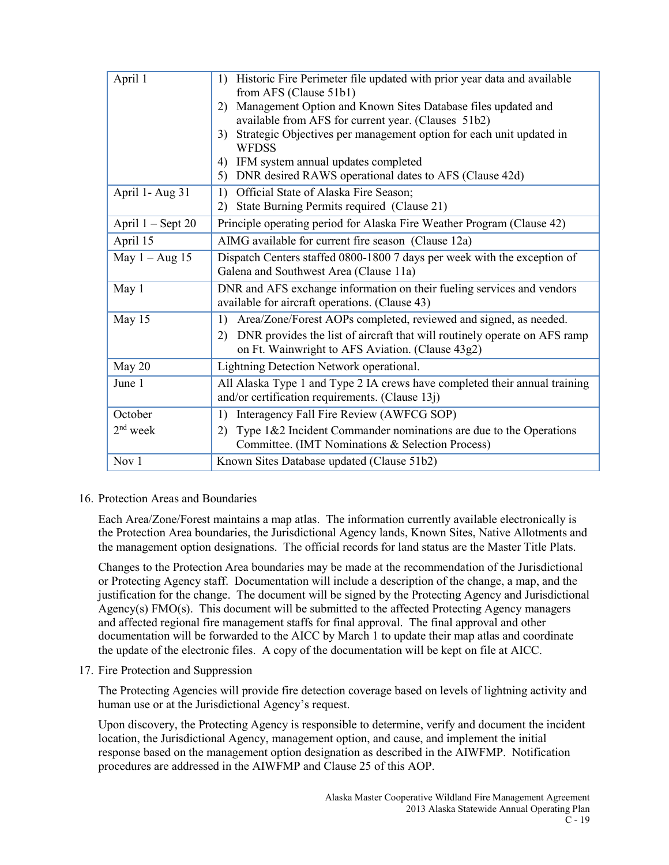| April 1             | Historic Fire Perimeter file updated with prior year data and available<br>1)<br>from AFS (Clause 51b1)                             |
|---------------------|-------------------------------------------------------------------------------------------------------------------------------------|
|                     | Management Option and Known Sites Database files updated and<br>2)                                                                  |
|                     | available from AFS for current year. (Clauses 51b2)                                                                                 |
|                     | 3) Strategic Objectives per management option for each unit updated in                                                              |
|                     | <b>WFDSS</b>                                                                                                                        |
|                     | 4) IFM system annual updates completed                                                                                              |
|                     | 5) DNR desired RAWS operational dates to AFS (Clause 42d)                                                                           |
| April 1- Aug 31     | 1) Official State of Alaska Fire Season;                                                                                            |
|                     | 2) State Burning Permits required (Clause 21)                                                                                       |
| April $1 -$ Sept 20 | Principle operating period for Alaska Fire Weather Program (Clause 42)                                                              |
| April 15            | AIMG available for current fire season (Clause 12a)                                                                                 |
| May $1 - Aug$ 15    | Dispatch Centers staffed 0800-1800 7 days per week with the exception of                                                            |
|                     | Galena and Southwest Area (Clause 11a)                                                                                              |
| May 1               | DNR and AFS exchange information on their fueling services and vendors                                                              |
|                     | available for aircraft operations. (Clause 43)                                                                                      |
| May 15              | Area/Zone/Forest AOPs completed, reviewed and signed, as needed.<br>1)                                                              |
|                     | DNR provides the list of aircraft that will routinely operate on AFS ramp<br>2)<br>on Ft. Wainwright to AFS Aviation. (Clause 43g2) |
| May 20              | Lightning Detection Network operational.                                                                                            |
| June 1              | All Alaska Type 1 and Type 2 IA crews have completed their annual training                                                          |
|                     | and/or certification requirements. (Clause $13j$ )                                                                                  |
| October             | Interagency Fall Fire Review (AWFCG SOP)<br>1)                                                                                      |
| $2nd$ week          | Type $1&2$ Incident Commander nominations are due to the Operations<br>2)                                                           |
|                     | Committee. (IMT Nominations & Selection Process)                                                                                    |
| Nov 1               | Known Sites Database updated (Clause 51b2)                                                                                          |

16. Protection Areas and Boundaries

Each Area/Zone/Forest maintains a map atlas. The information currently available electronically is the Protection Area boundaries, the Jurisdictional Agency lands, Known Sites, Native Allotments and the management option designations. The official records for land status are the Master Title Plats.

Changes to the Protection Area boundaries may be made at the recommendation of the Jurisdictional or Protecting Agency staff. Documentation will include a description of the change, a map, and the justification for the change. The document will be signed by the Protecting Agency and Jurisdictional Agency(s) FMO(s). This document will be submitted to the affected Protecting Agency managers and affected regional fire management staffs for final approval. The final approval and other documentation will be forwarded to the AICC by March 1 to update their map atlas and coordinate the update of the electronic files. A copy of the documentation will be kept on file at AICC.

17. Fire Protection and Suppression

The Protecting Agencies will provide fire detection coverage based on levels of lightning activity and human use or at the Jurisdictional Agency's request.

Upon discovery, the Protecting Agency is responsible to determine, verify and document the incident location, the Jurisdictional Agency, management option, and cause, and implement the initial response based on the management option designation as described in the AIWFMP. Notification procedures are addressed in the AIWFMP and Clause 25 of this AOP.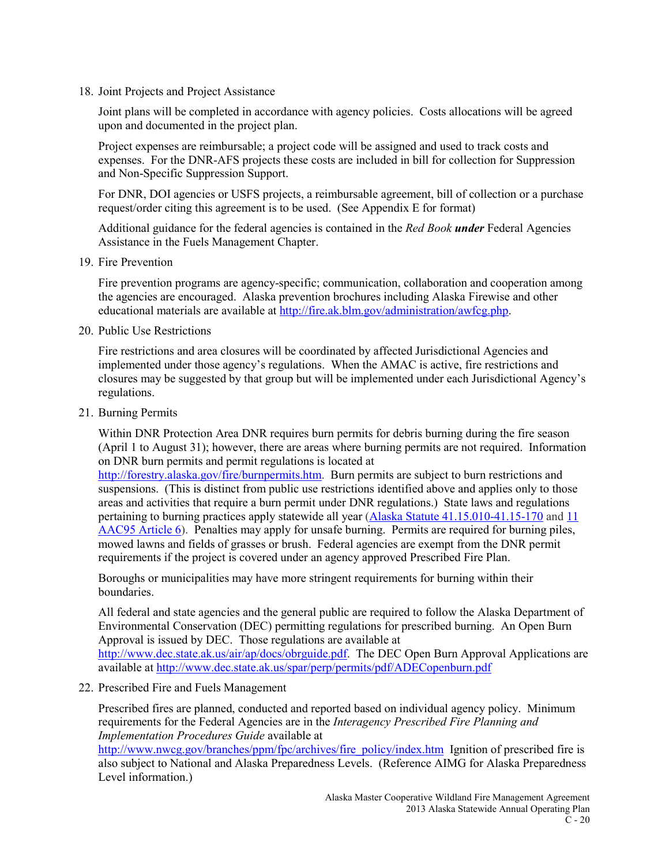18. Joint Projects and Project Assistance

Joint plans will be completed in accordance with agency policies. Costs allocations will be agreed upon and documented in the project plan.

Project expenses are reimbursable; a project code will be assigned and used to track costs and expenses. For the DNR-AFS projects these costs are included in bill for collection for Suppression and Non-Specific Suppression Support.

For DNR, DOI agencies or USFS projects, a reimbursable agreement, bill of collection or a purchase request/order citing this agreement is to be used. (See Appendix E for format)

Additional guidance for the federal agencies is contained in the *Red Book under* Federal Agencies Assistance in the Fuels Management Chapter.

19. Fire Prevention

Fire prevention programs are agency-specific; communication, collaboration and cooperation among the agencies are encouraged. Alaska prevention brochures including Alaska Firewise and other educational materials are available at [http://fire.ak.blm.gov/administration/awfcg.php.](http://fire.ak.blm.gov/administration/awfcg.php)

20. Public Use Restrictions

Fire restrictions and area closures will be coordinated by affected Jurisdictional Agencies and implemented under those agency's regulations. When the AMAC is active, fire restrictions and closures may be suggested by that group but will be implemented under each Jurisdictional Agency's regulations.

21. Burning Permits

Within DNR Protection Area DNR requires burn permits for debris burning during the fire season (April 1 to August 31); however, there are areas where burning permits are not required. Information on DNR burn permits and permit regulations is located at

[http://forestry.alaska.gov/fire/burnpermits.htm.](http://forestry.alaska.gov/fire/burnpermits.htm) Burn permits are subject to burn restrictions and suspensions. (This is distinct from public use restrictions identified above and applies only to those areas and activities that require a burn permit under DNR regulations.) State laws and regulations pertaining to burning practices apply statewide all year (Alaska Statute [41.15.010-41.15-170](http://forestry.alaska.gov/pdfs/AS4115.pdf) and 11 [AAC95 Article 6\)](http://forestry.alaska.gov/pdfs/11AAC95art6.pdf). Penalties may apply for unsafe burning. Permits are required for burning piles, mowed lawns and fields of grasses or brush. Federal agencies are exempt from the DNR permit requirements if the project is covered under an agency approved Prescribed Fire Plan.

Boroughs or municipalities may have more stringent requirements for burning within their boundaries.

All federal and state agencies and the general public are required to follow the Alaska Department of Environmental Conservation (DEC) permitting regulations for prescribed burning. An Open Burn Approval is issued by DEC. Those regulations are available at [http://www.dec.state.ak.us/air/ap/docs/obrguide.pdf.](http://www.dec.state.ak.us/air/ap/docs/obrguide.pdf) The DEC Open Burn Approval Applications are available at<http://www.dec.state.ak.us/spar/perp/permits/pdf/ADECopenburn.pdf>

22. Prescribed Fire and Fuels Management

Prescribed fires are planned, conducted and reported based on individual agency policy. Minimum requirements for the Federal Agencies are in the *Interagency Prescribed Fire Planning and Implementation Procedures Guide* available at

[http://www.nwcg.gov/branches/ppm/fpc/archives/fire\\_policy/index.htm](http://www.nwcg.gov/branches/ppm/fpc/archives/fire_policy/index.htm) Ignition of prescribed fire is also subject to National and Alaska Preparedness Levels. (Reference AIMG for Alaska Preparedness Level information.)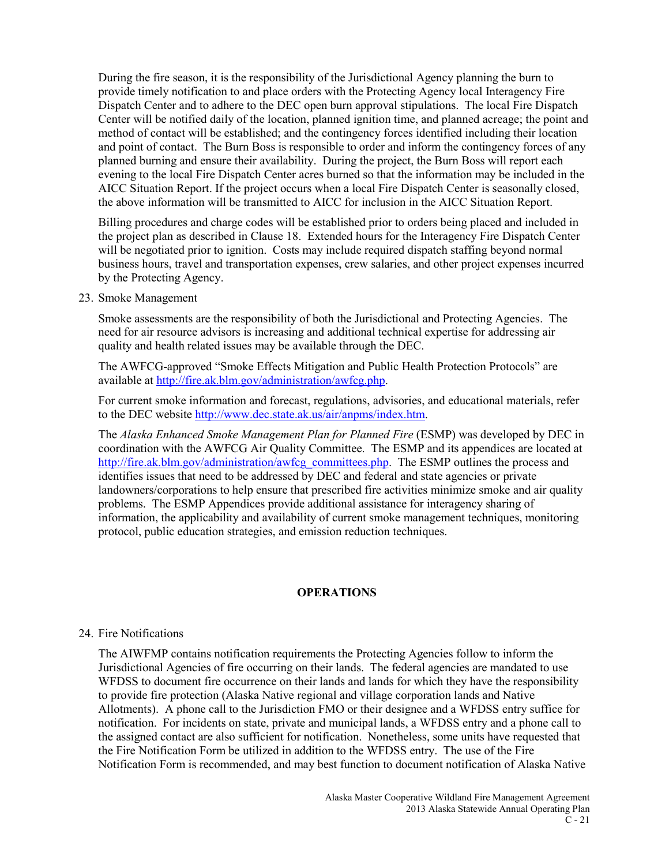During the fire season, it is the responsibility of the Jurisdictional Agency planning the burn to provide timely notification to and place orders with the Protecting Agency local Interagency Fire Dispatch Center and to adhere to the DEC open burn approval stipulations. The local Fire Dispatch Center will be notified daily of the location, planned ignition time, and planned acreage; the point and method of contact will be established; and the contingency forces identified including their location and point of contact. The Burn Boss is responsible to order and inform the contingency forces of any planned burning and ensure their availability. During the project, the Burn Boss will report each evening to the local Fire Dispatch Center acres burned so that the information may be included in the AICC Situation Report. If the project occurs when a local Fire Dispatch Center is seasonally closed, the above information will be transmitted to AICC for inclusion in the AICC Situation Report.

Billing procedures and charge codes will be established prior to orders being placed and included in the project plan as described in Clause 18. Extended hours for the Interagency Fire Dispatch Center will be negotiated prior to ignition. Costs may include required dispatch staffing beyond normal business hours, travel and transportation expenses, crew salaries, and other project expenses incurred by the Protecting Agency.

23. Smoke Management

Smoke assessments are the responsibility of both the Jurisdictional and Protecting Agencies. The need for air resource advisors is increasing and additional technical expertise for addressing air quality and health related issues may be available through the DEC.

The AWFCG-approved "Smoke Effects Mitigation and Public Health Protection Protocols" are available at [http://fire.ak.blm.gov/administration/awfcg.php.](http://fire.ak.blm.gov/administration/awfcg.php)

For current smoke information and forecast, regulations, advisories, and educational materials, refer to the DEC website [http://www.dec.state.ak.us/air/anpms/index.htm.](http://www.dec.state.ak.us/air/anpms/index.htm)

The *Alaska Enhanced Smoke Management Plan for Planned Fire* (ESMP) was developed by DEC in coordination with the AWFCG Air Quality Committee. The ESMP and its appendices are located at [http://fire.ak.blm.gov/administration/awfcg\\_committees.php.](http://fire.ak.blm.gov/administration/awfcg_committees.php) The ESMP outlines the process and identifies issues that need to be addressed by DEC and federal and state agencies or private landowners/corporations to help ensure that prescribed fire activities minimize smoke and air quality problems. The ESMP Appendices provide additional assistance for interagency sharing of information, the applicability and availability of current smoke management techniques, monitoring protocol, public education strategies, and emission reduction techniques.

### **OPERATIONS**

### 24. Fire Notifications

The AIWFMP contains notification requirements the Protecting Agencies follow to inform the Jurisdictional Agencies of fire occurring on their lands. The federal agencies are mandated to use WFDSS to document fire occurrence on their lands and lands for which they have the responsibility to provide fire protection (Alaska Native regional and village corporation lands and Native Allotments). A phone call to the Jurisdiction FMO or their designee and a WFDSS entry suffice for notification. For incidents on state, private and municipal lands, a WFDSS entry and a phone call to the assigned contact are also sufficient for notification. Nonetheless, some units have requested that the Fire Notification Form be utilized in addition to the WFDSS entry. The use of the Fire Notification Form is recommended, and may best function to document notification of Alaska Native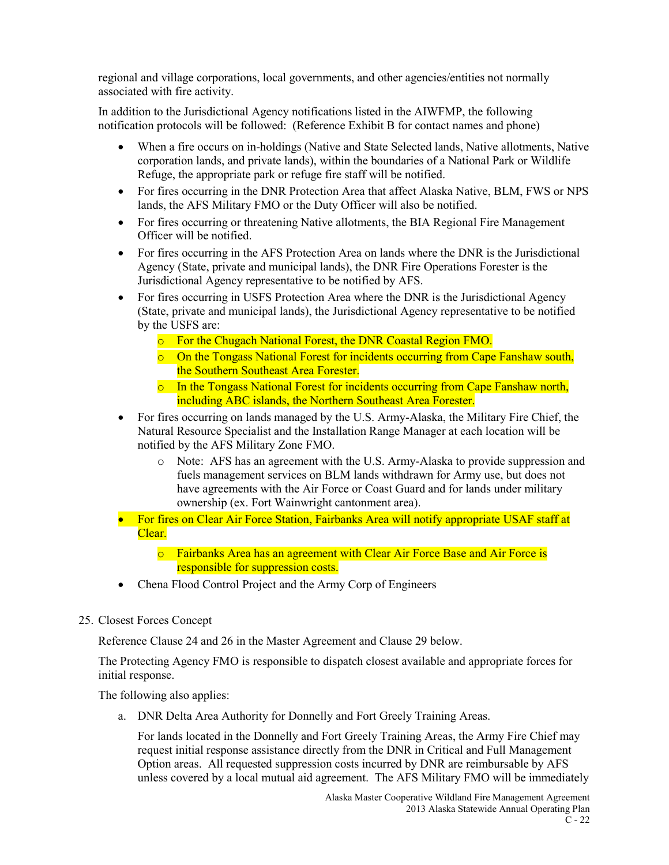regional and village corporations, local governments, and other agencies/entities not normally associated with fire activity.

In addition to the Jurisdictional Agency notifications listed in the AIWFMP, the following notification protocols will be followed: (Reference Exhibit B for contact names and phone)

- When a fire occurs on in-holdings (Native and State Selected lands, Native allotments, Native corporation lands, and private lands), within the boundaries of a National Park or Wildlife Refuge, the appropriate park or refuge fire staff will be notified.
- For fires occurring in the DNR Protection Area that affect Alaska Native, BLM, FWS or NPS lands, the AFS Military FMO or the Duty Officer will also be notified.
- For fires occurring or threatening Native allotments, the BIA Regional Fire Management Officer will be notified.
- For fires occurring in the AFS Protection Area on lands where the DNR is the Jurisdictional Agency (State, private and municipal lands), the DNR Fire Operations Forester is the Jurisdictional Agency representative to be notified by AFS.
- For fires occurring in USFS Protection Area where the DNR is the Jurisdictional Agency (State, private and municipal lands), the Jurisdictional Agency representative to be notified by the USFS are:
	- o For the Chugach National Forest, the DNR Coastal Region FMO.
	- o On the Tongass National Forest for incidents occurring from Cape Fanshaw south, the Southern Southeast Area Forester.
	- $\circ$  In the Tongass National Forest for incidents occurring from Cape Fanshaw north, including ABC islands, the Northern Southeast Area Forester.
- For fires occurring on lands managed by the U.S. Army-Alaska, the Military Fire Chief, the Natural Resource Specialist and the Installation Range Manager at each location will be notified by the AFS Military Zone FMO.
	- o Note: AFS has an agreement with the U.S. Army-Alaska to provide suppression and fuels management services on BLM lands withdrawn for Army use, but does not have agreements with the Air Force or Coast Guard and for lands under military ownership (ex. Fort Wainwright cantonment area).
- For fires on Clear Air Force Station, Fairbanks Area will notify appropriate USAF staff at Clear.
	- o Fairbanks Area has an agreement with Clear Air Force Base and Air Force is responsible for suppression costs.
- Chena Flood Control Project and the Army Corp of Engineers
- 25. Closest Forces Concept

Reference Clause 24 and 26 in the Master Agreement and Clause 29 below.

The Protecting Agency FMO is responsible to dispatch closest available and appropriate forces for initial response.

The following also applies:

a. DNR Delta Area Authority for Donnelly and Fort Greely Training Areas.

For lands located in the Donnelly and Fort Greely Training Areas, the Army Fire Chief may request initial response assistance directly from the DNR in Critical and Full Management Option areas. All requested suppression costs incurred by DNR are reimbursable by AFS unless covered by a local mutual aid agreement. The AFS Military FMO will be immediately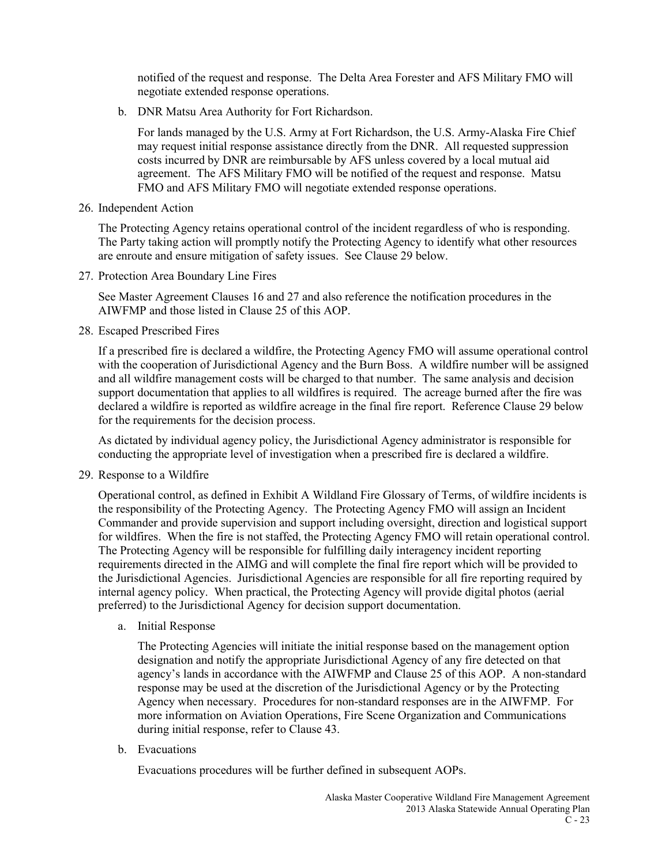notified of the request and response. The Delta Area Forester and AFS Military FMO will negotiate extended response operations.

b. DNR Matsu Area Authority for Fort Richardson.

For lands managed by the U.S. Army at Fort Richardson, the U.S. Army-Alaska Fire Chief may request initial response assistance directly from the DNR. All requested suppression costs incurred by DNR are reimbursable by AFS unless covered by a local mutual aid agreement. The AFS Military FMO will be notified of the request and response. Matsu FMO and AFS Military FMO will negotiate extended response operations.

26. Independent Action

The Protecting Agency retains operational control of the incident regardless of who is responding. The Party taking action will promptly notify the Protecting Agency to identify what other resources are enroute and ensure mitigation of safety issues. See Clause 29 below.

27. Protection Area Boundary Line Fires

See Master Agreement Clauses 16 and 27 and also reference the notification procedures in the AIWFMP and those listed in Clause 25 of this AOP.

28. Escaped Prescribed Fires

If a prescribed fire is declared a wildfire, the Protecting Agency FMO will assume operational control with the cooperation of Jurisdictional Agency and the Burn Boss. A wildfire number will be assigned and all wildfire management costs will be charged to that number. The same analysis and decision support documentation that applies to all wildfires is required. The acreage burned after the fire was declared a wildfire is reported as wildfire acreage in the final fire report. Reference Clause 29 below for the requirements for the decision process.

As dictated by individual agency policy, the Jurisdictional Agency administrator is responsible for conducting the appropriate level of investigation when a prescribed fire is declared a wildfire.

29. Response to a Wildfire

Operational control, as defined in Exhibit A Wildland Fire Glossary of Terms, of wildfire incidents is the responsibility of the Protecting Agency. The Protecting Agency FMO will assign an Incident Commander and provide supervision and support including oversight, direction and logistical support for wildfires. When the fire is not staffed, the Protecting Agency FMO will retain operational control. The Protecting Agency will be responsible for fulfilling daily interagency incident reporting requirements directed in the AIMG and will complete the final fire report which will be provided to the Jurisdictional Agencies. Jurisdictional Agencies are responsible for all fire reporting required by internal agency policy. When practical, the Protecting Agency will provide digital photos (aerial preferred) to the Jurisdictional Agency for decision support documentation.

a. Initial Response

The Protecting Agencies will initiate the initial response based on the management option designation and notify the appropriate Jurisdictional Agency of any fire detected on that agency's lands in accordance with the AIWFMP and Clause 25 of this AOP. A non-standard response may be used at the discretion of the Jurisdictional Agency or by the Protecting Agency when necessary. Procedures for non-standard responses are in the AIWFMP. For more information on Aviation Operations, Fire Scene Organization and Communications during initial response, refer to Clause 43.

b. Evacuations

Evacuations procedures will be further defined in subsequent AOPs.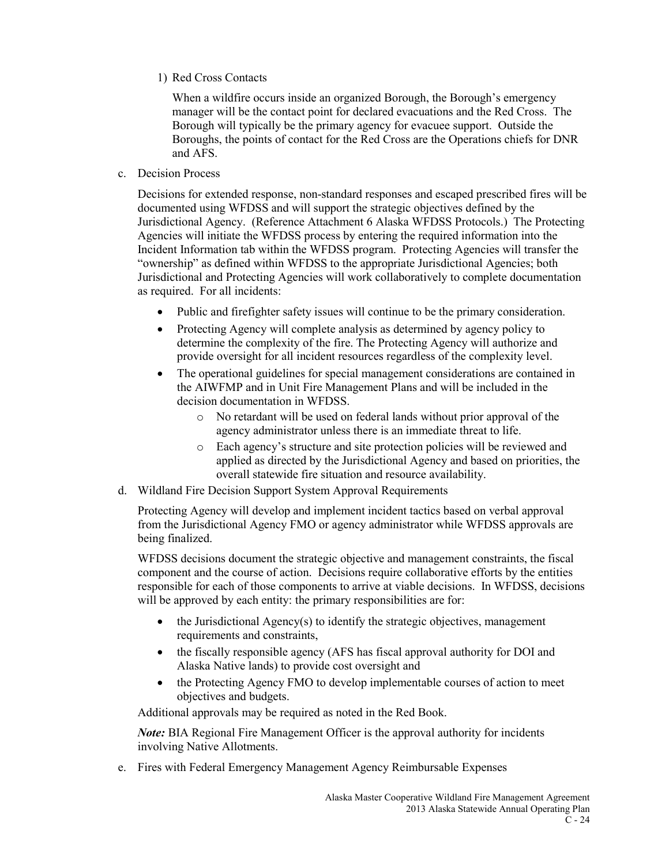1) Red Cross Contacts

When a wildfire occurs inside an organized Borough, the Borough's emergency manager will be the contact point for declared evacuations and the Red Cross. The Borough will typically be the primary agency for evacuee support. Outside the Boroughs, the points of contact for the Red Cross are the Operations chiefs for DNR and AFS.

c. Decision Process

Decisions for extended response, non-standard responses and escaped prescribed fires will be documented using WFDSS and will support the strategic objectives defined by the Jurisdictional Agency. (Reference Attachment 6 Alaska WFDSS Protocols.) The Protecting Agencies will initiate the WFDSS process by entering the required information into the Incident Information tab within the WFDSS program. Protecting Agencies will transfer the "ownership" as defined within WFDSS to the appropriate Jurisdictional Agencies; both Jurisdictional and Protecting Agencies will work collaboratively to complete documentation as required. For all incidents:

- Public and firefighter safety issues will continue to be the primary consideration.
- Protecting Agency will complete analysis as determined by agency policy to determine the complexity of the fire. The Protecting Agency will authorize and provide oversight for all incident resources regardless of the complexity level.
- The operational guidelines for special management considerations are contained in the AIWFMP and in Unit Fire Management Plans and will be included in the decision documentation in WFDSS.
	- o No retardant will be used on federal lands without prior approval of the agency administrator unless there is an immediate threat to life.
	- o Each agency's structure and site protection policies will be reviewed and applied as directed by the Jurisdictional Agency and based on priorities, the overall statewide fire situation and resource availability.
- d. Wildland Fire Decision Support System Approval Requirements

Protecting Agency will develop and implement incident tactics based on verbal approval from the Jurisdictional Agency FMO or agency administrator while WFDSS approvals are being finalized.

WFDSS decisions document the strategic objective and management constraints, the fiscal component and the course of action. Decisions require collaborative efforts by the entities responsible for each of those components to arrive at viable decisions. In WFDSS, decisions will be approved by each entity: the primary responsibilities are for:

- $\bullet$  the Jurisdictional Agency(s) to identify the strategic objectives, management requirements and constraints,
- the fiscally responsible agency (AFS has fiscal approval authority for DOI and Alaska Native lands) to provide cost oversight and
- the Protecting Agency FMO to develop implementable courses of action to meet objectives and budgets.

Additional approvals may be required as noted in the Red Book.

*Note:* BIA Regional Fire Management Officer is the approval authority for incidents involving Native Allotments.

e. Fires with Federal Emergency Management Agency Reimbursable Expenses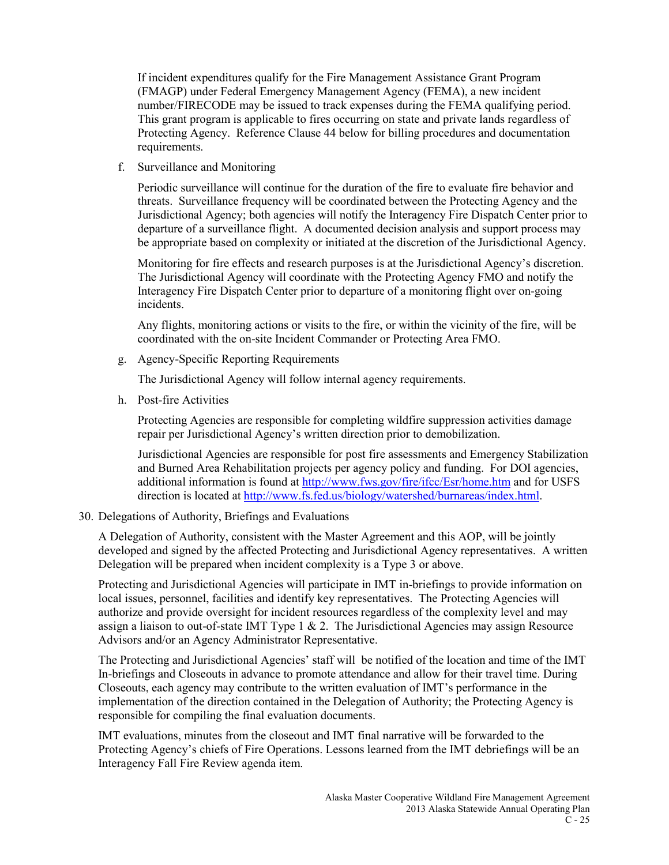If incident expenditures qualify for the Fire Management Assistance Grant Program (FMAGP) under Federal Emergency Management Agency (FEMA), a new incident number/FIRECODE may be issued to track expenses during the FEMA qualifying period. This grant program is applicable to fires occurring on state and private lands regardless of Protecting Agency. Reference Clause 44 below for billing procedures and documentation requirements.

f. Surveillance and Monitoring

Periodic surveillance will continue for the duration of the fire to evaluate fire behavior and threats. Surveillance frequency will be coordinated between the Protecting Agency and the Jurisdictional Agency; both agencies will notify the Interagency Fire Dispatch Center prior to departure of a surveillance flight. A documented decision analysis and support process may be appropriate based on complexity or initiated at the discretion of the Jurisdictional Agency.

Monitoring for fire effects and research purposes is at the Jurisdictional Agency's discretion. The Jurisdictional Agency will coordinate with the Protecting Agency FMO and notify the Interagency Fire Dispatch Center prior to departure of a monitoring flight over on-going incidents.

Any flights, monitoring actions or visits to the fire, or within the vicinity of the fire, will be coordinated with the on-site Incident Commander or Protecting Area FMO.

g. Agency-Specific Reporting Requirements

The Jurisdictional Agency will follow internal agency requirements.

h. Post-fire Activities

Protecting Agencies are responsible for completing wildfire suppression activities damage repair per Jurisdictional Agency's written direction prior to demobilization.

Jurisdictional Agencies are responsible for post fire assessments and Emergency Stabilization and Burned Area Rehabilitation projects per agency policy and funding. For DOI agencies, additional information is found at<http://www.fws.gov/fire/ifcc/Esr/home.htm> and for USFS direction is located at [http://www.fs.fed.us/biology/watershed/burnareas/index.html.](http://www.fs.fed.us/biology/watershed/burnareas/index.html)

30. Delegations of Authority, Briefings and Evaluations

A Delegation of Authority, consistent with the Master Agreement and this AOP, will be jointly developed and signed by the affected Protecting and Jurisdictional Agency representatives. A written Delegation will be prepared when incident complexity is a Type 3 or above.

Protecting and Jurisdictional Agencies will participate in IMT in-briefings to provide information on local issues, personnel, facilities and identify key representatives. The Protecting Agencies will authorize and provide oversight for incident resources regardless of the complexity level and may assign a liaison to out-of-state IMT Type  $1 \& 2$ . The Jurisdictional Agencies may assign Resource Advisors and/or an Agency Administrator Representative.

The Protecting and Jurisdictional Agencies' staff will be notified of the location and time of the IMT In-briefings and Closeouts in advance to promote attendance and allow for their travel time. During Closeouts, each agency may contribute to the written evaluation of IMT's performance in the implementation of the direction contained in the Delegation of Authority; the Protecting Agency is responsible for compiling the final evaluation documents.

IMT evaluations, minutes from the closeout and IMT final narrative will be forwarded to the Protecting Agency's chiefs of Fire Operations. Lessons learned from the IMT debriefings will be an Interagency Fall Fire Review agenda item.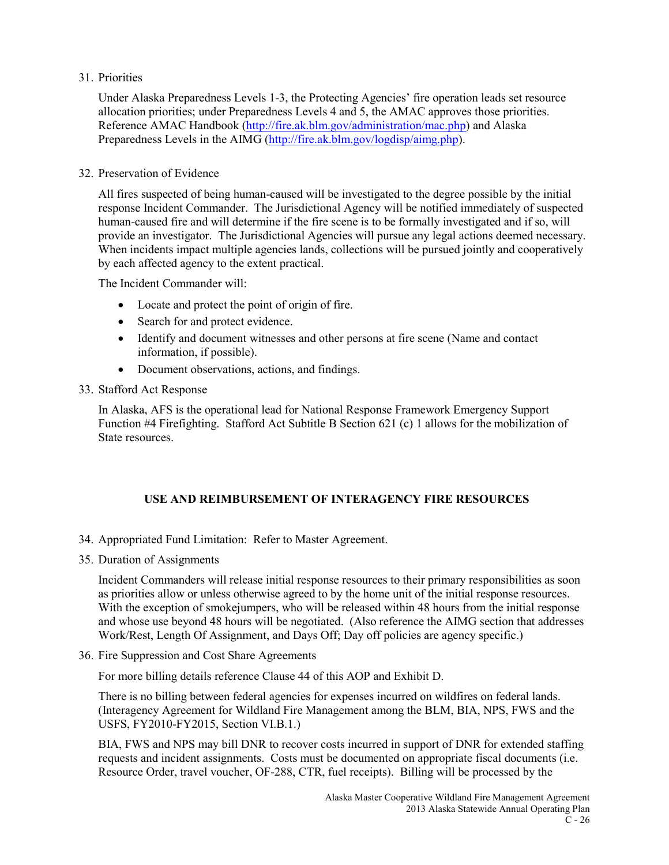### 31. Priorities

Under Alaska Preparedness Levels 1-3, the Protecting Agencies' fire operation leads set resource allocation priorities; under Preparedness Levels 4 and 5, the AMAC approves those priorities. Reference AMAC Handbook [\(http://fire.ak.blm.gov/administration/mac.php\)](http://fire.ak.blm.gov/administration/mac.php) and Alaska Preparedness Levels in the AIMG [\(http://fire.ak.blm.gov/logdisp/aimg.php\)](http://fire.ak.blm.gov/logdisp/aimg.php).

### 32. Preservation of Evidence

All fires suspected of being human-caused will be investigated to the degree possible by the initial response Incident Commander. The Jurisdictional Agency will be notified immediately of suspected human-caused fire and will determine if the fire scene is to be formally investigated and if so, will provide an investigator. The Jurisdictional Agencies will pursue any legal actions deemed necessary. When incidents impact multiple agencies lands, collections will be pursued jointly and cooperatively by each affected agency to the extent practical.

The Incident Commander will:

- Locate and protect the point of origin of fire.
- Search for and protect evidence.
- Identify and document witnesses and other persons at fire scene (Name and contact information, if possible).
- Document observations, actions, and findings.
- 33. Stafford Act Response

In Alaska, AFS is the operational lead for National Response Framework Emergency Support Function #4 Firefighting. Stafford Act Subtitle B Section 621 (c) 1 allows for the mobilization of State resources.

### **USE AND REIMBURSEMENT OF INTERAGENCY FIRE RESOURCES**

- 34. Appropriated Fund Limitation: Refer to Master Agreement.
- 35. Duration of Assignments

Incident Commanders will release initial response resources to their primary responsibilities as soon as priorities allow or unless otherwise agreed to by the home unit of the initial response resources. With the exception of smokejumpers, who will be released within 48 hours from the initial response and whose use beyond 48 hours will be negotiated. (Also reference the AIMG section that addresses Work/Rest, Length Of Assignment, and Days Off; Day off policies are agency specific.)

36. Fire Suppression and Cost Share Agreements

For more billing details reference Clause 44 of this AOP and Exhibit D.

There is no billing between federal agencies for expenses incurred on wildfires on federal lands. (Interagency Agreement for Wildland Fire Management among the BLM, BIA, NPS, FWS and the USFS, FY2010-FY2015, Section VI.B.1.)

BIA, FWS and NPS may bill DNR to recover costs incurred in support of DNR for extended staffing requests and incident assignments. Costs must be documented on appropriate fiscal documents (i.e. Resource Order, travel voucher, OF-288, CTR, fuel receipts). Billing will be processed by the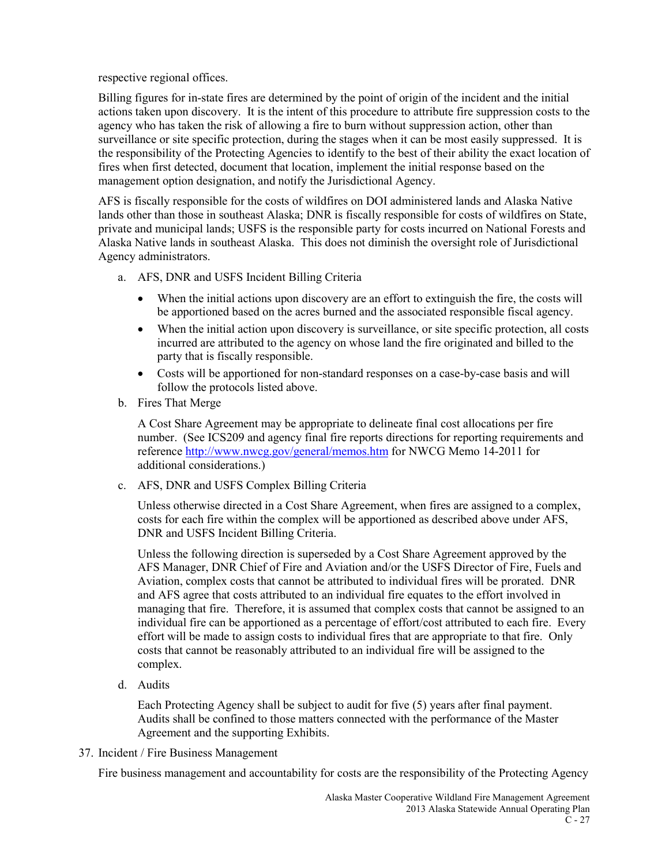respective regional offices.

Billing figures for in-state fires are determined by the point of origin of the incident and the initial actions taken upon discovery. It is the intent of this procedure to attribute fire suppression costs to the agency who has taken the risk of allowing a fire to burn without suppression action, other than surveillance or site specific protection, during the stages when it can be most easily suppressed. It is the responsibility of the Protecting Agencies to identify to the best of their ability the exact location of fires when first detected, document that location, implement the initial response based on the management option designation, and notify the Jurisdictional Agency.

AFS is fiscally responsible for the costs of wildfires on DOI administered lands and Alaska Native lands other than those in southeast Alaska; DNR is fiscally responsible for costs of wildfires on State, private and municipal lands; USFS is the responsible party for costs incurred on National Forests and Alaska Native lands in southeast Alaska. This does not diminish the oversight role of Jurisdictional Agency administrators.

- a. AFS, DNR and USFS Incident Billing Criteria
	- When the initial actions upon discovery are an effort to extinguish the fire, the costs will be apportioned based on the acres burned and the associated responsible fiscal agency.
	- When the initial action upon discovery is surveillance, or site specific protection, all costs incurred are attributed to the agency on whose land the fire originated and billed to the party that is fiscally responsible.
	- Costs will be apportioned for non-standard responses on a case-by-case basis and will follow the protocols listed above.
- b. Fires That Merge

A Cost Share Agreement may be appropriate to delineate final cost allocations per fire number. (See ICS209 and agency final fire reports directions for reporting requirements and referenc[e http://www.nwcg.gov/general/memos.htm](http://www.nwcg.gov/general/memos.htm) for NWCG Memo 14-2011 for additional considerations.)

c. AFS, DNR and USFS Complex Billing Criteria

Unless otherwise directed in a Cost Share Agreement, when fires are assigned to a complex, costs for each fire within the complex will be apportioned as described above under AFS, DNR and USFS Incident Billing Criteria.

Unless the following direction is superseded by a Cost Share Agreement approved by the AFS Manager, DNR Chief of Fire and Aviation and/or the USFS Director of Fire, Fuels and Aviation, complex costs that cannot be attributed to individual fires will be prorated. DNR and AFS agree that costs attributed to an individual fire equates to the effort involved in managing that fire. Therefore, it is assumed that complex costs that cannot be assigned to an individual fire can be apportioned as a percentage of effort/cost attributed to each fire. Every effort will be made to assign costs to individual fires that are appropriate to that fire. Only costs that cannot be reasonably attributed to an individual fire will be assigned to the complex.

d. Audits

Each Protecting Agency shall be subject to audit for five (5) years after final payment. Audits shall be confined to those matters connected with the performance of the Master Agreement and the supporting Exhibits.

37. Incident / Fire Business Management

Fire business management and accountability for costs are the responsibility of the Protecting Agency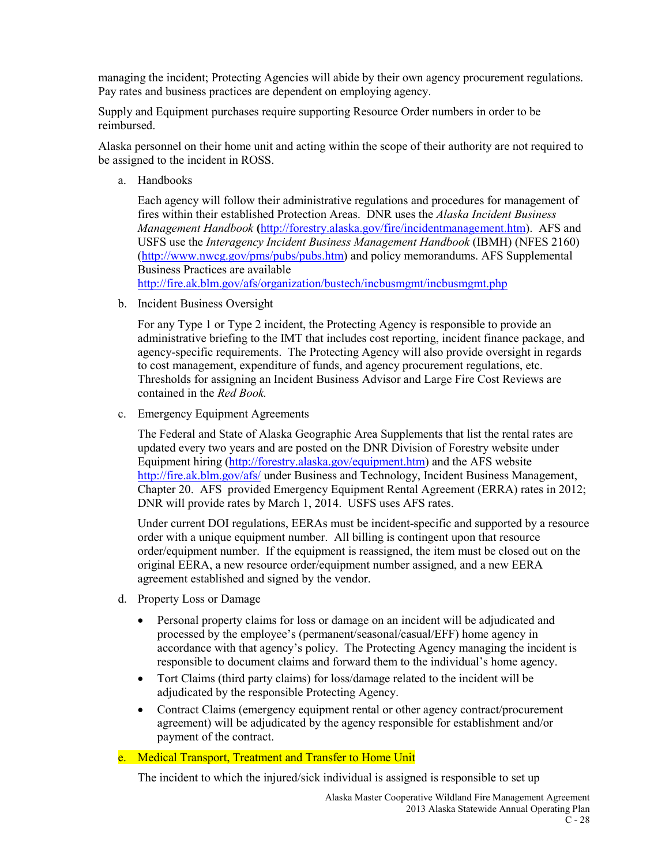managing the incident; Protecting Agencies will abide by their own agency procurement regulations. Pay rates and business practices are dependent on employing agency.

Supply and Equipment purchases require supporting Resource Order numbers in order to be reimbursed.

Alaska personnel on their home unit and acting within the scope of their authority are not required to be assigned to the incident in ROSS.

a. Handbooks

Each agency will follow their administrative regulations and procedures for management of fires within their established Protection Areas. DNR uses the *Alaska Incident Business Management Handbook* **(**[http://forestry.alaska.gov/fire/incidentmanagement.htm\)](http://forestry.alaska.gov/fire/incidentmanagement.htm). AFS and USFS use the *Interagency Incident Business Management Handbook* (IBMH) (NFES 2160) [\(http://www.nwcg.gov/pms/pubs/pubs.htm\)](http://www.nwcg.gov/pms/pubs/pubs.htm) and policy memorandums. AFS Supplemental Business Practices are available

<http://fire.ak.blm.gov/afs/organization/bustech/incbusmgmt/incbusmgmt.php>

b. Incident Business Oversight

For any Type 1 or Type 2 incident, the Protecting Agency is responsible to provide an administrative briefing to the IMT that includes cost reporting, incident finance package, and agency-specific requirements. The Protecting Agency will also provide oversight in regards to cost management, expenditure of funds, and agency procurement regulations, etc. Thresholds for assigning an Incident Business Advisor and Large Fire Cost Reviews are contained in the *Red Book.*

c. Emergency Equipment Agreements

The Federal and State of Alaska Geographic Area Supplements that list the rental rates are updated every two years and are posted on the DNR Division of Forestry website under Equipment hiring [\(http://forestry.alaska.gov/equipment.htm\)](http://forestry.alaska.gov/equipment.htm) and the AFS website <http://fire.ak.blm.gov/afs/> under Business and Technology, Incident Business Management, Chapter 20. AFS provided Emergency Equipment Rental Agreement (ERRA) rates in 2012; DNR will provide rates by March 1, 2014. USFS uses AFS rates.

Under current DOI regulations, EERAs must be incident-specific and supported by a resource order with a unique equipment number. All billing is contingent upon that resource order/equipment number. If the equipment is reassigned, the item must be closed out on the original EERA, a new resource order/equipment number assigned, and a new EERA agreement established and signed by the vendor.

- d. Property Loss or Damage
	- Personal property claims for loss or damage on an incident will be adjudicated and processed by the employee's (permanent/seasonal/casual/EFF) home agency in accordance with that agency's policy. The Protecting Agency managing the incident is responsible to document claims and forward them to the individual's home agency.
	- Tort Claims (third party claims) for loss/damage related to the incident will be adjudicated by the responsible Protecting Agency.
	- Contract Claims (emergency equipment rental or other agency contract/procurement agreement) will be adjudicated by the agency responsible for establishment and/or payment of the contract.

### e. Medical Transport, Treatment and Transfer to Home Unit

The incident to which the injured/sick individual is assigned is responsible to set up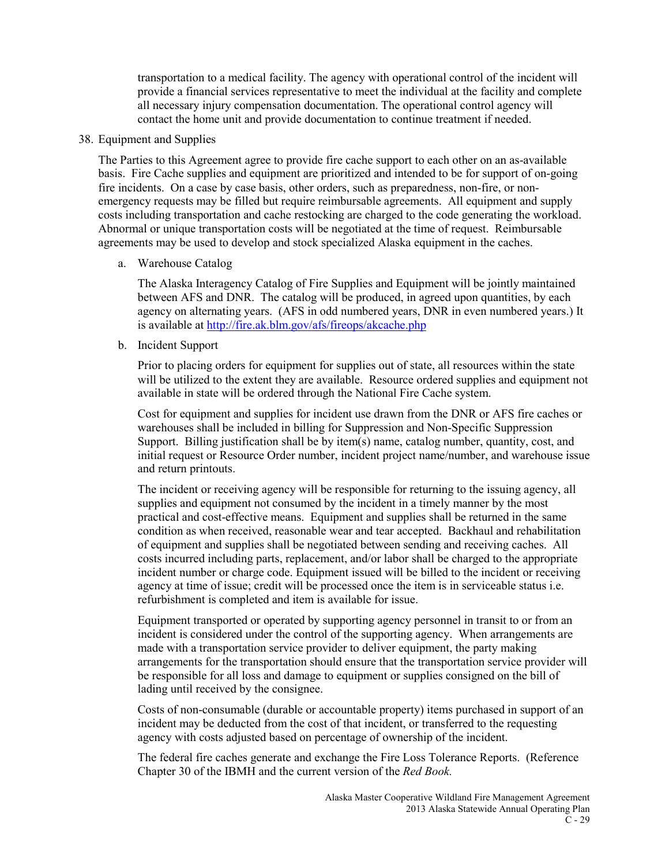transportation to a medical facility. The agency with operational control of the incident will provide a financial services representative to meet the individual at the facility and complete all necessary injury compensation documentation. The operational control agency will contact the home unit and provide documentation to continue treatment if needed.

### 38. Equipment and Supplies

The Parties to this Agreement agree to provide fire cache support to each other on an as-available basis. Fire Cache supplies and equipment are prioritized and intended to be for support of on-going fire incidents. On a case by case basis, other orders, such as preparedness, non-fire, or nonemergency requests may be filled but require reimbursable agreements. All equipment and supply costs including transportation and cache restocking are charged to the code generating the workload. Abnormal or unique transportation costs will be negotiated at the time of request. Reimbursable agreements may be used to develop and stock specialized Alaska equipment in the caches.

### a. Warehouse Catalog

The Alaska Interagency Catalog of Fire Supplies and Equipment will be jointly maintained between AFS and DNR. The catalog will be produced, in agreed upon quantities, by each agency on alternating years. (AFS in odd numbered years, DNR in even numbered years.) It is available at<http://fire.ak.blm.gov/afs/fireops/akcache.php>

### b. Incident Support

Prior to placing orders for equipment for supplies out of state, all resources within the state will be utilized to the extent they are available. Resource ordered supplies and equipment not available in state will be ordered through the National Fire Cache system.

Cost for equipment and supplies for incident use drawn from the DNR or AFS fire caches or warehouses shall be included in billing for Suppression and Non-Specific Suppression Support. Billing justification shall be by item(s) name, catalog number, quantity, cost, and initial request or Resource Order number, incident project name/number, and warehouse issue and return printouts.

The incident or receiving agency will be responsible for returning to the issuing agency, all supplies and equipment not consumed by the incident in a timely manner by the most practical and cost-effective means. Equipment and supplies shall be returned in the same condition as when received, reasonable wear and tear accepted. Backhaul and rehabilitation of equipment and supplies shall be negotiated between sending and receiving caches. All costs incurred including parts, replacement, and/or labor shall be charged to the appropriate incident number or charge code. Equipment issued will be billed to the incident or receiving agency at time of issue; credit will be processed once the item is in serviceable status i.e. refurbishment is completed and item is available for issue.

Equipment transported or operated by supporting agency personnel in transit to or from an incident is considered under the control of the supporting agency. When arrangements are made with a transportation service provider to deliver equipment, the party making arrangements for the transportation should ensure that the transportation service provider will be responsible for all loss and damage to equipment or supplies consigned on the bill of lading until received by the consignee.

Costs of non-consumable (durable or accountable property) items purchased in support of an incident may be deducted from the cost of that incident, or transferred to the requesting agency with costs adjusted based on percentage of ownership of the incident.

The federal fire caches generate and exchange the Fire Loss Tolerance Reports. (Reference Chapter 30 of the IBMH and the current version of the *Red Book.*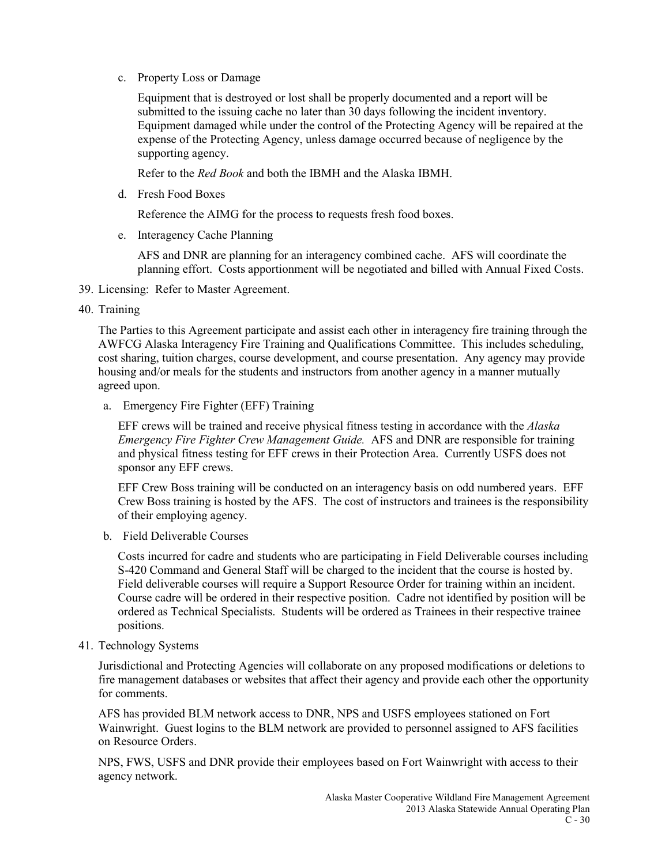c. Property Loss or Damage

Equipment that is destroyed or lost shall be properly documented and a report will be submitted to the issuing cache no later than 30 days following the incident inventory. Equipment damaged while under the control of the Protecting Agency will be repaired at the expense of the Protecting Agency, unless damage occurred because of negligence by the supporting agency.

Refer to the *Red Book* and both the IBMH and the Alaska IBMH.

d. Fresh Food Boxes

Reference the AIMG for the process to requests fresh food boxes.

e. Interagency Cache Planning

AFS and DNR are planning for an interagency combined cache. AFS will coordinate the planning effort. Costs apportionment will be negotiated and billed with Annual Fixed Costs.

- 39. Licensing: Refer to Master Agreement.
- 40. Training

The Parties to this Agreement participate and assist each other in interagency fire training through the AWFCG Alaska Interagency Fire Training and Qualifications Committee. This includes scheduling, cost sharing, tuition charges, course development, and course presentation. Any agency may provide housing and/or meals for the students and instructors from another agency in a manner mutually agreed upon.

a. Emergency Fire Fighter (EFF) Training

EFF crews will be trained and receive physical fitness testing in accordance with the *Alaska Emergency Fire Fighter Crew Management Guide.* AFS and DNR are responsible for training and physical fitness testing for EFF crews in their Protection Area. Currently USFS does not sponsor any EFF crews.

EFF Crew Boss training will be conducted on an interagency basis on odd numbered years. EFF Crew Boss training is hosted by the AFS. The cost of instructors and trainees is the responsibility of their employing agency.

b. Field Deliverable Courses

Costs incurred for cadre and students who are participating in Field Deliverable courses including S-420 Command and General Staff will be charged to the incident that the course is hosted by. Field deliverable courses will require a Support Resource Order for training within an incident. Course cadre will be ordered in their respective position. Cadre not identified by position will be ordered as Technical Specialists. Students will be ordered as Trainees in their respective trainee positions.

41. Technology Systems

Jurisdictional and Protecting Agencies will collaborate on any proposed modifications or deletions to fire management databases or websites that affect their agency and provide each other the opportunity for comments.

AFS has provided BLM network access to DNR, NPS and USFS employees stationed on Fort Wainwright. Guest logins to the BLM network are provided to personnel assigned to AFS facilities on Resource Orders.

NPS, FWS, USFS and DNR provide their employees based on Fort Wainwright with access to their agency network.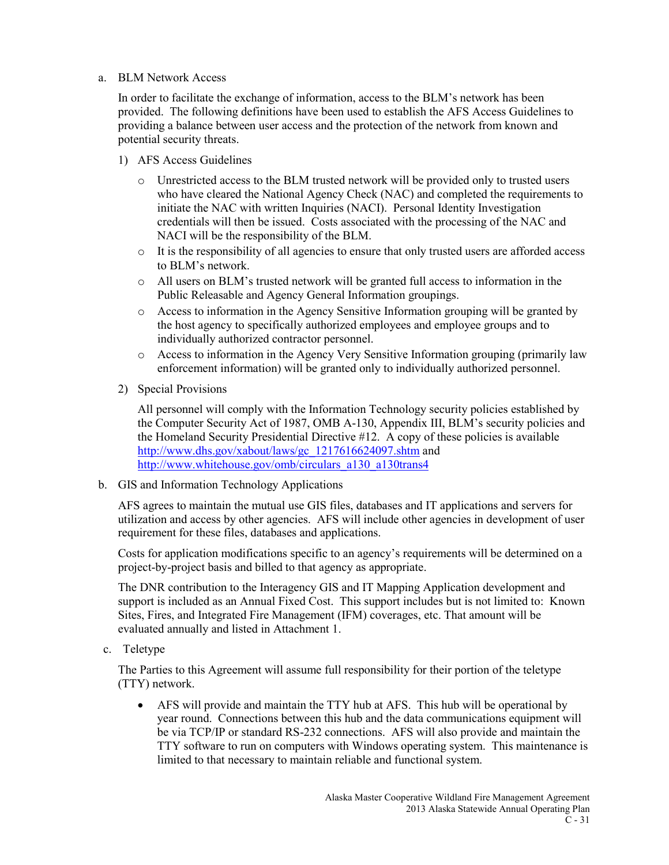a. BLM Network Access

In order to facilitate the exchange of information, access to the BLM's network has been provided. The following definitions have been used to establish the AFS Access Guidelines to providing a balance between user access and the protection of the network from known and potential security threats.

- 1) AFS Access Guidelines
	- o Unrestricted access to the BLM trusted network will be provided only to trusted users who have cleared the National Agency Check (NAC) and completed the requirements to initiate the NAC with written Inquiries (NACI). Personal Identity Investigation credentials will then be issued. Costs associated with the processing of the NAC and NACI will be the responsibility of the BLM.
	- o It is the responsibility of all agencies to ensure that only trusted users are afforded access to BLM's network.
	- o All users on BLM's trusted network will be granted full access to information in the Public Releasable and Agency General Information groupings.
	- o Access to information in the Agency Sensitive Information grouping will be granted by the host agency to specifically authorized employees and employee groups and to individually authorized contractor personnel.
	- o Access to information in the Agency Very Sensitive Information grouping (primarily law enforcement information) will be granted only to individually authorized personnel.
- 2) Special Provisions

All personnel will comply with the Information Technology security policies established by the Computer Security Act of 1987, OMB A-130, Appendix III, BLM's security policies and the Homeland Security Presidential Directive #12. A copy of these policies is available [http://www.dhs.gov/xabout/laws/gc\\_1217616624097.shtm](http://www.dhs.gov/xabout/laws/gc_1217616624097.shtm) and [http://www.whitehouse.gov/omb/circulars\\_a130\\_a130trans4](http://www.whitehouse.gov/omb/circulars_a130_a130trans4)

b. GIS and Information Technology Applications

AFS agrees to maintain the mutual use GIS files, databases and IT applications and servers for utilization and access by other agencies. AFS will include other agencies in development of user requirement for these files, databases and applications.

Costs for application modifications specific to an agency's requirements will be determined on a project-by-project basis and billed to that agency as appropriate.

The DNR contribution to the Interagency GIS and IT Mapping Application development and support is included as an Annual Fixed Cost. This support includes but is not limited to: Known Sites, Fires, and Integrated Fire Management (IFM) coverages, etc. That amount will be evaluated annually and listed in Attachment 1.

c. Teletype

The Parties to this Agreement will assume full responsibility for their portion of the teletype (TTY) network.

• AFS will provide and maintain the TTY hub at AFS. This hub will be operational by year round. Connections between this hub and the data communications equipment will be via TCP/IP or standard RS-232 connections. AFS will also provide and maintain the TTY software to run on computers with Windows operating system. This maintenance is limited to that necessary to maintain reliable and functional system.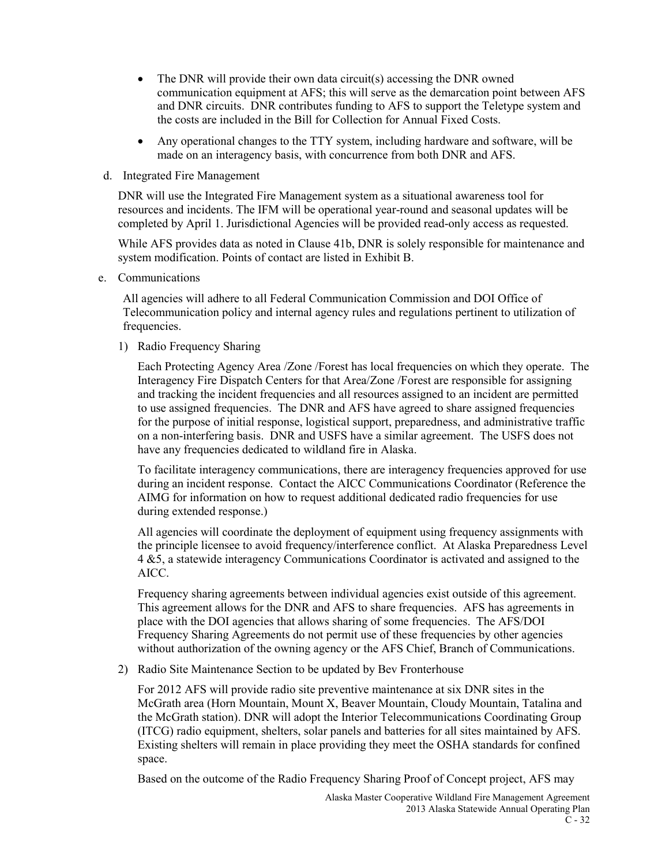- The DNR will provide their own data circuit(s) accessing the DNR owned communication equipment at AFS; this will serve as the demarcation point between AFS and DNR circuits. DNR contributes funding to AFS to support the Teletype system and the costs are included in the Bill for Collection for Annual Fixed Costs.
- Any operational changes to the TTY system, including hardware and software, will be made on an interagency basis, with concurrence from both DNR and AFS.
- d. Integrated Fire Management

DNR will use the Integrated Fire Management system as a situational awareness tool for resources and incidents. The IFM will be operational year-round and seasonal updates will be completed by April 1. Jurisdictional Agencies will be provided read-only access as requested.

While AFS provides data as noted in Clause 41b, DNR is solely responsible for maintenance and system modification. Points of contact are listed in Exhibit B.

e. Communications

All agencies will adhere to all Federal Communication Commission and DOI Office of Telecommunication policy and internal agency rules and regulations pertinent to utilization of frequencies.

1) Radio Frequency Sharing

Each Protecting Agency Area /Zone /Forest has local frequencies on which they operate. The Interagency Fire Dispatch Centers for that Area/Zone /Forest are responsible for assigning and tracking the incident frequencies and all resources assigned to an incident are permitted to use assigned frequencies. The DNR and AFS have agreed to share assigned frequencies for the purpose of initial response, logistical support, preparedness, and administrative traffic on a non-interfering basis. DNR and USFS have a similar agreement. The USFS does not have any frequencies dedicated to wildland fire in Alaska.

To facilitate interagency communications, there are interagency frequencies approved for use during an incident response. Contact the AICC Communications Coordinator (Reference the AIMG for information on how to request additional dedicated radio frequencies for use during extended response.)

All agencies will coordinate the deployment of equipment using frequency assignments with the principle licensee to avoid frequency/interference conflict. At Alaska Preparedness Level 4 &5, a statewide interagency Communications Coordinator is activated and assigned to the AICC.

Frequency sharing agreements between individual agencies exist outside of this agreement. This agreement allows for the DNR and AFS to share frequencies. AFS has agreements in place with the DOI agencies that allows sharing of some frequencies. The AFS/DOI Frequency Sharing Agreements do not permit use of these frequencies by other agencies without authorization of the owning agency or the AFS Chief, Branch of Communications.

2) Radio Site Maintenance Section to be updated by Bev Fronterhouse

For 2012 AFS will provide radio site preventive maintenance at six DNR sites in the McGrath area (Horn Mountain, Mount X, Beaver Mountain, Cloudy Mountain, Tatalina and the McGrath station). DNR will adopt the Interior Telecommunications Coordinating Group (ITCG) radio equipment, shelters, solar panels and batteries for all sites maintained by AFS. Existing shelters will remain in place providing they meet the OSHA standards for confined space.

Based on the outcome of the Radio Frequency Sharing Proof of Concept project, AFS may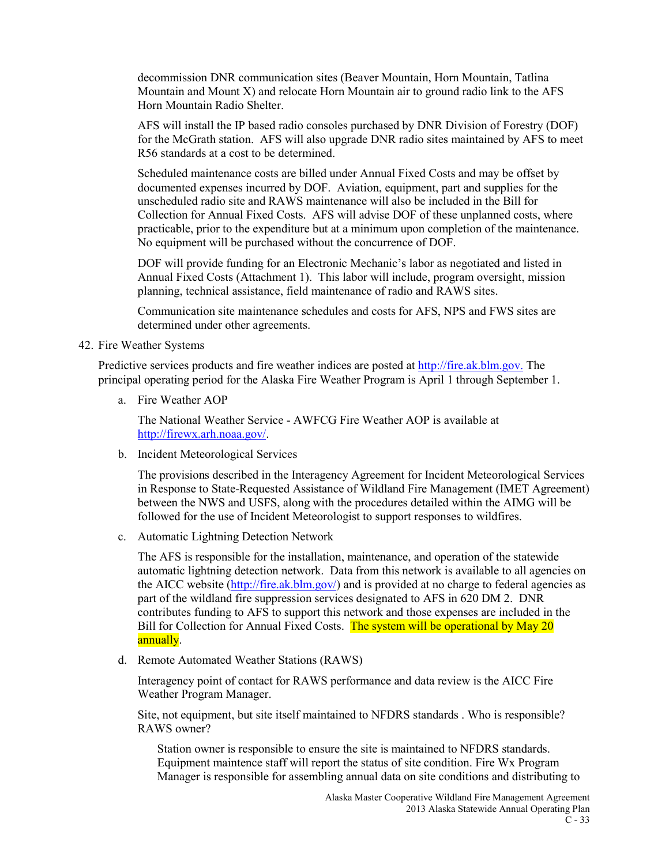decommission DNR communication sites (Beaver Mountain, Horn Mountain, Tatlina Mountain and Mount X) and relocate Horn Mountain air to ground radio link to the AFS Horn Mountain Radio Shelter.

AFS will install the IP based radio consoles purchased by DNR Division of Forestry (DOF) for the McGrath station. AFS will also upgrade DNR radio sites maintained by AFS to meet R56 standards at a cost to be determined.

Scheduled maintenance costs are billed under Annual Fixed Costs and may be offset by documented expenses incurred by DOF. Aviation, equipment, part and supplies for the unscheduled radio site and RAWS maintenance will also be included in the Bill for Collection for Annual Fixed Costs. AFS will advise DOF of these unplanned costs, where practicable, prior to the expenditure but at a minimum upon completion of the maintenance. No equipment will be purchased without the concurrence of DOF.

DOF will provide funding for an Electronic Mechanic's labor as negotiated and listed in Annual Fixed Costs (Attachment 1). This labor will include, program oversight, mission planning, technical assistance, field maintenance of radio and RAWS sites.

Communication site maintenance schedules and costs for AFS, NPS and FWS sites are determined under other agreements.

42. Fire Weather Systems

Predictive services products and fire weather indices are posted a[t http://fire.ak.blm.gov.](http://fire.ak.blm.gov/) The principal operating period for the Alaska Fire Weather Program is April 1 through September 1.

a. Fire Weather AOP

The National Weather Service - AWFCG Fire Weather AOP is available at [http://firewx.arh.noaa.gov/.](http://firewx.arh.noaa.gov/)

b. Incident Meteorological Services

The provisions described in the Interagency Agreement for Incident Meteorological Services in Response to State-Requested Assistance of Wildland Fire Management (IMET Agreement) between the NWS and USFS, along with the procedures detailed within the AIMG will be followed for the use of Incident Meteorologist to support responses to wildfires.

c. Automatic Lightning Detection Network

The AFS is responsible for the installation, maintenance, and operation of the statewide automatic lightning detection network. Data from this network is available to all agencies on the AICC website [\(http://fire.ak.blm.gov/\)](http://fire.ak.blm.gov/) and is provided at no charge to federal agencies as part of the wildland fire suppression services designated to AFS in 620 DM 2. DNR contributes funding to AFS to support this network and those expenses are included in the Bill for Collection for Annual Fixed Costs. The system will be operational by May 20 annually.

d. Remote Automated Weather Stations (RAWS)

Interagency point of contact for RAWS performance and data review is the AICC Fire Weather Program Manager.

Site, not equipment, but site itself maintained to NFDRS standards . Who is responsible? RAWS owner?

Station owner is responsible to ensure the site is maintained to NFDRS standards. Equipment maintence staff will report the status of site condition. Fire Wx Program Manager is responsible for assembling annual data on site conditions and distributing to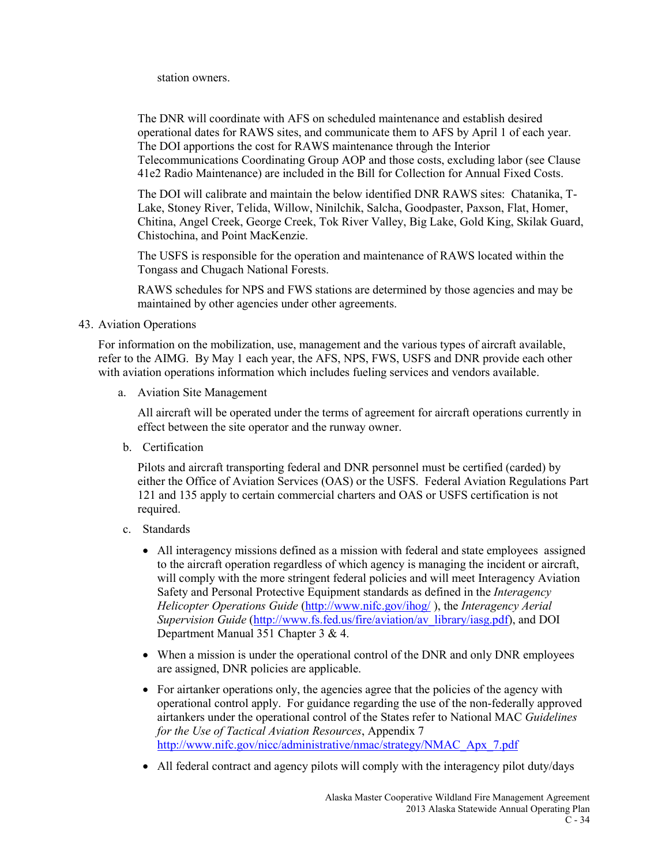station owners.

The DNR will coordinate with AFS on scheduled maintenance and establish desired operational dates for RAWS sites, and communicate them to AFS by April 1 of each year. The DOI apportions the cost for RAWS maintenance through the Interior Telecommunications Coordinating Group AOP and those costs, excluding labor (see Clause 41e2 Radio Maintenance) are included in the Bill for Collection for Annual Fixed Costs.

The DOI will calibrate and maintain the below identified DNR RAWS sites: Chatanika, T-Lake, Stoney River, Telida, Willow, Ninilchik, Salcha, Goodpaster, Paxson, Flat, Homer, Chitina, Angel Creek, George Creek, Tok River Valley, Big Lake, Gold King, Skilak Guard, Chistochina, and Point MacKenzie.

The USFS is responsible for the operation and maintenance of RAWS located within the Tongass and Chugach National Forests.

RAWS schedules for NPS and FWS stations are determined by those agencies and may be maintained by other agencies under other agreements.

43. Aviation Operations

For information on the mobilization, use, management and the various types of aircraft available, refer to the AIMG. By May 1 each year, the AFS, NPS, FWS, USFS and DNR provide each other with aviation operations information which includes fueling services and vendors available.

a. Aviation Site Management

All aircraft will be operated under the terms of agreement for aircraft operations currently in effect between the site operator and the runway owner.

b. Certification

Pilots and aircraft transporting federal and DNR personnel must be certified (carded) by either the Office of Aviation Services (OAS) or the USFS. Federal Aviation Regulations Part 121 and 135 apply to certain commercial charters and OAS or USFS certification is not required.

- c. Standards
	- All interagency missions defined as a mission with federal and state employees assigned to the aircraft operation regardless of which agency is managing the incident or aircraft, will comply with the more stringent federal policies and will meet Interagency Aviation Safety and Personal Protective Equipment standards as defined in the *Interagency Helicopter Operations Guide* [\(http://www.nifc.gov/ihog/](http://www.nifc.gov/ihog/) ), the *Interagency Aerial Supervision Guide* [\(http://www.fs.fed.us/fire/aviation/av\\_library/iasg.pdf\)](http://www.fs.fed.us/fire/aviation/av_library/iasg.pdf), and DOI Department Manual 351 Chapter 3 & 4.
	- When a mission is under the operational control of the DNR and only DNR employees are assigned, DNR policies are applicable.
	- For airtanker operations only, the agencies agree that the policies of the agency with operational control apply. For guidance regarding the use of the non-federally approved airtankers under the operational control of the States refer to National MAC *Guidelines for the Use of Tactical Aviation Resources*, Appendix 7 [http://www.nifc.gov/nicc/administrative/nmac/strategy/NMAC\\_Apx\\_7.pdf](http://www.nifc.gov/nicc/administrative/nmac/strategy/NMAC_Apx_7.pdf)
	- All federal contract and agency pilots will comply with the interagency pilot duty/days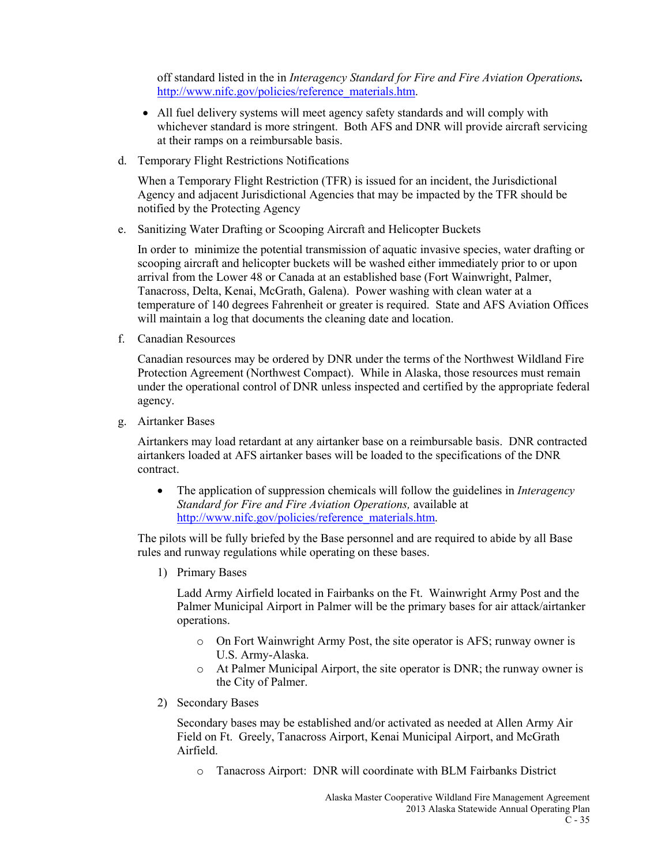off standard listed in the in *Interagency Standard for Fire and Fire Aviation Operations.*  [http://www.nifc.gov/policies/reference\\_materials.htm.](http://www.nifc.gov/policies/reference_materials.htm)

- All fuel delivery systems will meet agency safety standards and will comply with whichever standard is more stringent. Both AFS and DNR will provide aircraft servicing at their ramps on a reimbursable basis.
- d. Temporary Flight Restrictions Notifications

When a Temporary Flight Restriction (TFR) is issued for an incident, the Jurisdictional Agency and adjacent Jurisdictional Agencies that may be impacted by the TFR should be notified by the Protecting Agency

e. Sanitizing Water Drafting or Scooping Aircraft and Helicopter Buckets

In order to minimize the potential transmission of aquatic invasive species, water drafting or scooping aircraft and helicopter buckets will be washed either immediately prior to or upon arrival from the Lower 48 or Canada at an established base (Fort Wainwright, Palmer, Tanacross, Delta, Kenai, McGrath, Galena). Power washing with clean water at a temperature of 140 degrees Fahrenheit or greater is required. State and AFS Aviation Offices will maintain a log that documents the cleaning date and location.

f. Canadian Resources

Canadian resources may be ordered by DNR under the terms of the Northwest Wildland Fire Protection Agreement (Northwest Compact). While in Alaska, those resources must remain under the operational control of DNR unless inspected and certified by the appropriate federal agency.

g. Airtanker Bases

Airtankers may load retardant at any airtanker base on a reimbursable basis. DNR contracted airtankers loaded at AFS airtanker bases will be loaded to the specifications of the DNR contract.

• The application of suppression chemicals will follow the guidelines in *Interagency Standard for Fire and Fire Aviation Operations,* available at [http://www.nifc.gov/policies/reference\\_materials.htm.](http://www.nifc.gov/policies/reference_materials.htm)

The pilots will be fully briefed by the Base personnel and are required to abide by all Base rules and runway regulations while operating on these bases.

1) Primary Bases

Ladd Army Airfield located in Fairbanks on the Ft. Wainwright Army Post and the Palmer Municipal Airport in Palmer will be the primary bases for air attack/airtanker operations.

- o On Fort Wainwright Army Post, the site operator is AFS; runway owner is U.S. Army-Alaska.
- o At Palmer Municipal Airport, the site operator is DNR; the runway owner is the City of Palmer.
- 2) Secondary Bases

Secondary bases may be established and/or activated as needed at Allen Army Air Field on Ft. Greely, Tanacross Airport, Kenai Municipal Airport, and McGrath Airfield.

o Tanacross Airport: DNR will coordinate with BLM Fairbanks District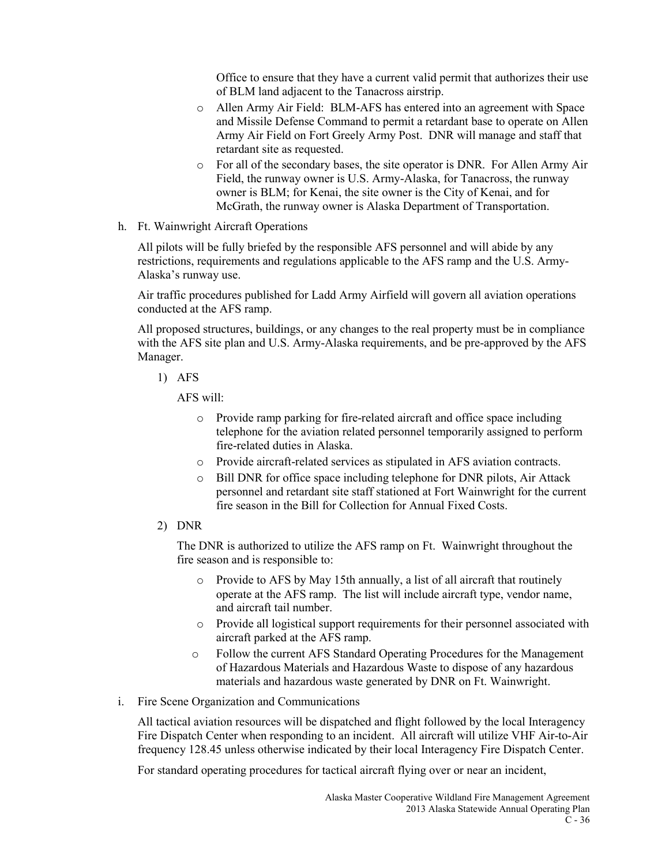Office to ensure that they have a current valid permit that authorizes their use of BLM land adjacent to the Tanacross airstrip.

- o Allen Army Air Field: BLM-AFS has entered into an agreement with Space and Missile Defense Command to permit a retardant base to operate on Allen Army Air Field on Fort Greely Army Post. DNR will manage and staff that retardant site as requested.
- o For all of the secondary bases, the site operator is DNR. For Allen Army Air Field, the runway owner is U.S. Army-Alaska, for Tanacross, the runway owner is BLM; for Kenai, the site owner is the City of Kenai, and for McGrath, the runway owner is Alaska Department of Transportation.
- h. Ft. Wainwright Aircraft Operations

All pilots will be fully briefed by the responsible AFS personnel and will abide by any restrictions, requirements and regulations applicable to the AFS ramp and the U.S. Army-Alaska's runway use.

Air traffic procedures published for Ladd Army Airfield will govern all aviation operations conducted at the AFS ramp.

All proposed structures, buildings, or any changes to the real property must be in compliance with the AFS site plan and U.S. Army-Alaska requirements, and be pre-approved by the AFS Manager.

1) AFS

AFS will:

- o Provide ramp parking for fire-related aircraft and office space including telephone for the aviation related personnel temporarily assigned to perform fire-related duties in Alaska.
- o Provide aircraft-related services as stipulated in AFS aviation contracts.
- o Bill DNR for office space including telephone for DNR pilots, Air Attack personnel and retardant site staff stationed at Fort Wainwright for the current fire season in the Bill for Collection for Annual Fixed Costs.
- 2) DNR

The DNR is authorized to utilize the AFS ramp on Ft. Wainwright throughout the fire season and is responsible to:

- o Provide to AFS by May 15th annually, a list of all aircraft that routinely operate at the AFS ramp. The list will include aircraft type, vendor name, and aircraft tail number.
- o Provide all logistical support requirements for their personnel associated with aircraft parked at the AFS ramp.
- o Follow the current AFS Standard Operating Procedures for the Management of Hazardous Materials and Hazardous Waste to dispose of any hazardous materials and hazardous waste generated by DNR on Ft. Wainwright.
- i. Fire Scene Organization and Communications

All tactical aviation resources will be dispatched and flight followed by the local Interagency Fire Dispatch Center when responding to an incident. All aircraft will utilize VHF Air-to-Air frequency 128.45 unless otherwise indicated by their local Interagency Fire Dispatch Center.

For standard operating procedures for tactical aircraft flying over or near an incident,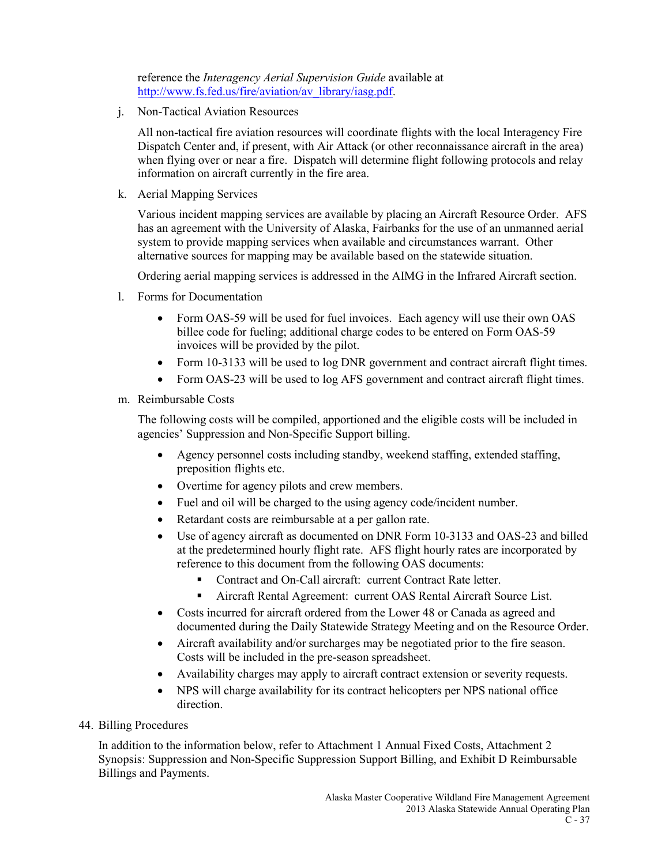reference the *Interagency Aerial Supervision Guide* available at [http://www.fs.fed.us/fire/aviation/av\\_library/iasg.pdf.](http://www.fs.fed.us/fire/aviation/av_library/iasg.pdf)

j. Non-Tactical Aviation Resources

All non-tactical fire aviation resources will coordinate flights with the local Interagency Fire Dispatch Center and, if present, with Air Attack (or other reconnaissance aircraft in the area) when flying over or near a fire. Dispatch will determine flight following protocols and relay information on aircraft currently in the fire area.

k. Aerial Mapping Services

Various incident mapping services are available by placing an Aircraft Resource Order. AFS has an agreement with the University of Alaska, Fairbanks for the use of an unmanned aerial system to provide mapping services when available and circumstances warrant. Other alternative sources for mapping may be available based on the statewide situation.

Ordering aerial mapping services is addressed in the AIMG in the Infrared Aircraft section.

- l. Forms for Documentation
	- Form OAS-59 will be used for fuel invoices. Each agency will use their own OAS billee code for fueling; additional charge codes to be entered on Form OAS-59 invoices will be provided by the pilot.
	- Form 10-3133 will be used to log DNR government and contract aircraft flight times.
	- Form OAS-23 will be used to log AFS government and contract aircraft flight times.
- m. Reimbursable Costs

The following costs will be compiled, apportioned and the eligible costs will be included in agencies' Suppression and Non-Specific Support billing.

- Agency personnel costs including standby, weekend staffing, extended staffing, preposition flights etc.
- Overtime for agency pilots and crew members.
- Fuel and oil will be charged to the using agency code/incident number.
- Retardant costs are reimbursable at a per gallon rate.
- Use of agency aircraft as documented on DNR Form 10-3133 and OAS-23 and billed at the predetermined hourly flight rate. AFS flight hourly rates are incorporated by reference to this document from the following OAS documents:
	- Contract and On-Call aircraft: current Contract Rate letter.
	- Aircraft Rental Agreement: current OAS Rental Aircraft Source List.
- Costs incurred for aircraft ordered from the Lower 48 or Canada as agreed and documented during the Daily Statewide Strategy Meeting and on the Resource Order.
- Aircraft availability and/or surcharges may be negotiated prior to the fire season. Costs will be included in the pre-season spreadsheet.
- Availability charges may apply to aircraft contract extension or severity requests.
- NPS will charge availability for its contract helicopters per NPS national office direction.
- 44. Billing Procedures

In addition to the information below, refer to Attachment 1 Annual Fixed Costs, Attachment 2 Synopsis: Suppression and Non-Specific Suppression Support Billing, and Exhibit D Reimbursable Billings and Payments.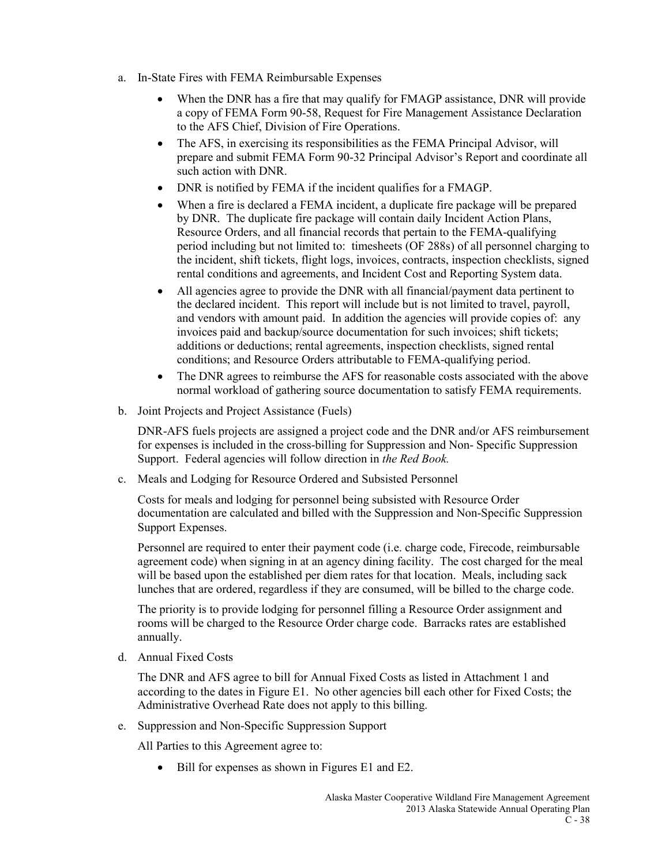- a. In-State Fires with FEMA Reimbursable Expenses
	- When the DNR has a fire that may qualify for FMAGP assistance, DNR will provide a copy of FEMA Form 90-58, Request for Fire Management Assistance Declaration to the AFS Chief, Division of Fire Operations.
	- The AFS, in exercising its responsibilities as the FEMA Principal Advisor, will prepare and submit FEMA Form 90-32 Principal Advisor's Report and coordinate all such action with DNR.
	- DNR is notified by FEMA if the incident qualifies for a FMAGP.
	- When a fire is declared a FEMA incident, a duplicate fire package will be prepared by DNR. The duplicate fire package will contain daily Incident Action Plans, Resource Orders, and all financial records that pertain to the FEMA-qualifying period including but not limited to: timesheets (OF 288s) of all personnel charging to the incident, shift tickets, flight logs, invoices, contracts, inspection checklists, signed rental conditions and agreements, and Incident Cost and Reporting System data.
	- All agencies agree to provide the DNR with all financial/payment data pertinent to the declared incident. This report will include but is not limited to travel, payroll, and vendors with amount paid. In addition the agencies will provide copies of: any invoices paid and backup/source documentation for such invoices; shift tickets; additions or deductions; rental agreements, inspection checklists, signed rental conditions; and Resource Orders attributable to FEMA-qualifying period.
	- The DNR agrees to reimburse the AFS for reasonable costs associated with the above normal workload of gathering source documentation to satisfy FEMA requirements.
- b. Joint Projects and Project Assistance (Fuels)

DNR-AFS fuels projects are assigned a project code and the DNR and/or AFS reimbursement for expenses is included in the cross-billing for Suppression and Non- Specific Suppression Support. Federal agencies will follow direction in *the Red Book.*

c. Meals and Lodging for Resource Ordered and Subsisted Personnel

Costs for meals and lodging for personnel being subsisted with Resource Order documentation are calculated and billed with the Suppression and Non-Specific Suppression Support Expenses.

Personnel are required to enter their payment code (i.e. charge code, Firecode, reimbursable agreement code) when signing in at an agency dining facility. The cost charged for the meal will be based upon the established per diem rates for that location. Meals, including sack lunches that are ordered, regardless if they are consumed, will be billed to the charge code.

The priority is to provide lodging for personnel filling a Resource Order assignment and rooms will be charged to the Resource Order charge code. Barracks rates are established annually.

d. Annual Fixed Costs

The DNR and AFS agree to bill for Annual Fixed Costs as listed in Attachment 1 and according to the dates in Figure E1. No other agencies bill each other for Fixed Costs; the Administrative Overhead Rate does not apply to this billing.

e. Suppression and Non-Specific Suppression Support

All Parties to this Agreement agree to:

• Bill for expenses as shown in Figures E1 and E2.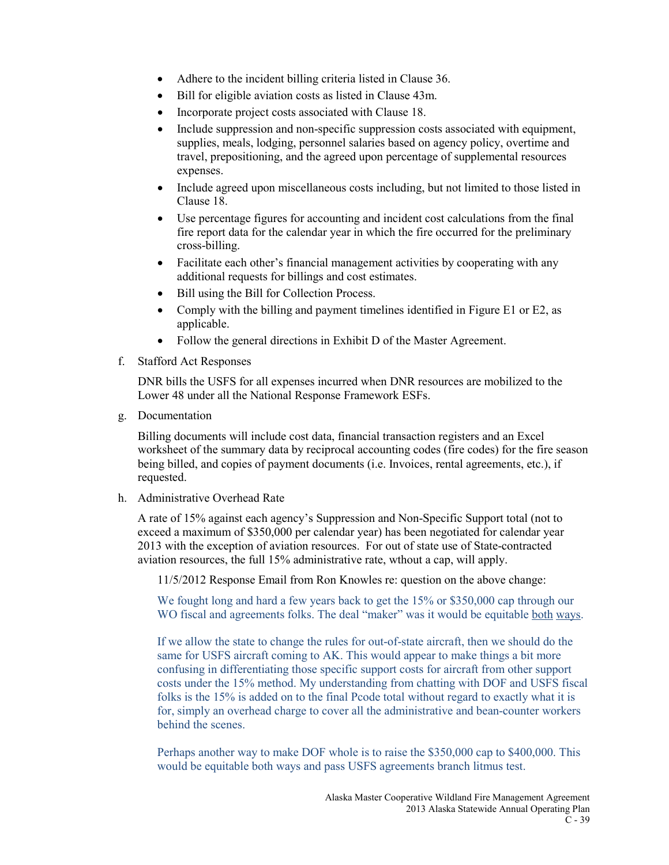- Adhere to the incident billing criteria listed in Clause 36.
- Bill for eligible aviation costs as listed in Clause 43m.
- Incorporate project costs associated with Clause 18.
- Include suppression and non-specific suppression costs associated with equipment, supplies, meals, lodging, personnel salaries based on agency policy, overtime and travel, prepositioning, and the agreed upon percentage of supplemental resources expenses.
- Include agreed upon miscellaneous costs including, but not limited to those listed in Clause 18.
- Use percentage figures for accounting and incident cost calculations from the final fire report data for the calendar year in which the fire occurred for the preliminary cross-billing.
- Facilitate each other's financial management activities by cooperating with any additional requests for billings and cost estimates.
- Bill using the Bill for Collection Process.
- Comply with the billing and payment timelines identified in Figure E1 or E2, as applicable.
- Follow the general directions in Exhibit D of the Master Agreement.
- f. Stafford Act Responses

DNR bills the USFS for all expenses incurred when DNR resources are mobilized to the Lower 48 under all the National Response Framework ESFs.

g. Documentation

Billing documents will include cost data, financial transaction registers and an Excel worksheet of the summary data by reciprocal accounting codes (fire codes) for the fire season being billed, and copies of payment documents (i.e. Invoices, rental agreements, etc.), if requested.

h. Administrative Overhead Rate

A rate of 15% against each agency's Suppression and Non-Specific Support total (not to exceed a maximum of \$350,000 per calendar year) has been negotiated for calendar year 2013 with the exception of aviation resources. For out of state use of State-contracted aviation resources, the full 15% administrative rate, wthout a cap, will apply.

11/5/2012 Response Email from Ron Knowles re: question on the above change:

We fought long and hard a few years back to get the 15% or \$350,000 cap through our WO fiscal and agreements folks. The deal "maker" was it would be equitable both ways.

If we allow the state to change the rules for out-of-state aircraft, then we should do the same for USFS aircraft coming to AK. This would appear to make things a bit more confusing in differentiating those specific support costs for aircraft from other support costs under the 15% method. My understanding from chatting with DOF and USFS fiscal folks is the 15% is added on to the final Pcode total without regard to exactly what it is for, simply an overhead charge to cover all the administrative and bean-counter workers behind the scenes.

Perhaps another way to make DOF whole is to raise the \$350,000 cap to \$400,000. This would be equitable both ways and pass USFS agreements branch litmus test.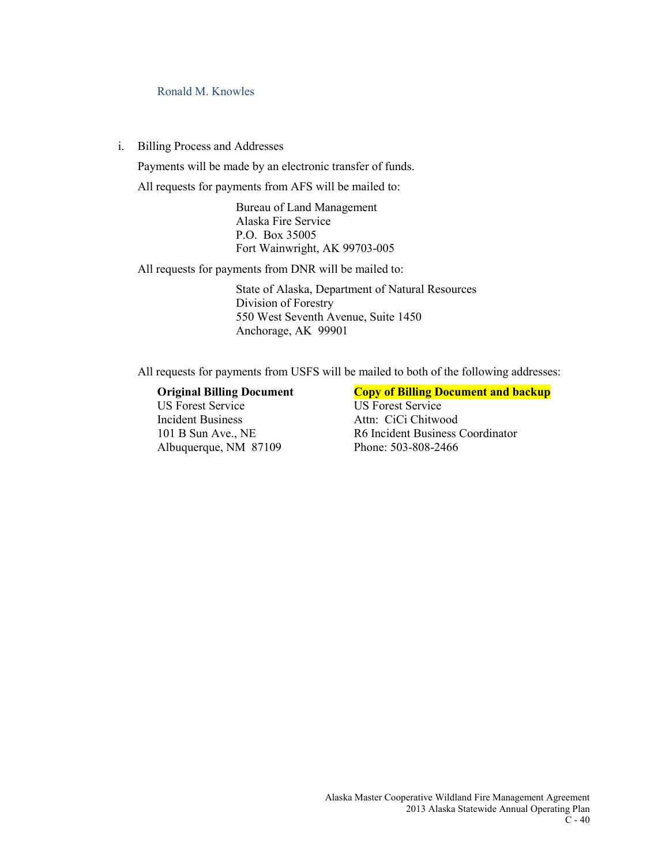### Ronald M. Knowles

i. Billing Process and Addresses

Payments will be made by an electronic transfer of funds.

All requests for payments from AFS will be mailed to:

Bureau of Land Management Alaska Fire Service P.O. Box 35005 Fort Wainwright, AK 99703-005

All requests for payments from DNR will be mailed to:

State of Alaska, Department of Natural Resources Division of Forestry 550 West Seventh Avenue, Suite 1450 Anchorage, AK 99901

All requests for payments from USFS will be mailed to both of the following addresses:

Incident Business Attn: CiCi Chitwood Albuquerque, NM 87109 Phone: 503-808-2466

# **Original Billing Document**<br>
US Forest Service<br>
US Forest Service<br>
US Forest Service

US Forest Service 101 B Sun Ave., NE R6 Incident Business Coordinator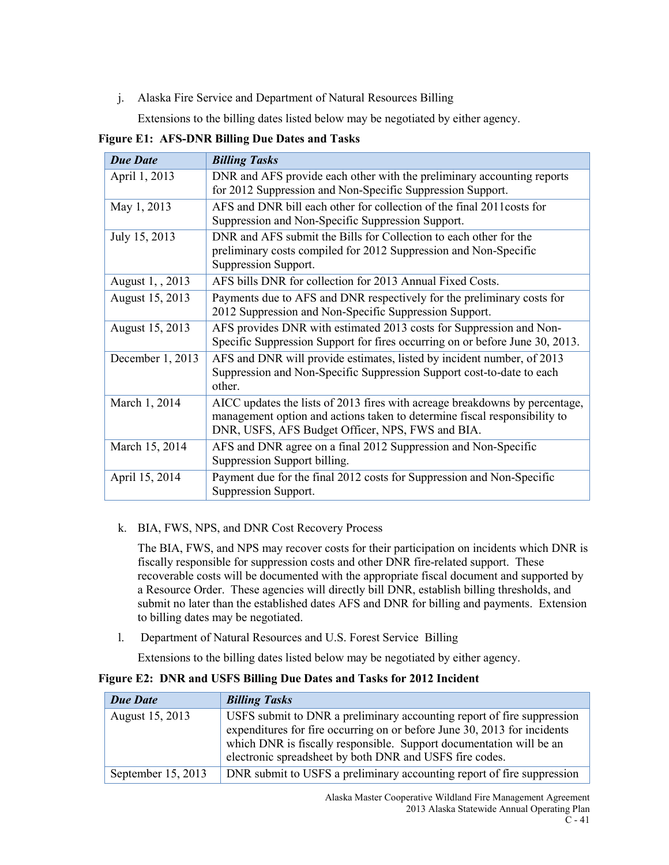j. Alaska Fire Service and Department of Natural Resources Billing

Extensions to the billing dates listed below may be negotiated by either agency.

**Figure E1: AFS-DNR Billing Due Dates and Tasks**

| <b>Due Date</b>  | <b>Billing Tasks</b>                                                         |
|------------------|------------------------------------------------------------------------------|
| April 1, 2013    | DNR and AFS provide each other with the preliminary accounting reports       |
|                  | for 2012 Suppression and Non-Specific Suppression Support.                   |
| May 1, 2013      | AFS and DNR bill each other for collection of the final 2011 costs for       |
|                  | Suppression and Non-Specific Suppression Support.                            |
| July 15, 2013    | DNR and AFS submit the Bills for Collection to each other for the            |
|                  | preliminary costs compiled for 2012 Suppression and Non-Specific             |
|                  | Suppression Support.                                                         |
| August 1, , 2013 | AFS bills DNR for collection for 2013 Annual Fixed Costs.                    |
| August 15, 2013  | Payments due to AFS and DNR respectively for the preliminary costs for       |
|                  | 2012 Suppression and Non-Specific Suppression Support.                       |
| August 15, 2013  | AFS provides DNR with estimated 2013 costs for Suppression and Non-          |
|                  | Specific Suppression Support for fires occurring on or before June 30, 2013. |
| December 1, 2013 | AFS and DNR will provide estimates, listed by incident number, of 2013       |
|                  | Suppression and Non-Specific Suppression Support cost-to-date to each        |
|                  | other.                                                                       |
| March 1, 2014    | AICC updates the lists of 2013 fires with acreage breakdowns by percentage,  |
|                  | management option and actions taken to determine fiscal responsibility to    |
|                  | DNR, USFS, AFS Budget Officer, NPS, FWS and BIA.                             |
| March 15, 2014   | AFS and DNR agree on a final 2012 Suppression and Non-Specific               |
|                  | Suppression Support billing.                                                 |
| April 15, 2014   | Payment due for the final 2012 costs for Suppression and Non-Specific        |
|                  | Suppression Support.                                                         |

k. BIA, FWS, NPS, and DNR Cost Recovery Process

The BIA, FWS, and NPS may recover costs for their participation on incidents which DNR is fiscally responsible for suppression costs and other DNR fire-related support. These recoverable costs will be documented with the appropriate fiscal document and supported by a Resource Order. These agencies will directly bill DNR, establish billing thresholds, and submit no later than the established dates AFS and DNR for billing and payments. Extension to billing dates may be negotiated.

l. Department of Natural Resources and U.S. Forest Service Billing

Extensions to the billing dates listed below may be negotiated by either agency.

### **Figure E2: DNR and USFS Billing Due Dates and Tasks for 2012 Incident**

| <b>Due Date</b>    | <b>Billing Tasks</b>                                                                                                                                                                                                                                                                 |
|--------------------|--------------------------------------------------------------------------------------------------------------------------------------------------------------------------------------------------------------------------------------------------------------------------------------|
| August 15, 2013    | USFS submit to DNR a preliminary accounting report of fire suppression<br>expenditures for fire occurring on or before June 30, 2013 for incidents<br>which DNR is fiscally responsible. Support documentation will be an<br>electronic spreadsheet by both DNR and USFS fire codes. |
| September 15, 2013 | DNR submit to USFS a preliminary accounting report of fire suppression                                                                                                                                                                                                               |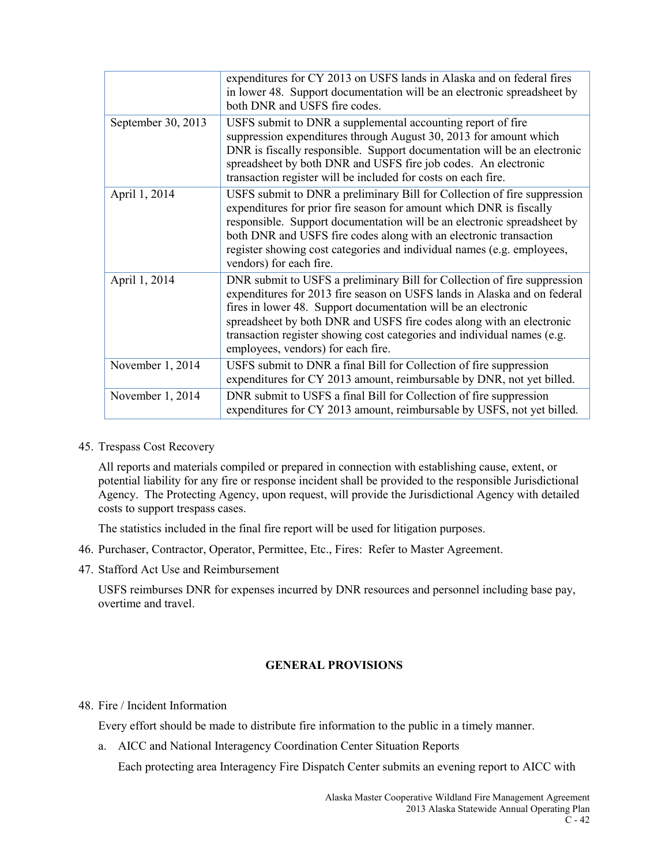|                    | expenditures for CY 2013 on USFS lands in Alaska and on federal fires<br>in lower 48. Support documentation will be an electronic spreadsheet by<br>both DNR and USFS fire codes.                                                                                                                                                                                                                               |
|--------------------|-----------------------------------------------------------------------------------------------------------------------------------------------------------------------------------------------------------------------------------------------------------------------------------------------------------------------------------------------------------------------------------------------------------------|
| September 30, 2013 | USFS submit to DNR a supplemental accounting report of fire<br>suppression expenditures through August 30, 2013 for amount which<br>DNR is fiscally responsible. Support documentation will be an electronic<br>spreadsheet by both DNR and USFS fire job codes. An electronic<br>transaction register will be included for costs on each fire.                                                                 |
| April 1, 2014      | USFS submit to DNR a preliminary Bill for Collection of fire suppression<br>expenditures for prior fire season for amount which DNR is fiscally<br>responsible. Support documentation will be an electronic spreadsheet by<br>both DNR and USFS fire codes along with an electronic transaction<br>register showing cost categories and individual names (e.g. employees,<br>vendors) for each fire.            |
| April 1, 2014      | DNR submit to USFS a preliminary Bill for Collection of fire suppression<br>expenditures for 2013 fire season on USFS lands in Alaska and on federal<br>fires in lower 48. Support documentation will be an electronic<br>spreadsheet by both DNR and USFS fire codes along with an electronic<br>transaction register showing cost categories and individual names (e.g.<br>employees, vendors) for each fire. |
| November 1, 2014   | USFS submit to DNR a final Bill for Collection of fire suppression<br>expenditures for CY 2013 amount, reimbursable by DNR, not yet billed.                                                                                                                                                                                                                                                                     |
| November 1, 2014   | DNR submit to USFS a final Bill for Collection of fire suppression<br>expenditures for CY 2013 amount, reimbursable by USFS, not yet billed.                                                                                                                                                                                                                                                                    |

45. Trespass Cost Recovery

All reports and materials compiled or prepared in connection with establishing cause, extent, or potential liability for any fire or response incident shall be provided to the responsible Jurisdictional Agency. The Protecting Agency, upon request, will provide the Jurisdictional Agency with detailed costs to support trespass cases.

The statistics included in the final fire report will be used for litigation purposes.

- 46. Purchaser, Contractor, Operator, Permittee, Etc., Fires: Refer to Master Agreement.
- 47. Stafford Act Use and Reimbursement

USFS reimburses DNR for expenses incurred by DNR resources and personnel including base pay, overtime and travel.

### **GENERAL PROVISIONS**

### 48. Fire / Incident Information

Every effort should be made to distribute fire information to the public in a timely manner.

a. AICC and National Interagency Coordination Center Situation Reports

Each protecting area Interagency Fire Dispatch Center submits an evening report to AICC with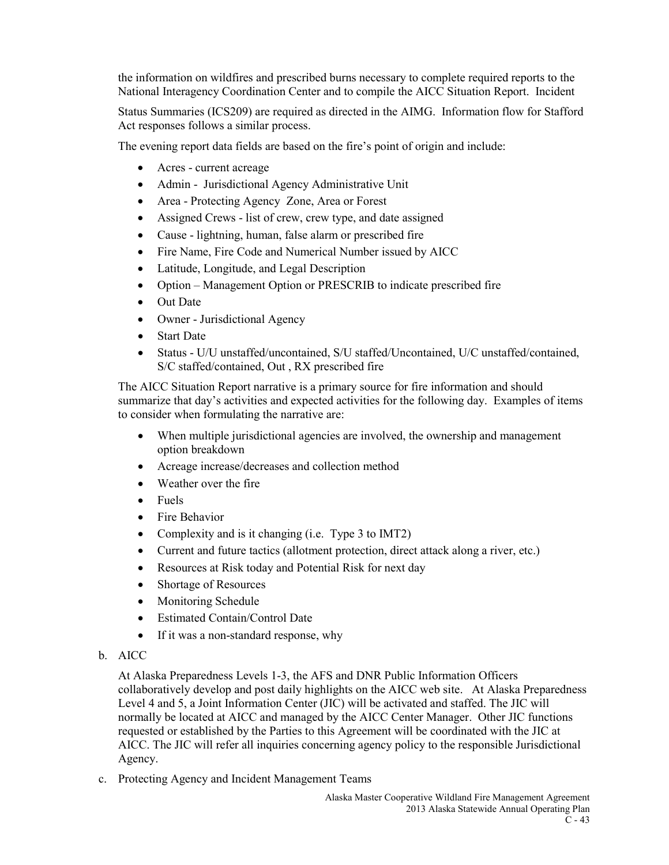the information on wildfires and prescribed burns necessary to complete required reports to the National Interagency Coordination Center and to compile the AICC Situation Report. Incident

Status Summaries (ICS209) are required as directed in the AIMG. Information flow for Stafford Act responses follows a similar process.

The evening report data fields are based on the fire's point of origin and include:

- Acres current acreage
- Admin Jurisdictional Agency Administrative Unit
- Area Protecting Agency Zone, Area or Forest
- Assigned Crews list of crew, crew type, and date assigned
- Cause lightning, human, false alarm or prescribed fire
- Fire Name, Fire Code and Numerical Number issued by AICC
- Latitude, Longitude, and Legal Description
- Option Management Option or PRESCRIB to indicate prescribed fire
- Out Date
- Owner Jurisdictional Agency
- Start Date
- Status U/U unstaffed/uncontained, S/U staffed/Uncontained, U/C unstaffed/contained, S/C staffed/contained, Out , RX prescribed fire

The AICC Situation Report narrative is a primary source for fire information and should summarize that day's activities and expected activities for the following day. Examples of items to consider when formulating the narrative are:

- When multiple jurisdictional agencies are involved, the ownership and management option breakdown
- Acreage increase/decreases and collection method
- Weather over the fire
- Fuels
- Fire Behavior
- Complexity and is it changing (i.e. Type 3 to IMT2)
- Current and future tactics (allotment protection, direct attack along a river, etc.)
- Resources at Risk today and Potential Risk for next day
- Shortage of Resources
- Monitoring Schedule
- Estimated Contain/Control Date
- If it was a non-standard response, why

### b. AICC

At Alaska Preparedness Levels 1-3, the AFS and DNR Public Information Officers collaboratively develop and post daily highlights on the AICC web site. At Alaska Preparedness Level 4 and 5, a Joint Information Center (JIC) will be activated and staffed. The JIC will normally be located at AICC and managed by the AICC Center Manager. Other JIC functions requested or established by the Parties to this Agreement will be coordinated with the JIC at AICC. The JIC will refer all inquiries concerning agency policy to the responsible Jurisdictional Agency.

c. Protecting Agency and Incident Management Teams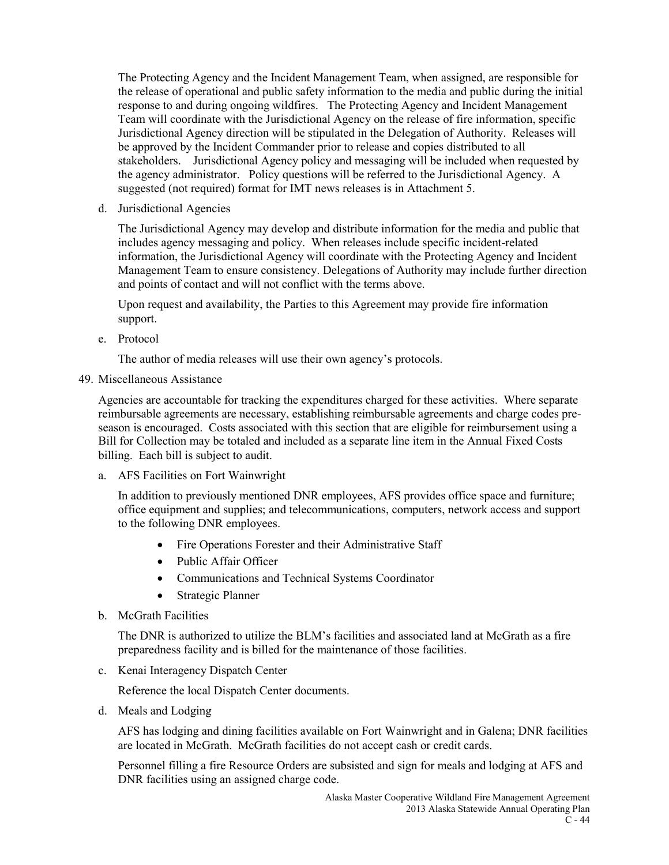The Protecting Agency and the Incident Management Team, when assigned, are responsible for the release of operational and public safety information to the media and public during the initial response to and during ongoing wildfires. The Protecting Agency and Incident Management Team will coordinate with the Jurisdictional Agency on the release of fire information, specific Jurisdictional Agency direction will be stipulated in the Delegation of Authority. Releases will be approved by the Incident Commander prior to release and copies distributed to all stakeholders. Jurisdictional Agency policy and messaging will be included when requested by the agency administrator. Policy questions will be referred to the Jurisdictional Agency. A suggested (not required) format for IMT news releases is in Attachment 5.

d. Jurisdictional Agencies

The Jurisdictional Agency may develop and distribute information for the media and public that includes agency messaging and policy. When releases include specific incident-related information, the Jurisdictional Agency will coordinate with the Protecting Agency and Incident Management Team to ensure consistency. Delegations of Authority may include further direction and points of contact and will not conflict with the terms above.

Upon request and availability, the Parties to this Agreement may provide fire information support.

e. Protocol

The author of media releases will use their own agency's protocols.

49. Miscellaneous Assistance

Agencies are accountable for tracking the expenditures charged for these activities. Where separate reimbursable agreements are necessary, establishing reimbursable agreements and charge codes preseason is encouraged. Costs associated with this section that are eligible for reimbursement using a Bill for Collection may be totaled and included as a separate line item in the Annual Fixed Costs billing. Each bill is subject to audit.

a. AFS Facilities on Fort Wainwright

In addition to previously mentioned DNR employees, AFS provides office space and furniture; office equipment and supplies; and telecommunications, computers, network access and support to the following DNR employees.

- Fire Operations Forester and their Administrative Staff
- Public Affair Officer
- Communications and Technical Systems Coordinator
- Strategic Planner
- b. McGrath Facilities

The DNR is authorized to utilize the BLM's facilities and associated land at McGrath as a fire preparedness facility and is billed for the maintenance of those facilities.

c. Kenai Interagency Dispatch Center

Reference the local Dispatch Center documents.

d. Meals and Lodging

AFS has lodging and dining facilities available on Fort Wainwright and in Galena; DNR facilities are located in McGrath. McGrath facilities do not accept cash or credit cards.

Personnel filling a fire Resource Orders are subsisted and sign for meals and lodging at AFS and DNR facilities using an assigned charge code.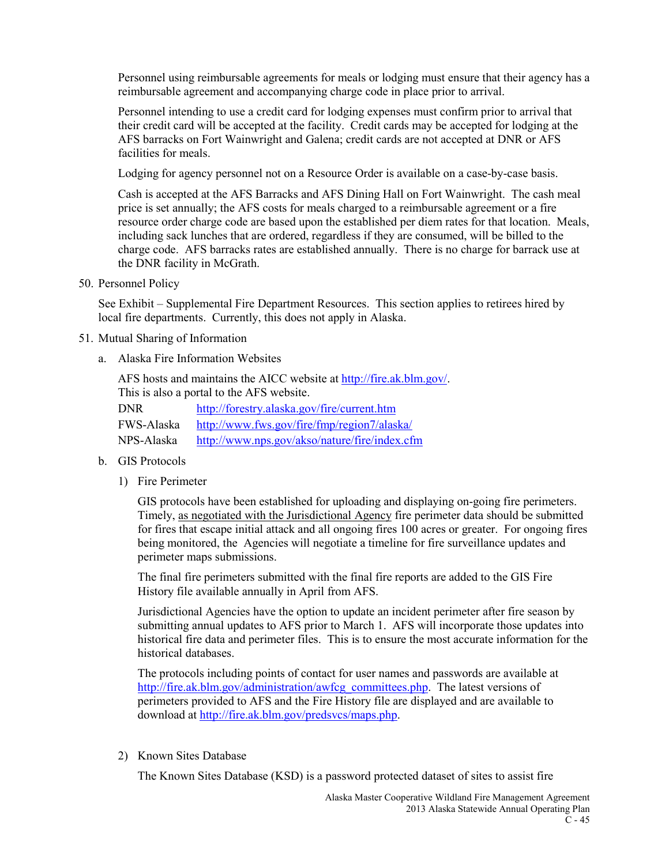Personnel using reimbursable agreements for meals or lodging must ensure that their agency has a reimbursable agreement and accompanying charge code in place prior to arrival.

Personnel intending to use a credit card for lodging expenses must confirm prior to arrival that their credit card will be accepted at the facility. Credit cards may be accepted for lodging at the AFS barracks on Fort Wainwright and Galena; credit cards are not accepted at DNR or AFS facilities for meals.

Lodging for agency personnel not on a Resource Order is available on a case-by-case basis.

Cash is accepted at the AFS Barracks and AFS Dining Hall on Fort Wainwright. The cash meal price is set annually; the AFS costs for meals charged to a reimbursable agreement or a fire resource order charge code are based upon the established per diem rates for that location. Meals, including sack lunches that are ordered, regardless if they are consumed, will be billed to the charge code. AFS barracks rates are established annually. There is no charge for barrack use at the DNR facility in McGrath.

50. Personnel Policy

See Exhibit – Supplemental Fire Department Resources. This section applies to retirees hired by local fire departments. Currently, this does not apply in Alaska.

### 51. Mutual Sharing of Information

a. Alaska Fire Information Websites

AFS hosts and maintains the AICC website a[t http://fire.ak.blm.gov/.](http://fire.ak.blm.gov/) This is also a portal to the AFS website. DNR <http://forestry.alaska.gov/fire/current.htm>

FWS-Alaska <http://www.fws.gov/fire/fmp/region7/alaska/>

NPS-Alaska <http://www.nps.gov/akso/nature/fire/index.cfm>

- b. GIS Protocols
	- 1) Fire Perimeter

GIS protocols have been established for uploading and displaying on-going fire perimeters. Timely, as negotiated with the Jurisdictional Agency fire perimeter data should be submitted for fires that escape initial attack and all ongoing fires 100 acres or greater. For ongoing fires being monitored, the Agencies will negotiate a timeline for fire surveillance updates and perimeter maps submissions.

The final fire perimeters submitted with the final fire reports are added to the GIS Fire History file available annually in April from AFS.

Jurisdictional Agencies have the option to update an incident perimeter after fire season by submitting annual updates to AFS prior to March 1. AFS will incorporate those updates into historical fire data and perimeter files. This is to ensure the most accurate information for the historical databases.

The protocols including points of contact for user names and passwords are available at [http://fire.ak.blm.gov/administration/awfcg\\_committees.php.](http://fire.ak.blm.gov/administration/awfcg_committees.php) The latest versions of perimeters provided to AFS and the Fire History file are displayed and are available to download at [http://fire.ak.blm.gov/predsvcs/maps.php.](http://fire.ak.blm.gov/predsvcs/maps.php)

2) Known Sites Database

The Known Sites Database (KSD) is a password protected dataset of sites to assist fire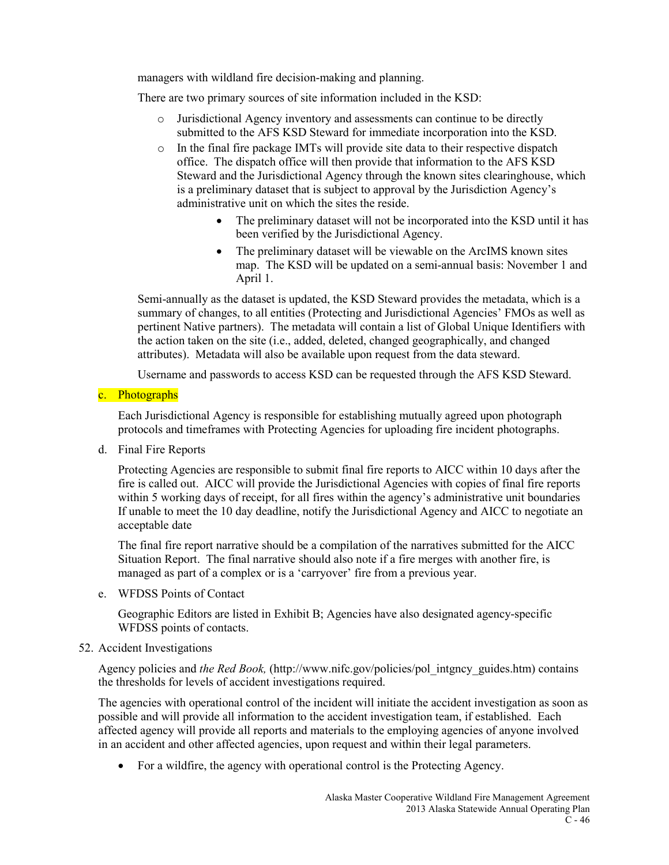managers with wildland fire decision-making and planning.

There are two primary sources of site information included in the KSD:

- o Jurisdictional Agency inventory and assessments can continue to be directly submitted to the AFS KSD Steward for immediate incorporation into the KSD.
- o In the final fire package IMTs will provide site data to their respective dispatch office. The dispatch office will then provide that information to the AFS KSD Steward and the Jurisdictional Agency through the known sites clearinghouse, which is a preliminary dataset that is subject to approval by the Jurisdiction Agency's administrative unit on which the sites the reside.
	- The preliminary dataset will not be incorporated into the KSD until it has been verified by the Jurisdictional Agency.
	- The preliminary dataset will be viewable on the ArcIMS known sites map. The KSD will be updated on a semi-annual basis: November 1 and April 1.

Semi-annually as the dataset is updated, the KSD Steward provides the metadata, which is a summary of changes, to all entities (Protecting and Jurisdictional Agencies' FMOs as well as pertinent Native partners). The metadata will contain a list of Global Unique Identifiers with the action taken on the site (i.e., added, deleted, changed geographically, and changed attributes). Metadata will also be available upon request from the data steward.

Username and passwords to access KSD can be requested through the AFS KSD Steward.

### c. Photographs

Each Jurisdictional Agency is responsible for establishing mutually agreed upon photograph protocols and timeframes with Protecting Agencies for uploading fire incident photographs.

d. Final Fire Reports

Protecting Agencies are responsible to submit final fire reports to AICC within 10 days after the fire is called out. AICC will provide the Jurisdictional Agencies with copies of final fire reports within 5 working days of receipt, for all fires within the agency's administrative unit boundaries If unable to meet the 10 day deadline, notify the Jurisdictional Agency and AICC to negotiate an acceptable date

The final fire report narrative should be a compilation of the narratives submitted for the AICC Situation Report. The final narrative should also note if a fire merges with another fire, is managed as part of a complex or is a 'carryover' fire from a previous year.

e. WFDSS Points of Contact

Geographic Editors are listed in Exhibit B; Agencies have also designated agency-specific WFDSS points of contacts.

### 52. Accident Investigations

Agency policies and *the Red Book,* (http://www.nifc.gov/policies/pol\_intgncy\_guides.htm) contains the thresholds for levels of accident investigations required.

The agencies with operational control of the incident will initiate the accident investigation as soon as possible and will provide all information to the accident investigation team, if established. Each affected agency will provide all reports and materials to the employing agencies of anyone involved in an accident and other affected agencies, upon request and within their legal parameters.

• For a wildfire, the agency with operational control is the Protecting Agency.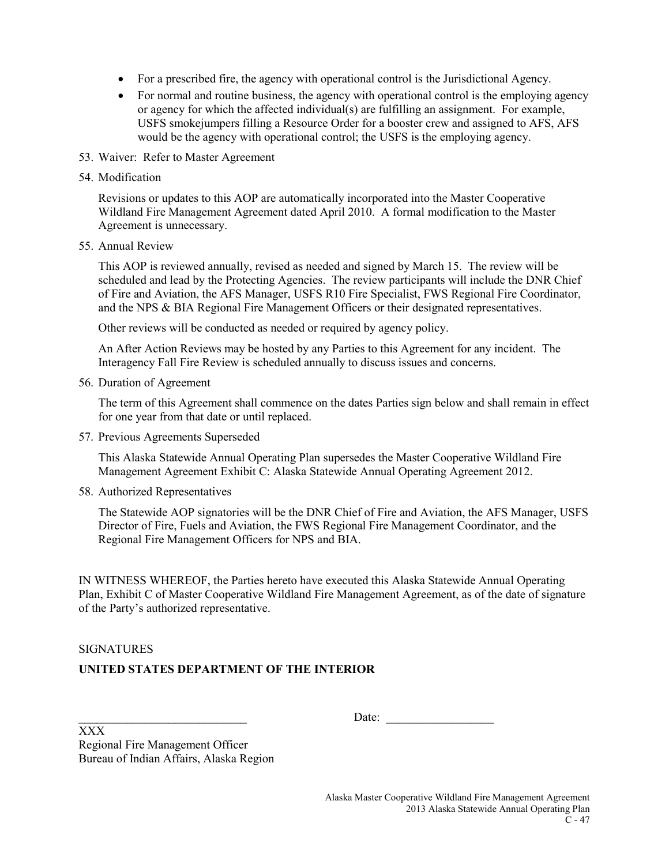- For a prescribed fire, the agency with operational control is the Jurisdictional Agency.
- For normal and routine business, the agency with operational control is the employing agency or agency for which the affected individual(s) are fulfilling an assignment. For example, USFS smokejumpers filling a Resource Order for a booster crew and assigned to AFS, AFS would be the agency with operational control; the USFS is the employing agency.
- 53. Waiver: Refer to Master Agreement
- 54. Modification

Revisions or updates to this AOP are automatically incorporated into the Master Cooperative Wildland Fire Management Agreement dated April 2010. A formal modification to the Master Agreement is unnecessary.

55. Annual Review

This AOP is reviewed annually, revised as needed and signed by March 15. The review will be scheduled and lead by the Protecting Agencies. The review participants will include the DNR Chief of Fire and Aviation, the AFS Manager, USFS R10 Fire Specialist, FWS Regional Fire Coordinator, and the NPS & BIA Regional Fire Management Officers or their designated representatives.

Other reviews will be conducted as needed or required by agency policy.

An After Action Reviews may be hosted by any Parties to this Agreement for any incident. The Interagency Fall Fire Review is scheduled annually to discuss issues and concerns.

56. Duration of Agreement

The term of this Agreement shall commence on the dates Parties sign below and shall remain in effect for one year from that date or until replaced.

57. Previous Agreements Superseded

This Alaska Statewide Annual Operating Plan supersedes the Master Cooperative Wildland Fire Management Agreement Exhibit C: Alaska Statewide Annual Operating Agreement 2012.

58. Authorized Representatives

The Statewide AOP signatories will be the DNR Chief of Fire and Aviation, the AFS Manager, USFS Director of Fire, Fuels and Aviation, the FWS Regional Fire Management Coordinator, and the Regional Fire Management Officers for NPS and BIA.

IN WITNESS WHEREOF, the Parties hereto have executed this Alaska Statewide Annual Operating Plan, Exhibit C of Master Cooperative Wildland Fire Management Agreement, as of the date of signature of the Party's authorized representative.

### SIGNATURES

### **UNITED STATES DEPARTMENT OF THE INTERIOR**

Date:

XXX Regional Fire Management Officer Bureau of Indian Affairs, Alaska Region

> Alaska Master Cooperative Wildland Fire Management Agreement 2013 Alaska Statewide Annual Operating Plan  $C - 47$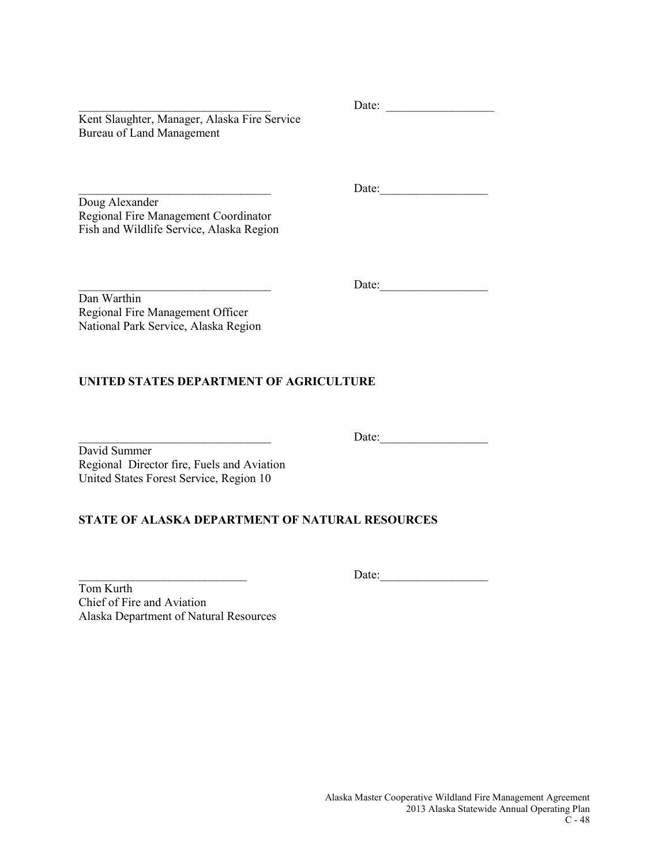Kent Slaughter, Manager, Alaska Fire Service Bureau of Land Management

Doug Alexander Regional Fire Management Coordinator Fish and Wildlife Service, Alaska Region

\_\_\_\_\_\_\_\_\_\_\_\_\_\_\_\_\_\_\_\_\_\_\_\_\_\_\_\_\_\_\_\_ Date:\_\_\_\_\_\_\_\_\_\_\_\_\_\_\_\_\_\_

\_\_\_\_\_\_\_\_\_\_\_\_\_\_\_\_\_\_\_\_\_\_\_\_\_\_\_\_\_\_\_\_ Date: \_\_\_\_\_\_\_\_\_\_\_\_\_\_\_\_\_\_

\_\_\_\_\_\_\_\_\_\_\_\_\_\_\_\_\_\_\_\_\_\_\_\_\_\_\_\_\_\_\_\_ Date:\_\_\_\_\_\_\_\_\_\_\_\_\_\_\_\_\_\_

Dan Warthin Regional Fire Management Officer National Park Service, Alaska Region

### **UNITED STATES DEPARTMENT OF AGRICULTURE**

\_\_\_\_\_\_\_\_\_\_\_\_\_\_\_\_\_\_\_\_\_\_\_\_\_\_\_\_\_\_\_\_ Date:\_\_\_\_\_\_\_\_\_\_\_\_\_\_\_\_\_\_ David Summer Regional Director fire, Fuels and Aviation United States Forest Service, Region 10

### **STATE OF ALASKA DEPARTMENT OF NATURAL RESOURCES**

\_\_\_\_\_\_\_\_\_\_\_\_\_\_\_\_\_\_\_\_\_\_\_\_\_\_\_\_ Date:\_\_\_\_\_\_\_\_\_\_\_\_\_\_\_\_\_\_

Tom Kurth Chief of Fire and Aviation Alaska Department of Natural Resources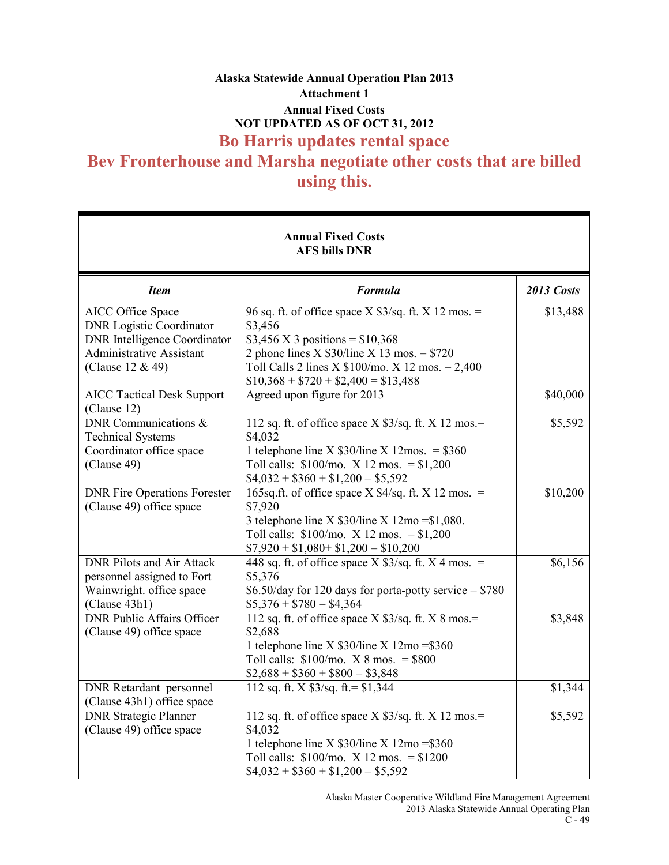# **Alaska Statewide Annual Operation Plan 2013 Attachment 1 Annual Fixed Costs NOT UPDATED AS OF OCT 31, 2012 Bo Harris updates rental space Bev Fronterhouse and Marsha negotiate other costs that are billed using this.**

| <b>Annual Fixed Costs</b><br><b>AFS bills DNR</b>                                                                                                  |                                                                                                                                                                                                                                                        |            |
|----------------------------------------------------------------------------------------------------------------------------------------------------|--------------------------------------------------------------------------------------------------------------------------------------------------------------------------------------------------------------------------------------------------------|------------|
| <b>Item</b>                                                                                                                                        | <b>Formula</b>                                                                                                                                                                                                                                         | 2013 Costs |
| AICC Office Space<br><b>DNR</b> Logistic Coordinator<br><b>DNR</b> Intelligence Coordinator<br><b>Administrative Assistant</b><br>(Clause 12 & 49) | 96 sq. ft. of office space $X$ \$3/sq. ft. $X$ 12 mos. =<br>\$3,456<br>\$3,456 X 3 positions = $$10,368$<br>2 phone lines X $$30$ /line X 13 mos. = $$720$<br>Toll Calls 2 lines X $$100/mo.$ X 12 mos. = 2,400<br>$$10,368 + $720 + $2,400 = $13,488$ | \$13,488   |
| <b>AICC Tactical Desk Support</b><br>(Clause 12)                                                                                                   | Agreed upon figure for 2013                                                                                                                                                                                                                            | \$40,000   |
| DNR Communications $\&$<br><b>Technical Systems</b><br>Coordinator office space<br>(Clause 49)                                                     | 112 sq. ft. of office space $X$ \$3/sq. ft. $X$ 12 mos.=<br>\$4,032<br>1 telephone line X $$30/$ line X 12mos. = \$360<br>Toll calls: $$100/$ mo. X 12 mos. = $$1,200$<br>$$4,032 + $360 + $1,200 = $5,592$                                            | \$5,592    |
| <b>DNR Fire Operations Forester</b><br>(Clause 49) office space                                                                                    | 165sq.ft. of office space X $4$ /sq.ft. $\overline{X}$ 12 mos. =<br>\$7,920<br>3 telephone line X $$30/$ line X $12$ mo = \$1,080.<br>Toll calls: $$100/$ mo. X 12 mos. = $$1,200$<br>$$7,920 + $1,080 + $1,200 = $10,200$                             | \$10,200   |
| <b>DNR Pilots and Air Attack</b><br>personnel assigned to Fort<br>Wainwright. office space<br>(Clause 43h1)                                        | 448 sq. ft. of office space X $\frac{3}{s}$ sq. ft. X 4 mos. =<br>\$5,376<br>$$6.50$ /day for 120 days for porta-potty service = \$780<br>$$5,376 + $780 = $4,364$                                                                                     | \$6,156    |
| <b>DNR Public Affairs Officer</b><br>(Clause 49) office space                                                                                      | 112 sq. ft. of office space $X$ \$3/sq. ft. $X$ 8 mos.=<br>\$2,688<br>1 telephone line X $$30/$ line X $12$ mo = \$360<br>Toll calls: $$100/$ mo. X 8 mos. = \$800<br>$$2,688 + $360 + $800 = $3,848$                                                  | \$3,848    |
| <b>DNR</b> Retardant personnel<br>(Clause 43h1) office space                                                                                       | 112 sq. ft. X $$3/sq$ . ft. = $$1,344$                                                                                                                                                                                                                 | \$1,344    |
| <b>DNR Strategic Planner</b><br>(Clause 49) office space                                                                                           | 112 sq. ft. of office space $X$ \$3/sq. ft. $X$ 12 mos.=<br>\$4,032<br>1 telephone line X $$30/$ line X $12$ mo = \$360<br>Toll calls: $$100/$ mo. X 12 mos. = $$1200$<br>$$4,032 + $360 + $1,200 = $5,592$                                            | \$5,592    |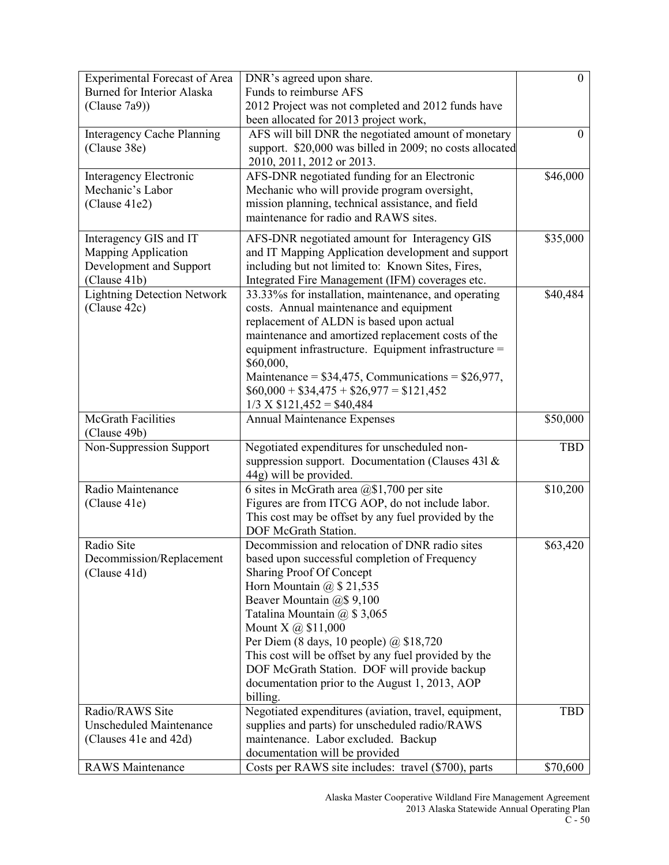| <b>Experimental Forecast of Area</b> | DNR's agreed upon share.                                      | $\theta$   |
|--------------------------------------|---------------------------------------------------------------|------------|
| <b>Burned for Interior Alaska</b>    | Funds to reimburse AFS                                        |            |
| (Clause 7a9))                        | 2012 Project was not completed and 2012 funds have            |            |
|                                      | been allocated for 2013 project work,                         |            |
| <b>Interagency Cache Planning</b>    | AFS will bill DNR the negotiated amount of monetary           | 0          |
| (Clause 38e)                         | support. \$20,000 was billed in 2009; no costs allocated      |            |
|                                      | 2010, 2011, 2012 or 2013.                                     |            |
| Interagency Electronic               | AFS-DNR negotiated funding for an Electronic                  | \$46,000   |
| Mechanic's Labor                     | Mechanic who will provide program oversight,                  |            |
| (Clause 41e2)                        | mission planning, technical assistance, and field             |            |
|                                      | maintenance for radio and RAWS sites.                         |            |
| Interagency GIS and IT               | AFS-DNR negotiated amount for Interagency GIS                 | \$35,000   |
| <b>Mapping Application</b>           | and IT Mapping Application development and support            |            |
| Development and Support              | including but not limited to: Known Sites, Fires,             |            |
| (Clause 41b)                         | Integrated Fire Management (IFM) coverages etc.               |            |
| <b>Lightning Detection Network</b>   | 33.33% for installation, maintenance, and operating           | \$40,484   |
| (Clause 42c)                         | costs. Annual maintenance and equipment                       |            |
|                                      | replacement of ALDN is based upon actual                      |            |
|                                      | maintenance and amortized replacement costs of the            |            |
|                                      | equipment infrastructure. Equipment infrastructure =          |            |
|                                      | \$60,000,                                                     |            |
|                                      | Maintenance = $$34,475$ , Communications = $$26,977$ ,        |            |
|                                      | $$60,000 + $34,475 + $26,977 = $121,452$                      |            |
|                                      | $1/3$ X \$121,452 = \$40,484                                  |            |
| <b>McGrath Facilities</b>            | <b>Annual Maintenance Expenses</b>                            | \$50,000   |
| (Clause 49b)                         |                                                               |            |
| Non-Suppression Support              | Negotiated expenditures for unscheduled non-                  | <b>TBD</b> |
|                                      | suppression support. Documentation (Clauses 431 &             |            |
|                                      | 44g) will be provided.                                        |            |
| Radio Maintenance                    | 6 sites in McGrath area @\$1,700 per site                     | \$10,200   |
| (Clause 41e)                         | Figures are from ITCG AOP, do not include labor.              |            |
|                                      | This cost may be offset by any fuel provided by the           |            |
|                                      | DOF McGrath Station.                                          |            |
| Radio Site                           | Decommission and relocation of DNR radio sites                | \$63,420   |
| Decommission/Replacement             | based upon successful completion of Frequency                 |            |
| (Clause 41d)                         | Sharing Proof Of Concept                                      |            |
|                                      | Horn Mountain $\omega$ \$ 21,535<br>Beaver Mountain @\$ 9,100 |            |
|                                      | Tatalina Mountain $(a)$ \$ 3,065                              |            |
|                                      | Mount X $\omega$ \$11,000                                     |            |
|                                      | Per Diem (8 days, 10 people) $\omega$ \$18,720                |            |
|                                      | This cost will be offset by any fuel provided by the          |            |
|                                      | DOF McGrath Station. DOF will provide backup                  |            |
|                                      | documentation prior to the August 1, 2013, AOP                |            |
|                                      | billing.                                                      |            |
| Radio/RAWS Site                      | Negotiated expenditures (aviation, travel, equipment,         | <b>TBD</b> |
| Unscheduled Maintenance              | supplies and parts) for unscheduled radio/RAWS                |            |
| (Clauses 41e and 42d)                | maintenance. Labor excluded. Backup                           |            |
|                                      | documentation will be provided                                |            |
| <b>RAWS</b> Maintenance              | Costs per RAWS site includes: travel (\$700), parts           | \$70,600   |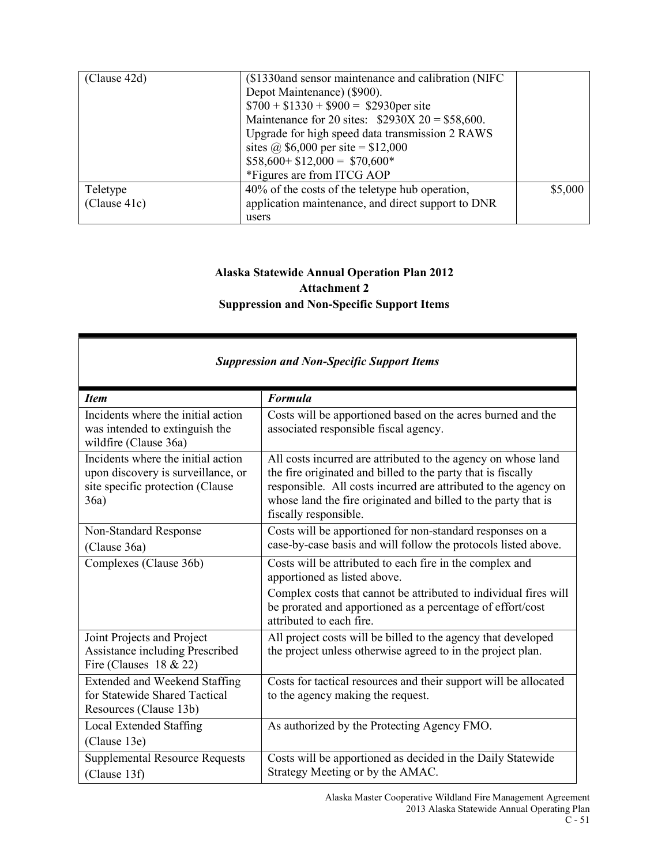| (Clause 42d)             | (\$1330and sensor maintenance and calibration (NIFC)<br>Depot Maintenance) (\$900).<br>$$700 + $1330 + $900 = $2930$ per site<br>Maintenance for 20 sites: $$2930X 20 = $58,600$ .<br>Upgrade for high speed data transmission 2 RAWS<br>sites @ \$6,000 per site = \$12,000<br>$$58,600 + $12,000 = $70,600*$<br>*Figures are from ITCG AOP |         |
|--------------------------|----------------------------------------------------------------------------------------------------------------------------------------------------------------------------------------------------------------------------------------------------------------------------------------------------------------------------------------------|---------|
| Teletype<br>(Clause 41c) | 40% of the costs of the teletype hub operation,<br>application maintenance, and direct support to DNR<br>users                                                                                                                                                                                                                               | \$5,000 |

## **Alaska Statewide Annual Operation Plan 2012 Attachment 2 Suppression and Non-Specific Support Items**

| <b>Suppression and Non-Specific Support Items</b>                                                                    |                                                                                                                                                                                                                                                                                             |  |
|----------------------------------------------------------------------------------------------------------------------|---------------------------------------------------------------------------------------------------------------------------------------------------------------------------------------------------------------------------------------------------------------------------------------------|--|
| <b>Item</b>                                                                                                          | <b>Formula</b>                                                                                                                                                                                                                                                                              |  |
| Incidents where the initial action<br>was intended to extinguish the<br>wildfire (Clause 36a)                        | Costs will be apportioned based on the acres burned and the<br>associated responsible fiscal agency.                                                                                                                                                                                        |  |
| Incidents where the initial action<br>upon discovery is surveillance, or<br>site specific protection (Clause<br>36a) | All costs incurred are attributed to the agency on whose land<br>the fire originated and billed to the party that is fiscally<br>responsible. All costs incurred are attributed to the agency on<br>whose land the fire originated and billed to the party that is<br>fiscally responsible. |  |
| Non-Standard Response<br>(Clause 36a)                                                                                | Costs will be apportioned for non-standard responses on a<br>case-by-case basis and will follow the protocols listed above.                                                                                                                                                                 |  |
| Complexes (Clause 36b)                                                                                               | Costs will be attributed to each fire in the complex and<br>apportioned as listed above.                                                                                                                                                                                                    |  |
|                                                                                                                      | Complex costs that cannot be attributed to individual fires will<br>be prorated and apportioned as a percentage of effort/cost<br>attributed to each fire.                                                                                                                                  |  |
| Joint Projects and Project<br>Assistance including Prescribed<br>Fire (Clauses $18 \& 22$ )                          | All project costs will be billed to the agency that developed<br>the project unless otherwise agreed to in the project plan.                                                                                                                                                                |  |
| Extended and Weekend Staffing<br>for Statewide Shared Tactical<br>Resources (Clause 13b)                             | Costs for tactical resources and their support will be allocated<br>to the agency making the request.                                                                                                                                                                                       |  |
| Local Extended Staffing<br>(Clause 13e)                                                                              | As authorized by the Protecting Agency FMO.                                                                                                                                                                                                                                                 |  |
| <b>Supplemental Resource Requests</b><br>(Clause 13f)                                                                | Costs will be apportioned as decided in the Daily Statewide<br>Strategy Meeting or by the AMAC.                                                                                                                                                                                             |  |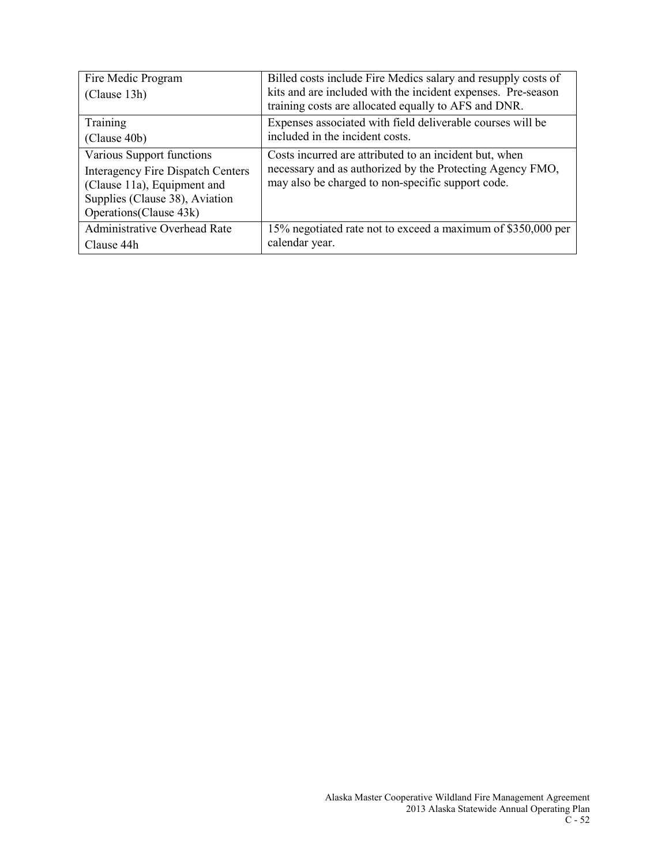| Fire Medic Program<br>(Clause 13h)       | Billed costs include Fire Medics salary and resupply costs of<br>kits and are included with the incident expenses. Pre-season |
|------------------------------------------|-------------------------------------------------------------------------------------------------------------------------------|
|                                          | training costs are allocated equally to AFS and DNR.                                                                          |
| Training                                 | Expenses associated with field deliverable courses will be                                                                    |
| (Clause 40b)                             | included in the incident costs.                                                                                               |
| Various Support functions                | Costs incurred are attributed to an incident but, when                                                                        |
| <b>Interagency Fire Dispatch Centers</b> | necessary and as authorized by the Protecting Agency FMO,                                                                     |
| (Clause 11a), Equipment and              | may also be charged to non-specific support code.                                                                             |
| Supplies (Clause 38), Aviation           |                                                                                                                               |
| Operations (Clause 43k)                  |                                                                                                                               |
| Administrative Overhead Rate             | 15% negotiated rate not to exceed a maximum of \$350,000 per                                                                  |
| Clause 44h                               | calendar year.                                                                                                                |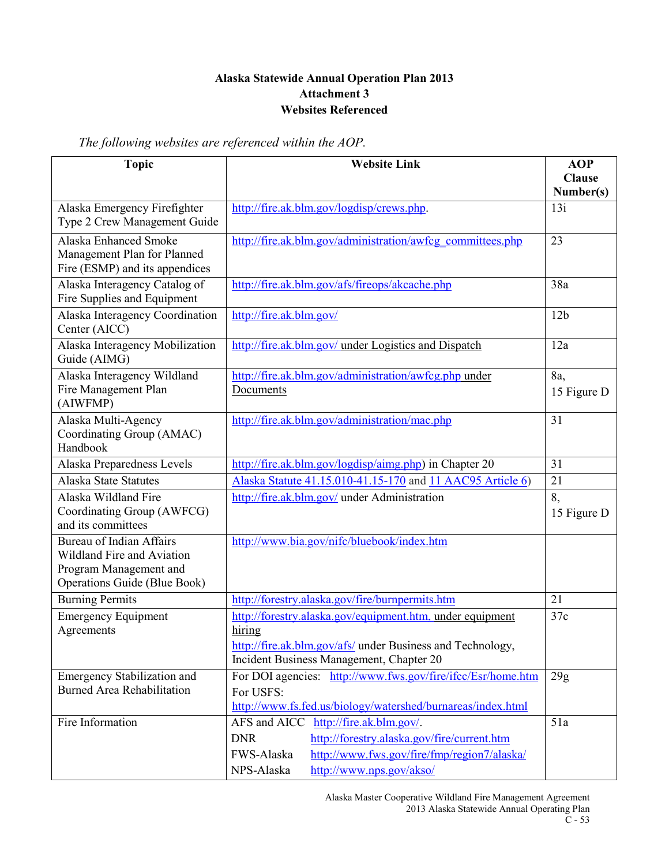### **Alaska Statewide Annual Operation Plan 2013 Attachment 3 Websites Referenced**

*The following websites are referenced within the AOP.*

| <b>Topic</b>                                                                                                            | <b>Website Link</b>                                                                                                                                                                                          | <b>AOP</b><br><b>Clause</b> |
|-------------------------------------------------------------------------------------------------------------------------|--------------------------------------------------------------------------------------------------------------------------------------------------------------------------------------------------------------|-----------------------------|
|                                                                                                                         |                                                                                                                                                                                                              | Number(s)                   |
| Alaska Emergency Firefighter<br>Type 2 Crew Management Guide                                                            | http://fire.ak.blm.gov/logdisp/crews.php.                                                                                                                                                                    | 13i                         |
| Alaska Enhanced Smoke<br>Management Plan for Planned<br>Fire (ESMP) and its appendices                                  | http://fire.ak.blm.gov/administration/awfcg_committees.php                                                                                                                                                   | 23                          |
| Alaska Interagency Catalog of<br>Fire Supplies and Equipment                                                            | http://fire.ak.blm.gov/afs/fireops/akcache.php                                                                                                                                                               | 38a                         |
| Alaska Interagency Coordination<br>Center (AICC)                                                                        | http://fire.ak.blm.gov/                                                                                                                                                                                      | 12 <sub>b</sub>             |
| Alaska Interagency Mobilization<br>Guide (AIMG)                                                                         | http://fire.ak.blm.gov/ under Logistics and Dispatch                                                                                                                                                         | 12a                         |
| Alaska Interagency Wildland<br>Fire Management Plan<br>(AIWFMP)                                                         | http://fire.ak.blm.gov/administration/awfcg.php under<br>Documents                                                                                                                                           | 8a,<br>15 Figure D          |
| Alaska Multi-Agency<br>Coordinating Group (AMAC)<br>Handbook                                                            | http://fire.ak.blm.gov/administration/mac.php                                                                                                                                                                | 31                          |
| Alaska Preparedness Levels                                                                                              | http://fire.ak.blm.gov/logdisp/aimg.php) in Chapter 20                                                                                                                                                       | 31                          |
| Alaska State Statutes                                                                                                   | Alaska Statute 41.15.010-41.15-170 and 11 AAC95 Article 6)                                                                                                                                                   | 21                          |
| Alaska Wildland Fire<br>Coordinating Group (AWFCG)<br>and its committees                                                | http://fire.ak.blm.gov/ under Administration                                                                                                                                                                 | 8,<br>15 Figure D           |
| <b>Bureau of Indian Affairs</b><br>Wildland Fire and Aviation<br>Program Management and<br>Operations Guide (Blue Book) | http://www.bia.gov/nifc/bluebook/index.htm                                                                                                                                                                   |                             |
| <b>Burning Permits</b>                                                                                                  | http://forestry.alaska.gov/fire/burnpermits.htm                                                                                                                                                              | 21                          |
| <b>Emergency Equipment</b><br>Agreements                                                                                | http://forestry.alaska.gov/equipment.htm, under equipment<br>hiring<br>http://fire.ak.blm.gov/afs/ under Business and Technology,<br>Incident Business Management, Chapter 20                                | 37c                         |
| Emergency Stabilization and<br><b>Burned Area Rehabilitation</b>                                                        | For DOI agencies: http://www.fws.gov/fire/ifcc/Esr/home.htm<br>For USFS:<br>http://www.fs.fed.us/biology/watershed/burnareas/index.html                                                                      | 29g                         |
| Fire Information                                                                                                        | http://fire.ak.blm.gov/.<br>AFS and AICC<br>http://forestry.alaska.gov/fire/current.htm<br><b>DNR</b><br>http://www.fws.gov/fire/fmp/region7/alaska/<br>FWS-Alaska<br>http://www.nps.gov/akso/<br>NPS-Alaska | 51a                         |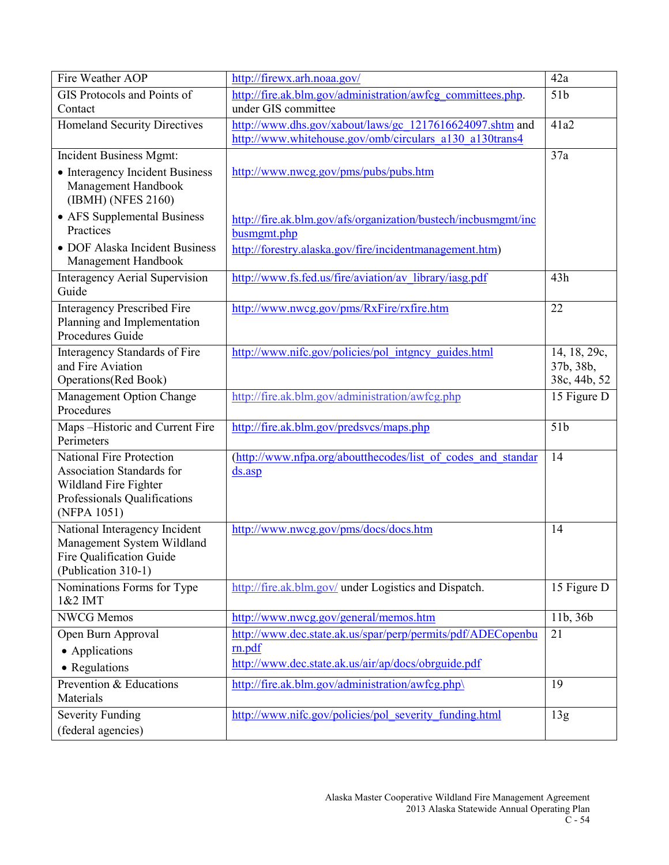| Fire Weather AOP                                                             | http://firewx.arh.noaa.gov/                                                   | 42a             |
|------------------------------------------------------------------------------|-------------------------------------------------------------------------------|-----------------|
| GIS Protocols and Points of                                                  | http://fire.ak.blm.gov/administration/awfcg_committees.php.                   | 51 <sub>b</sub> |
| Contact                                                                      | under GIS committee                                                           |                 |
| <b>Homeland Security Directives</b>                                          | http://www.dhs.gov/xabout/laws/gc 1217616624097.shtm and                      | 41a2            |
|                                                                              | http://www.whitehouse.gov/omb/circulars a130 a130trans4                       |                 |
| Incident Business Mgmt:                                                      |                                                                               | 37a             |
| • Interagency Incident Business<br>Management Handbook<br>(IBMH) (NFES 2160) | http://www.nwcg.gov/pms/pubs/pubs.htm                                         |                 |
| • AFS Supplemental Business<br>Practices                                     | http://fire.ak.blm.gov/afs/organization/bustech/incbusmgmt/inc<br>busmgmt.php |                 |
| • DOF Alaska Incident Business                                               | http://forestry.alaska.gov/fire/incidentmanagement.htm)                       |                 |
| Management Handbook                                                          |                                                                               |                 |
| <b>Interagency Aerial Supervision</b><br>Guide                               | http://www.fs.fed.us/fire/aviation/av library/iasg.pdf                        | 43h             |
| <b>Interagency Prescribed Fire</b>                                           | http://www.nwcg.gov/pms/RxFire/rxfire.htm                                     | 22              |
| Planning and Implementation<br>Procedures Guide                              |                                                                               |                 |
| Interagency Standards of Fire                                                | http://www.nifc.gov/policies/pol intgncy guides.html                          | 14, 18, 29c,    |
| and Fire Aviation                                                            |                                                                               | 37b, 38b,       |
| Operations(Red Book)                                                         |                                                                               | 38c, 44b, 52    |
| Management Option Change                                                     | http://fire.ak.blm.gov/administration/awfcg.php                               | 15 Figure D     |
| Procedures                                                                   |                                                                               |                 |
| Maps-Historic and Current Fire                                               | http://fire.ak.blm.gov/predsvcs/maps.php                                      | 51 <sub>b</sub> |
| Perimeters                                                                   |                                                                               |                 |
| National Fire Protection                                                     | (http://www.nfpa.org/aboutthecodes/list of codes and standar                  | 14              |
| <b>Association Standards for</b>                                             | $ds.$ asp                                                                     |                 |
| Wildland Fire Fighter<br>Professionals Qualifications                        |                                                                               |                 |
| (NFPA 1051)                                                                  |                                                                               |                 |
| National Interagency Incident                                                | http://www.nwcg.gov/pms/docs/docs.htm                                         | 14              |
| Management System Wildland                                                   |                                                                               |                 |
| Fire Oualification Guide                                                     |                                                                               |                 |
| (Publication 310-1)                                                          |                                                                               |                 |
| Nominations Forms for Type<br>1&2 IMT                                        | http://fire.ak.blm.gov/ under Logistics and Dispatch.                         | 15 Figure D     |
| <b>NWCG</b> Memos                                                            | http://www.nwcg.gov/general/memos.htm                                         | 11b, 36b        |
| Open Burn Approval                                                           | http://www.dec.state.ak.us/spar/perp/permits/pdf/ADECopenbu                   | 21              |
| • Applications                                                               | rn.pdf                                                                        |                 |
| • Regulations                                                                | http://www.dec.state.ak.us/air/ap/docs/obrguide.pdf                           |                 |
| Prevention & Educations                                                      | http://fire.ak.blm.gov/administration/awfcg.php\                              | 19              |
| Materials                                                                    |                                                                               |                 |
| <b>Severity Funding</b>                                                      | http://www.nifc.gov/policies/pol severity funding.html                        | 13g             |
| (federal agencies)                                                           |                                                                               |                 |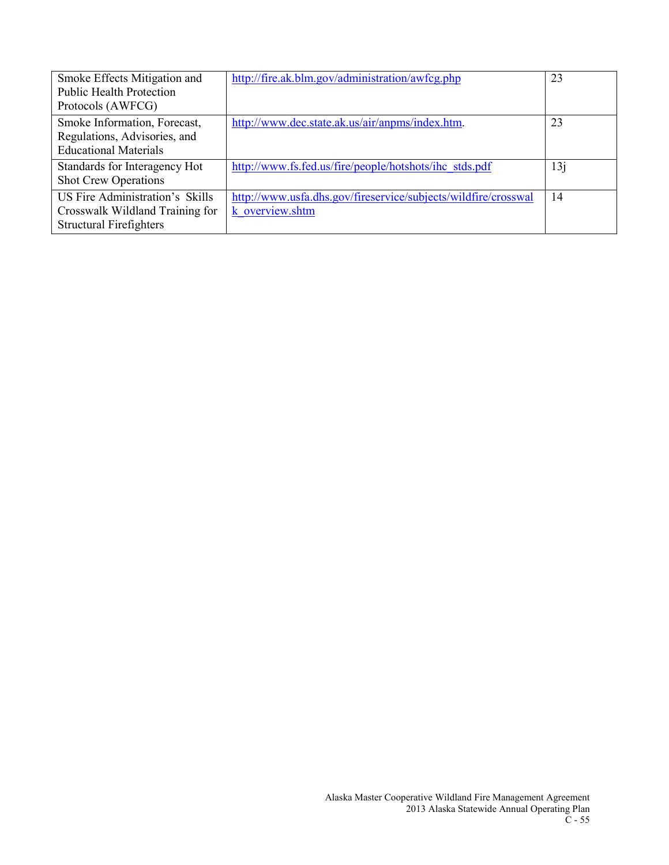| Smoke Effects Mitigation and<br><b>Public Health Protection</b><br>Protocols (AWFCG)                 | http://fire.ak.blm.gov/administration/awfcg.php                                   | 23  |
|------------------------------------------------------------------------------------------------------|-----------------------------------------------------------------------------------|-----|
| Smoke Information, Forecast,<br>Regulations, Advisories, and<br><b>Educational Materials</b>         | http://www.dec.state.ak.us/air/anpms/index.htm.                                   | 23  |
| Standards for Interagency Hot<br><b>Shot Crew Operations</b>                                         | http://www.fs.fed.us/fire/people/hotshots/ihc stds.pdf                            | 13j |
| US Fire Administration's Skills<br>Crosswalk Wildland Training for<br><b>Structural Firefighters</b> | http://www.usfa.dhs.gov/fireservice/subjects/wildfire/crosswal<br>k overview.shtm | 14  |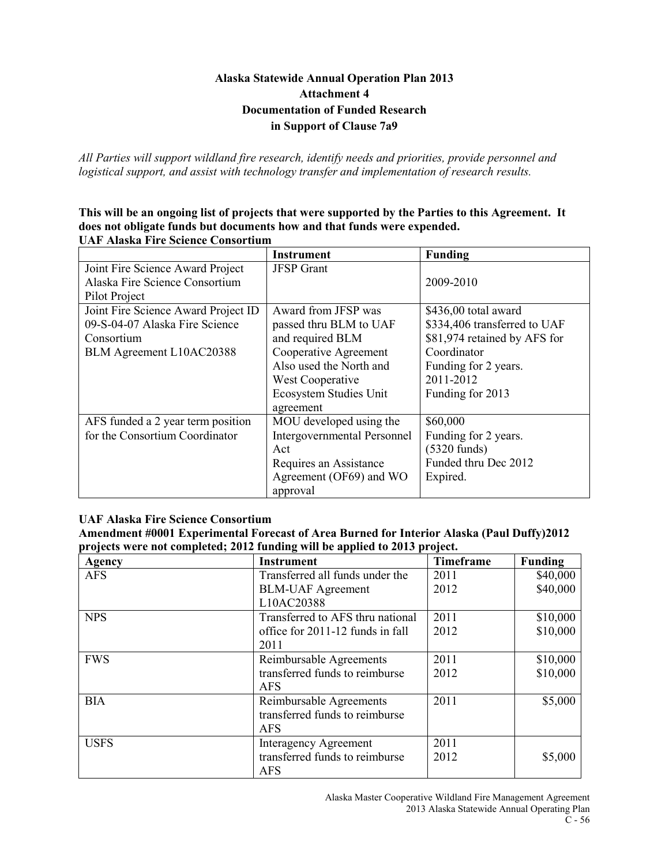### **Alaska Statewide Annual Operation Plan 2013 Attachment 4 Documentation of Funded Research in Support of Clause 7a9**

*All Parties will support wildland fire research, identify needs and priorities, provide personnel and logistical support, and assist with technology transfer and implementation of research results.*

**This will be an ongoing list of projects that were supported by the Parties to this Agreement. It does not obligate funds but documents how and that funds were expended. UAF Alaska Fire Science Consortium**

|                                     | <b>Instrument</b>                  | <b>Funding</b>               |
|-------------------------------------|------------------------------------|------------------------------|
| Joint Fire Science Award Project    | <b>JFSP</b> Grant                  |                              |
| Alaska Fire Science Consortium      |                                    | 2009-2010                    |
| Pilot Project                       |                                    |                              |
| Joint Fire Science Award Project ID | Award from JFSP was                | \$436,00 total award         |
| 09-S-04-07 Alaska Fire Science      | passed thru BLM to UAF             | \$334,406 transferred to UAF |
| Consortium                          | and required BLM                   | \$81,974 retained by AFS for |
| BLM Agreement L10AC20388            | Cooperative Agreement              | Coordinator                  |
|                                     | Also used the North and            | Funding for 2 years.         |
|                                     | West Cooperative                   | 2011-2012                    |
|                                     | Ecosystem Studies Unit             | Funding for 2013             |
|                                     | agreement                          |                              |
| AFS funded a 2 year term position   | MOU developed using the            | \$60,000                     |
| for the Consortium Coordinator      | <b>Intergovernmental Personnel</b> | Funding for 2 years.         |
|                                     | Act                                | $(5320 \text{ funds})$       |
|                                     | Requires an Assistance             | Funded thru Dec 2012         |
|                                     | Agreement (OF69) and WO            | Expired.                     |
|                                     | approval                           |                              |

### **UAF Alaska Fire Science Consortium**

**Amendment #0001 Experimental Forecast of Area Burned for Interior Alaska (Paul Duffy)2012 projects were not completed; 2012 funding will be applied to 2013 project.**

| Agency      | <b>Instrument</b>                | Timeframe | <b>Funding</b> |
|-------------|----------------------------------|-----------|----------------|
| <b>AFS</b>  | Transferred all funds under the  | 2011      | \$40,000       |
|             | <b>BLM-UAF</b> Agreement         | 2012      | \$40,000       |
|             | L10AC20388                       |           |                |
| <b>NPS</b>  | Transferred to AFS thru national | 2011      | \$10,000       |
|             | office for 2011-12 funds in fall | 2012      | \$10,000       |
|             | 2011                             |           |                |
| <b>FWS</b>  | Reimbursable Agreements          | 2011      | \$10,000       |
|             | transferred funds to reimburse   | 2012      | \$10,000       |
|             | <b>AFS</b>                       |           |                |
| <b>BIA</b>  | Reimbursable Agreements          | 2011      | \$5,000        |
|             | transferred funds to reimburse   |           |                |
|             | <b>AFS</b>                       |           |                |
| <b>USFS</b> | Interagency Agreement            | 2011      |                |
|             | transferred funds to reimburse   | 2012      | \$5,000        |
|             | <b>AFS</b>                       |           |                |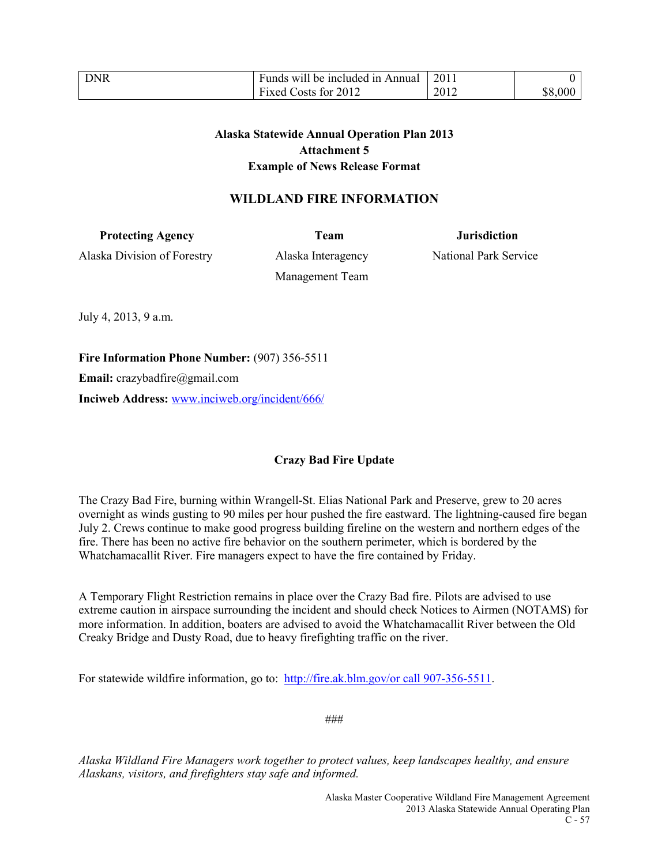| <b>DNR</b> | Funds will be included in Annual | 2011 |         |
|------------|----------------------------------|------|---------|
|            | Fixed Costs for 2012             | 2012 | \$8,000 |

### **Alaska Statewide Annual Operation Plan 2013 Attachment 5 Example of News Release Format**

### **WILDLAND FIRE INFORMATION**

**Protecting Agency** Team Team Jurisdiction

Alaska Division of Forestry Alaska Interagency National Park Service

Management Team

July 4, 2013, 9 a.m.

**Fire Information Phone Number:** (907) 356-5511

**Email:** crazybadfire@gmail.com

**Inciweb Address:** [www.inciweb.org/incident/666/](http://www.inciweb.org/incident/666/)

### **Crazy Bad Fire Update**

The Crazy Bad Fire, burning within Wrangell-St. Elias National Park and Preserve, grew to 20 acres overnight as winds gusting to 90 miles per hour pushed the fire eastward. The lightning-caused fire began July 2. Crews continue to make good progress building fireline on the western and northern edges of the fire. There has been no active fire behavior on the southern perimeter, which is bordered by the Whatchamacallit River. Fire managers expect to have the fire contained by Friday.

A Temporary Flight Restriction remains in place over the Crazy Bad fire. Pilots are advised to use extreme caution in airspace surrounding the incident and should check Notices to Airmen (NOTAMS) for more information. In addition, boaters are advised to avoid the Whatchamacallit River between the Old Creaky Bridge and Dusty Road, due to heavy firefighting traffic on the river.

For statewide wildfire information, go to: [http://fire.ak.blm.gov/or call 907-356-5511.](http://fire.ak.blm.gov/or%20call%20907-356-5511)

###

*Alaska Wildland Fire Managers work together to protect values, keep landscapes healthy, and ensure Alaskans, visitors, and firefighters stay safe and informed.*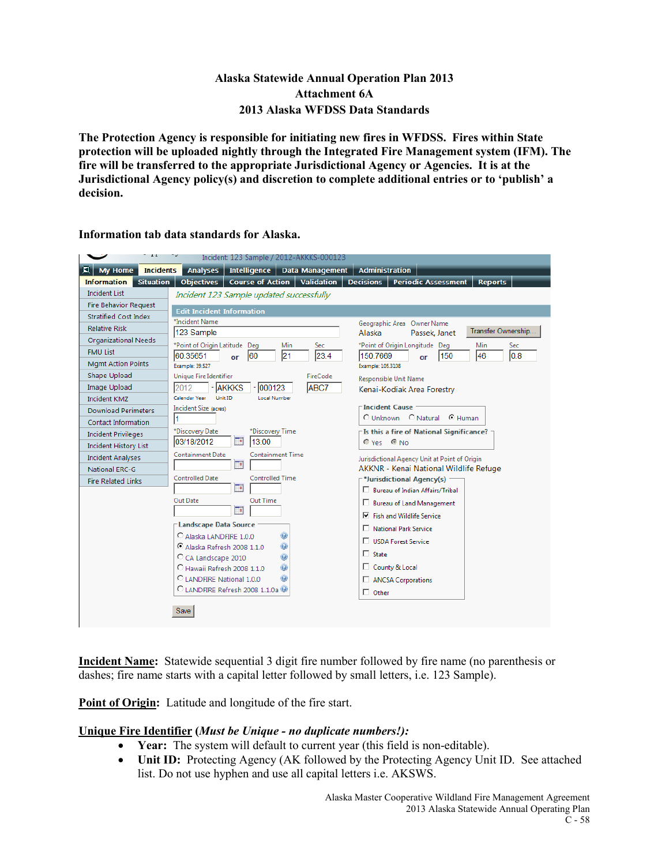### **Alaska Statewide Annual Operation Plan 2013 Attachment 6A 2013 Alaska WFDSS Data Standards**

**The Protection Agency is responsible for initiating new fires in WFDSS. Fires within State protection will be uploaded nightly through the Integrated Fire Management system (IFM). The fire will be transferred to the appropriate Jurisdictional Agency or Agencies. It is at the Jurisdictional Agency policy(s) and discretion to complete additional entries or to 'publish' a decision.** 

|                                        | Incident: 123 Sample / 2012-AKKKS-000123                          |                                                                  |
|----------------------------------------|-------------------------------------------------------------------|------------------------------------------------------------------|
| ◘<br>My Home<br><b>Incidents</b>       | <b>Analyses</b><br>Intelligence   Data Management                 | <b>Administration</b>                                            |
| <b>Situation</b><br><b>Information</b> | <b>Validation</b><br><b>Objectives</b><br><b>Course of Action</b> | <b>Decisions</b><br><b>Periodic Assessment</b><br><b>Reports</b> |
| <b>Incident List</b>                   | Incident 123 Sample updated successfully                          |                                                                  |
| <b>Fire Behavior Request</b>           | <b>Edit Incident Information</b>                                  |                                                                  |
| <b>Stratified Cost Index</b>           | *Incident Name                                                    | Geographic Area Owner Name                                       |
| <b>Relative Risk</b>                   | 123 Sample                                                        | Transfer Ownership<br>Alaska<br>Passek, Janet                    |
| Organizational Needs                   | *Point of Origin Latitude Deg<br>Min<br>Sec                       | *Point of Origin Longitude Deg<br>Sec<br>Min                     |
| <b>FMU List</b>                        | 21<br>23.4<br>60.35651<br>60<br>or                                | 0.8<br>150.7669<br>150<br>46<br>or                               |
| <b>Mgmt Action Points</b>              | Example: 39.527                                                   | Example: 105.3108                                                |
| Shape Upload                           | Unique Fire Identifier<br>FireCode                                | Responsible Unit Name                                            |
| Image Upload                           | 000123<br><b>ABC7</b><br>2012<br><b>AKKKS</b>                     | Kenai-Kodiak Area Forestry                                       |
| <b>Incident KMZ</b>                    | Calendar Year<br>Unit ID<br><b>Local Number</b>                   |                                                                  |
| <b>Download Perimeters</b>             | Incident Size (acres)                                             | <b>Incident Cause</b><br>C Unknown C Natural C Human             |
| Contact Information                    |                                                                   |                                                                  |
| <b>Incident Privileges</b>             | *Discovery Date<br>*Discovery Time                                | Is this a fire of National Significance? -                       |
| <b>Incident History List</b>           | 03/18/2012<br>13:00<br>℡                                          | Yes C No                                                         |
| <b>Incident Analyses</b>               | <b>Containment Date</b><br><b>Containment Time</b>                | Jurisdictional Agency Unit at Point of Origin                    |
| <b>National ERC-G</b>                  | F۹                                                                | AKKNR - Kenai National Wildlife Refuge                           |
| <b>Fire Related Links</b>              | <b>Controlled Time</b><br><b>Controlled Date</b>                  | <sup>-*</sup> Jurisdictional Agency(s)                           |
|                                        | ⊡                                                                 | □ Bureau of Indian Affairs/Tribal                                |
|                                        | Out Time<br>Out Date<br>℡                                         | □ Bureau of Land Management                                      |
|                                        |                                                                   | $\nabla$ Fish and Wildlife Service                               |
|                                        | <b>Landscape Data Source</b>                                      | National Park Service                                            |
|                                        | $\bullet$<br>C Alaska LANDFIRE 1.0.0                              | USDA Forest Service                                              |
|                                        | ۸<br>C Alaska Refresh 2008 1.1.0<br>Ō                             | $\Box$ State                                                     |
|                                        | C CA Landscape 2010<br>C Hawaii Refresh 2008 1.1.0<br>۸           | County & Local                                                   |
|                                        | 0<br>C LANDFIRE National 1.0.0                                    | ANCSA Corporations                                               |
|                                        | C LANDFIRE Refresh 2008 1.1.0a                                    | $\Box$ Other                                                     |
|                                        |                                                                   |                                                                  |
|                                        | Save                                                              |                                                                  |
|                                        |                                                                   |                                                                  |

**Information tab data standards for Alaska.**

**Incident Name:** Statewide sequential 3 digit fire number followed by fire name (no parenthesis or dashes; fire name starts with a capital letter followed by small letters, i.e. 123 Sample).

**Point of Origin:** Latitude and longitude of the fire start.

### **Unique Fire Identifier (***Must be Unique - no duplicate numbers!):*

- **Year:** The system will default to current year (this field is non-editable).
- **Unit ID:** Protecting Agency (AK followed by the Protecting Agency Unit ID. See attached list. Do not use hyphen and use all capital letters i.e. AKSWS.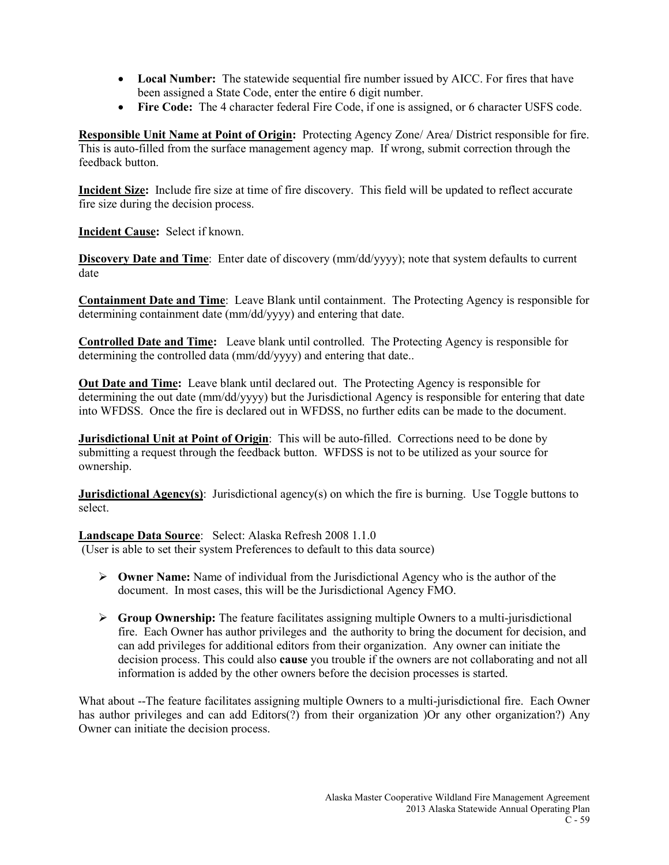- **Local Number:** The statewide sequential fire number issued by AICC. For fires that have been assigned a State Code, enter the entire 6 digit number.
- **Fire Code:** The 4 character federal Fire Code, if one is assigned, or 6 character USFS code.

**Responsible Unit Name at Point of Origin:** Protecting Agency Zone/ Area/ District responsible for fire. This is auto-filled from the surface management agency map. If wrong, submit correction through the feedback button.

**Incident Size:** Include fire size at time of fire discovery. This field will be updated to reflect accurate fire size during the decision process.

**Incident Cause:** Select if known.

**Discovery Date and Time**: Enter date of discovery (mm/dd/yyyy); note that system defaults to current date

**Containment Date and Time**: Leave Blank until containment. The Protecting Agency is responsible for determining containment date (mm/dd/yyyy) and entering that date.

**Controlled Date and Time:** Leave blank until controlled. The Protecting Agency is responsible for determining the controlled data (mm/dd/yyyy) and entering that date..

**Out Date and Time:** Leave blank until declared out. The Protecting Agency is responsible for determining the out date (mm/dd/yyyy) but the Jurisdictional Agency is responsible for entering that date into WFDSS. Once the fire is declared out in WFDSS, no further edits can be made to the document.

**Jurisdictional Unit at Point of Origin**: This will be auto-filled. Corrections need to be done by submitting a request through the feedback button. WFDSS is not to be utilized as your source for ownership.

**Jurisdictional Agency(s)**: Jurisdictional agency(s) on which the fire is burning. Use Toggle buttons to select.

**Landscape Data Source**: Select: Alaska Refresh 2008 1.1.0 (User is able to set their system Preferences to default to this data source)

- **Owner Name:** Name of individual from the Jurisdictional Agency who is the author of the document. In most cases, this will be the Jurisdictional Agency FMO.
- **Group Ownership:** The feature facilitates assigning multiple Owners to a multi-jurisdictional fire. Each Owner has author privileges and the authority to bring the document for decision, and can add privileges for additional editors from their organization. Any owner can initiate the decision process. This could also **cause** you trouble if the owners are not collaborating and not all information is added by the other owners before the decision processes is started.

What about --The feature facilitates assigning multiple Owners to a multi-jurisdictional fire. Each Owner has author privileges and can add Editors(?) from their organization )Or any other organization?) Any Owner can initiate the decision process.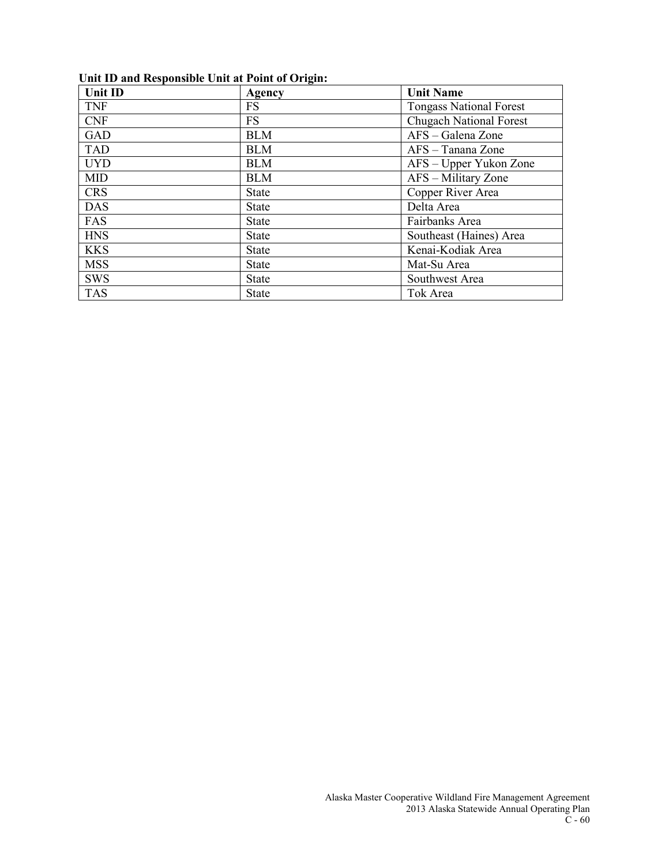### **Unit ID and Responsible Unit at Point of Origin:**

| <b>Unit ID</b> | Agency       | <b>Unit Name</b>               |
|----------------|--------------|--------------------------------|
| <b>TNF</b>     | <b>FS</b>    | <b>Tongass National Forest</b> |
| <b>CNF</b>     | <b>FS</b>    | <b>Chugach National Forest</b> |
| GAD            | <b>BLM</b>   | AFS – Galena Zone              |
| <b>TAD</b>     | <b>BLM</b>   | AFS - Tanana Zone              |
| <b>UYD</b>     | <b>BLM</b>   | AFS – Upper Yukon Zone         |
| <b>MID</b>     | <b>BLM</b>   | AFS - Military Zone            |
| <b>CRS</b>     | <b>State</b> | Copper River Area              |
| <b>DAS</b>     | <b>State</b> | Delta Area                     |
| FAS            | <b>State</b> | Fairbanks Area                 |
| <b>HNS</b>     | <b>State</b> | Southeast (Haines) Area        |
| <b>KKS</b>     | <b>State</b> | Kenai-Kodiak Area              |
| <b>MSS</b>     | <b>State</b> | Mat-Su Area                    |
| <b>SWS</b>     | <b>State</b> | Southwest Area                 |
| <b>TAS</b>     | <b>State</b> | Tok Area                       |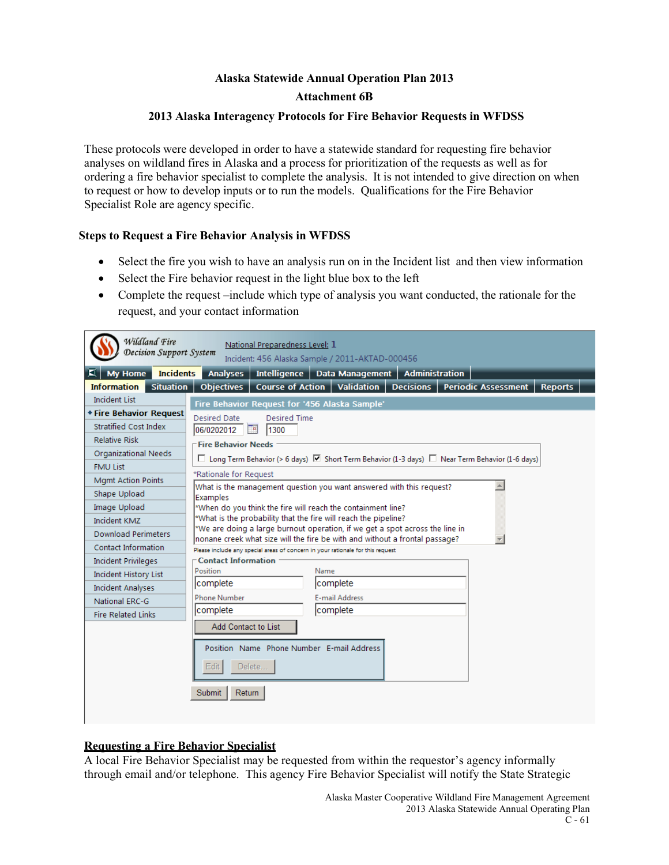# **Alaska Statewide Annual Operation Plan 2013 Attachment 6B**

### **2013 Alaska Interagency Protocols for Fire Behavior Requests in WFDSS**

These protocols were developed in order to have a statewide standard for requesting fire behavior analyses on wildland fires in Alaska and a process for prioritization of the requests as well as for ordering a fire behavior specialist to complete the analysis. It is not intended to give direction on when to request or how to develop inputs or to run the models. Qualifications for the Fire Behavior Specialist Role are agency specific.

### **Steps to Request a Fire Behavior Analysis in WFDSS**

- Select the fire you wish to have an analysis run on in the Incident list and then view information
- Select the Fire behavior request in the light blue box to the left
- Complete the request –include which type of analysis you want conducted, the rationale for the request, and your contact information

| Wildland Fire                          | National Preparedness Level: 1                                                                                                                              |  |  |
|----------------------------------------|-------------------------------------------------------------------------------------------------------------------------------------------------------------|--|--|
| Decision Support System                | Incident: 456 Alaska Sample / 2011-AKTAD-000456                                                                                                             |  |  |
| <b>Incidents</b><br><b>My Home</b>     | Intelligence   Data Management   Administration<br><b>Analyses</b>                                                                                          |  |  |
| <b>Information</b><br><b>Situation</b> | <b>Validation</b><br><b>Reports</b><br><b>Course of Action</b><br><b>Decisions</b><br><b>Periodic Assessment</b><br><b>Objectives</b>                       |  |  |
| <b>Incident List</b>                   | Fire Behavior Request for '456 Alaska Sample'                                                                                                               |  |  |
| <b>* Fire Behavior Request</b>         | <b>Desired Date</b><br><b>Desired Time</b>                                                                                                                  |  |  |
| <b>Stratified Cost Index</b>           | 06/0202012<br>œ<br>1300                                                                                                                                     |  |  |
| <b>Relative Risk</b>                   | <b>Fire Behavior Needs</b>                                                                                                                                  |  |  |
| <b>Organizational Needs</b>            | $\square$ Long Term Behavior (> 6 days) $\square$ Short Term Behavior (1-3 days) $\square$ Near Term Behavior (1-6 days)                                    |  |  |
| <b>FMU List</b>                        |                                                                                                                                                             |  |  |
| <b>Mgmt Action Points</b>              | *Rationale for Request<br>What is the management question you want answered with this request?                                                              |  |  |
| Shape Upload                           | Examples                                                                                                                                                    |  |  |
| Image Upload                           | *When do you think the fire will reach the containment line?                                                                                                |  |  |
| Incident KMZ                           | *What is the probability that the fire will reach the pipeline?                                                                                             |  |  |
| <b>Download Perimeters</b>             | *We are doing a large burnout operation, if we get a spot across the line in<br>nonane creek what size will the fire be with and without a frontal passage? |  |  |
| Contact Information                    | Please include any special areas of concern in your rationale for this request                                                                              |  |  |
| <b>Incident Privileges</b>             | <b>Contact Information</b>                                                                                                                                  |  |  |
| <b>Incident History List</b>           | Position<br>Name                                                                                                                                            |  |  |
| <b>Incident Analyses</b>               | Icomplete<br>complete                                                                                                                                       |  |  |
| National ERC-G                         | <b>Phone Number</b><br>E-mail Address                                                                                                                       |  |  |
| <b>Fire Related Links</b>              | complete<br>Icomplete                                                                                                                                       |  |  |
|                                        | Add Contact to List                                                                                                                                         |  |  |
|                                        | Position Name Phone Number E-mail Address                                                                                                                   |  |  |
|                                        |                                                                                                                                                             |  |  |
|                                        | Edit<br>Delete                                                                                                                                              |  |  |
|                                        | <b>Submit</b><br>Return                                                                                                                                     |  |  |
|                                        |                                                                                                                                                             |  |  |
|                                        |                                                                                                                                                             |  |  |

### **Requesting a Fire Behavior Specialist**

A local Fire Behavior Specialist may be requested from within the requestor's agency informally through email and/or telephone. This agency Fire Behavior Specialist will notify the State Strategic